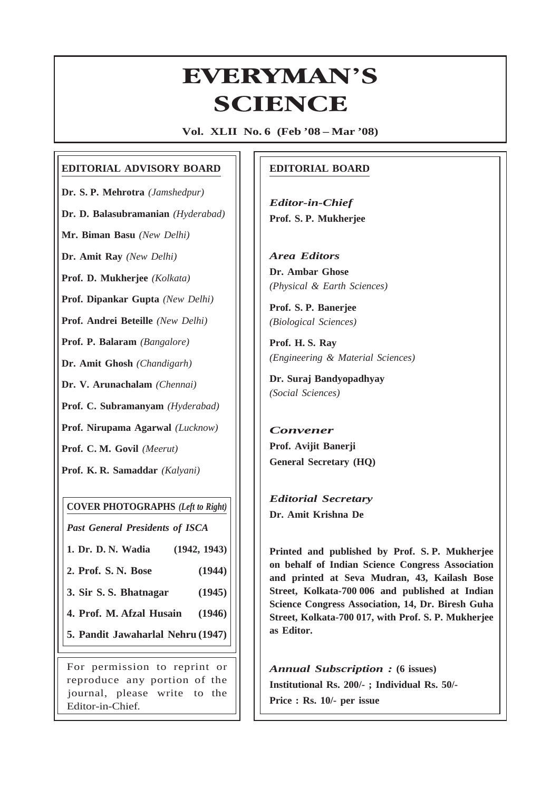# **EVERYMAN'S ERYMAN<br>SCIENCE**

**Vol. XLII No. 6 (Feb '08 – Mar '08)**

### **EDITORIAL ADVISORY BOARD**

**Dr. S. P. Mehrotra** *(Jamshedpur)*

**Dr. D. Balasubramanian** *(Hyderabad)*

**Mr. Biman Basu** *(New Delhi)*

**Dr. Amit Ray** *(New Delhi)*

**Prof. D. Mukherjee** *(Kolkata)*

**Prof. Dipankar Gupta** *(New Delhi)*

**Prof. Andrei Beteille** *(New Delhi)*

**Prof. P. Balaram** *(Bangalore)*

**Dr. Amit Ghosh** *(Chandigarh)*

**Dr. V. Arunachalam** *(Chennai)*

**Prof. C. Subramanyam** *(Hyderabad)*

**Prof. Nirupama Agarwal** *(Lucknow)*

**Prof. C. M. Govil** *(Meerut)*

**Prof. K. R. Samaddar** *(Kalyani)*

**COVER PHOTOGRAPHS** *(Left to Right)*

*Past General Presidents of ISCA*

**1. Dr. D. N. Wadia (1942, 1943)**

**2. Prof. S. N. Bose (1944)**

**3. Sir S. S. Bhatnagar (1945)**

**4. Prof. M. Afzal Husain (1946)**

**5. Pandit Jawaharlal Nehru (1947)**

For permission to reprint or reproduce any portion of the journal, please write to the Editor-in-Chief.

## **EDITORIAL BOARD**

*Editor-in-Chief* **Prof. S. P. Mukherjee**

*Area Editors* **Dr. Ambar Ghose** *(Physical & Earth Sciences)*

**Prof. S. P. Banerjee** *(Biological Sciences)*

**Prof. H. S. Ray** *(Engineering & Material Sciences)*

**Dr. Suraj Bandyopadhyay** *(Social Sciences)*

*Convener* **Prof. Avijit Banerji General Secretary (HQ)**

*Editorial Secretary* **Dr. Amit Krishna De**

317

**Printed and published by Prof. S. P. Mukherjee on behalf of Indian Science Congress Association and printed at Seva Mudran, 43, Kailash Bose Street, Kolkata-700 006 and published at Indian Science Congress Association, 14, Dr. Biresh Guha Street, Kolkata-700 017, with Prof. S. P. Mukherjee as Editor.**

*Annual Subscription :* **(6 issues) Institutional Rs. 200/- ; Individual Rs. 50/- Price : Rs. 10/- per issue**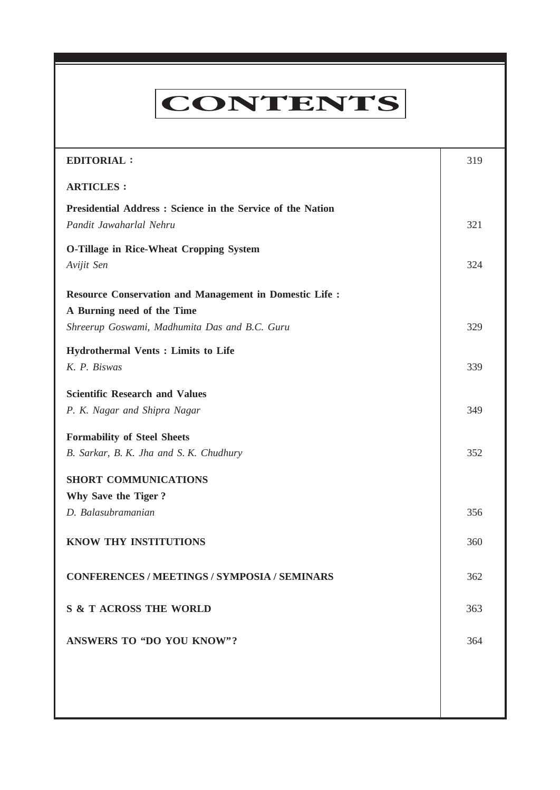# **CONTENTS**

**Everyman's Science VOL. XLII NO. 6, Feb — March '08**

| <b>EDITORIAL:</b>                                                                           | 319 |
|---------------------------------------------------------------------------------------------|-----|
| <b>ARTICLES:</b>                                                                            |     |
| Presidential Address: Science in the Service of the Nation<br>Pandit Jawaharlal Nehru       | 321 |
| O-Tillage in Rice-Wheat Cropping System<br>Avijit Sen                                       | 324 |
| <b>Resource Conservation and Management in Domestic Life:</b><br>A Burning need of the Time |     |
| Shreerup Goswami, Madhumita Das and B.C. Guru                                               | 329 |
| <b>Hydrothermal Vents : Limits to Life</b><br>K. P. Biswas                                  | 339 |
| <b>Scientific Research and Values</b><br>P. K. Nagar and Shipra Nagar                       | 349 |
| <b>Formability of Steel Sheets</b><br>B. Sarkar, B. K. Jha and S. K. Chudhury               | 352 |
| <b>SHORT COMMUNICATIONS</b><br>Why Save the Tiger?                                          |     |
| D. Balasubramanian                                                                          | 356 |
| KNOW THY INSTITUTIONS                                                                       | 360 |
| <b>CONFERENCES / MEETINGS / SYMPOSIA / SEMINARS</b>                                         | 362 |
| <b>S &amp; T ACROSS THE WORLD</b>                                                           | 363 |
| <b>ANSWERS TO "DO YOU KNOW"?</b>                                                            | 364 |
|                                                                                             |     |
|                                                                                             |     |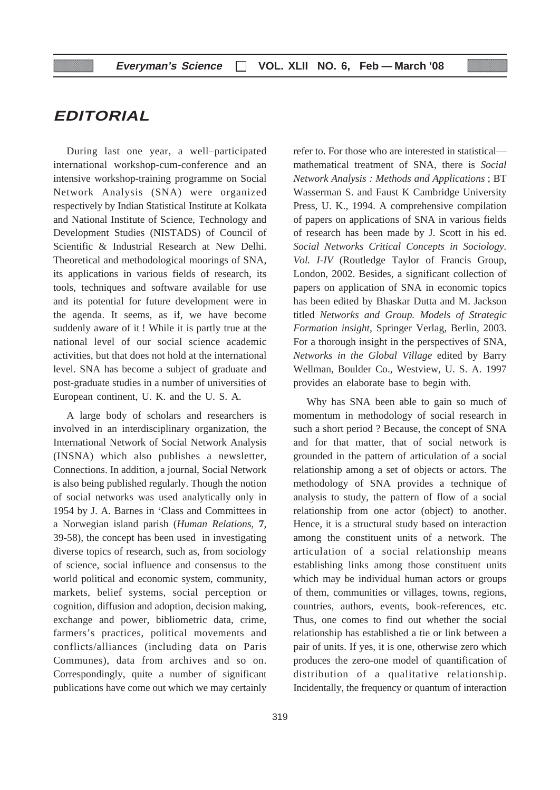# **EDITORIAL**

During last one year, a well–participated international workshop-cum-conference and an intensive workshop-training programme on Social Network Analysis (SNA) were organized respectively by Indian Statistical Institute at Kolkata and National Institute of Science, Technology and Development Studies (NISTADS) of Council of Scientific & Industrial Research at New Delhi. Theoretical and methodological moorings of SNA, its applications in various fields of research, its tools, techniques and software available for use and its potential for future development were in the agenda. It seems, as if, we have become suddenly aware of it ! While it is partly true at the national level of our social science academic activities, but that does not hold at the international level. SNA has become a subject of graduate and post-graduate studies in a number of universities of European continent, U. K. and the U. S. A.

A large body of scholars and researchers is involved in an interdisciplinary organization, the International Network of Social Network Analysis (INSNA) which also publishes a newsletter, Connections. In addition, a journal, Social Network is also being published regularly. Though the notion of social networks was used analytically only in 1954 by J. A. Barnes in 'Class and Committees in a Norwegian island parish (*Human Relations*, **7**, 39-58), the concept has been used in investigating diverse topics of research, such as, from sociology of science, social influence and consensus to the world political and economic system, community, markets, belief systems, social perception or cognition, diffusion and adoption, decision making, exchange and power, bibliometric data, crime, farmers's practices, political movements and conflicts/alliances (including data on Paris Communes), data from archives and so on. Correspondingly, quite a number of significant publications have come out which we may certainly

refer to. For those who are interested in statistical mathematical treatment of SNA, there is *Social Network Analysis : Methods and Applications* ; BT Wasserman S. and Faust K Cambridge University Press, U. K., 1994. A comprehensive compilation of papers on applications of SNA in various fields of research has been made by J. Scott in his ed. *Social Networks Critical Concepts in Sociology. Vol. I-IV* (Routledge Taylor of Francis Group, London, 2002. Besides, a significant collection of papers on application of SNA in economic topics has been edited by Bhaskar Dutta and M. Jackson titled *Networks and Group. Models of Strategic Formation insight,* Springer Verlag, Berlin, 2003. For a thorough insight in the perspectives of SNA, *Networks in the Global Village* edited by Barry Wellman, Boulder Co., Westview, U. S. A. 1997 provides an elaborate base to begin with.

Why has SNA been able to gain so much of momentum in methodology of social research in such a short period ? Because, the concept of SNA and for that matter, that of social network is grounded in the pattern of articulation of a social relationship among a set of objects or actors. The methodology of SNA provides a technique of analysis to study, the pattern of flow of a social relationship from one actor (object) to another. Hence, it is a structural study based on interaction among the constituent units of a network. The articulation of a social relationship means establishing links among those constituent units which may be individual human actors or groups of them, communities or villages, towns, regions, countries, authors, events, book-references, etc. Thus, one comes to find out whether the social relationship has established a tie or link between a pair of units. If yes, it is one, otherwise zero which produces the zero-one model of quantification of distribution of a qualitative relationship. Incidentally, the frequency or quantum of interaction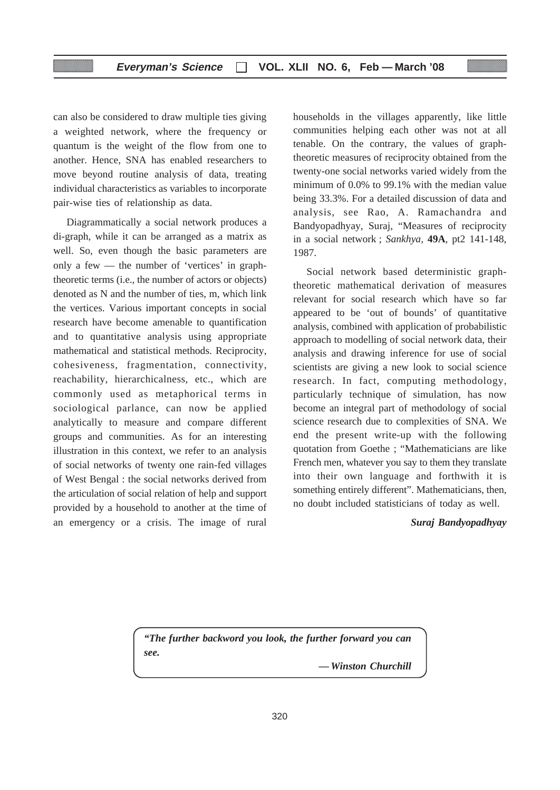can also be considered to draw multiple ties giving a weighted network, where the frequency or quantum is the weight of the flow from one to another. Hence, SNA has enabled researchers to move beyond routine analysis of data, treating individual characteristics as variables to incorporate pair-wise ties of relationship as data.

Diagrammatically a social network produces a di-graph, while it can be arranged as a matrix as well. So, even though the basic parameters are only a few — the number of 'vertices' in graphtheoretic terms (i.e., the number of actors or objects) denoted as N and the number of ties, m, which link the vertices. Various important concepts in social research have become amenable to quantification and to quantitative analysis using appropriate mathematical and statistical methods. Reciprocity, cohesiveness, fragmentation, connectivity, reachability, hierarchicalness, etc., which are commonly used as metaphorical terms in sociological parlance, can now be applied analytically to measure and compare different groups and communities. As for an interesting illustration in this context, we refer to an analysis of social networks of twenty one rain-fed villages of West Bengal : the social networks derived from the articulation of social relation of help and support provided by a household to another at the time of an emergency or a crisis. The image of rural

households in the villages apparently, like little communities helping each other was not at all tenable. On the contrary, the values of graphtheoretic measures of reciprocity obtained from the twenty-one social networks varied widely from the minimum of 0.0% to 99.1% with the median value being 33.3%. For a detailed discussion of data and analysis, see Rao, A. Ramachandra and Bandyopadhyay, Suraj, "Measures of reciprocity in a social network ; *Sankhya*, **49A**, pt2 141-148, 1987.

Social network based deterministic graphtheoretic mathematical derivation of measures relevant for social research which have so far appeared to be 'out of bounds' of quantitative analysis, combined with application of probabilistic approach to modelling of social network data, their analysis and drawing inference for use of social scientists are giving a new look to social science research. In fact, computing methodology, particularly technique of simulation, has now become an integral part of methodology of social science research due to complexities of SNA. We end the present write-up with the following quotation from Goethe ; "Mathematicians are like French men, whatever you say to them they translate into their own language and forthwith it is something entirely different". Mathematicians, then, no doubt included statisticians of today as well.

#### *Suraj Bandyopadhyay*

*"The further backword you look, the further forward you can see.*

*— Winston Churchill*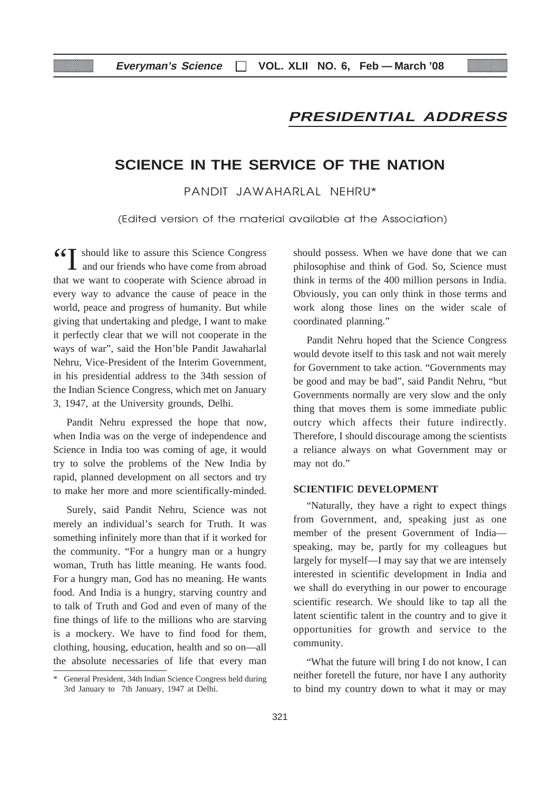# **PRESIDENTIAL ADDRESS**

# **SCIENCE IN THE SERVICE OF THE NATION**

PANDIT JAWAHARLAL NEHRU\*

(Edited version of the material available at the Association)

66<sup>T</sup> should like to assure this Science Congress **L** and our friends who have come from abroad that we want to cooperate with Science abroad in every way to advance the cause of peace in the world, peace and progress of humanity. But while giving that undertaking and pledge, I want to make it perfectly clear that we will not cooperate in the ways of war", said the Hon'ble Pandit Jawaharlal Nehru, Vice-President of the Interim Government, in his presidential address to the 34th session of the Indian Science Congress, which met on January 3, 1947, at the University grounds, Delhi.

Pandit Nehru expressed the hope that now, when India was on the verge of independence and Science in India too was coming of age, it would try to solve the problems of the New India by rapid, planned development on all sectors and try to make her more and more scientifically-minded.

Surely, said Pandit Nehru, Science was not merely an individual's search for Truth. It was something infinitely more than that if it worked for the community. "For a hungry man or a hungry woman, Truth has little meaning. He wants food. For a hungry man, God has no meaning. He wants food. And India is a hungry, starving country and to talk of Truth and God and even of many of the fine things of life to the millions who are starving is a mockery. We have to find food for them, clothing, housing, education, health and so on—all the absolute necessaries of life that every man

should possess. When we have done that we can philosophise and think of God. So, Science must think in terms of the 400 million persons in India. Obviously, you can only think in those terms and work along those lines on the wider scale of coordinated planning."

Pandit Nehru hoped that the Science Congress would devote itself to this task and not wait merely for Government to take action. "Governments may be good and may be bad", said Pandit Nehru, "but Governments normally are very slow and the only thing that moves them is some immediate public outcry which affects their future indirectly. Therefore, I should discourage among the scientists a reliance always on what Government may or may not do."

#### **SCIENTIFIC DEVELOPMENT**

"Naturally, they have a right to expect things from Government, and, speaking just as one member of the present Government of India speaking, may be, partly for my colleagues but largely for myself—I may say that we are intensely interested in scientific development in India and we shall do everything in our power to encourage scientific research. We should like to tap all the latent scientific talent in the country and to give it opportunities for growth and service to the community.

"What the future will bring I do not know, I can neither foretell the future, nor have I any authority to bind my country down to what it may or may

<sup>\*</sup> General President, 34th Indian Science Congress held during 3rd January to 7th January, 1947 at Delhi.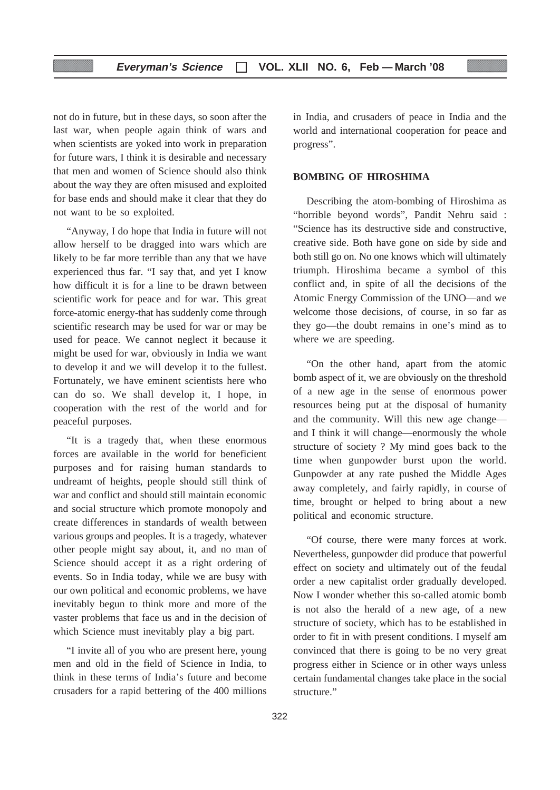not do in future, but in these days, so soon after the last war, when people again think of wars and when scientists are yoked into work in preparation for future wars, I think it is desirable and necessary that men and women of Science should also think about the way they are often misused and exploited for base ends and should make it clear that they do not want to be so exploited.

"Anyway, I do hope that India in future will not allow herself to be dragged into wars which are likely to be far more terrible than any that we have experienced thus far. "I say that, and yet I know how difficult it is for a line to be drawn between scientific work for peace and for war. This great force-atomic energy-that has suddenly come through scientific research may be used for war or may be used for peace. We cannot neglect it because it might be used for war, obviously in India we want to develop it and we will develop it to the fullest. Fortunately, we have eminent scientists here who can do so. We shall develop it, I hope, in cooperation with the rest of the world and for peaceful purposes.

"It is a tragedy that, when these enormous forces are available in the world for beneficient purposes and for raising human standards to undreamt of heights, people should still think of war and conflict and should still maintain economic and social structure which promote monopoly and create differences in standards of wealth between various groups and peoples. It is a tragedy, whatever other people might say about, it, and no man of Science should accept it as a right ordering of events. So in India today, while we are busy with our own political and economic problems, we have inevitably begun to think more and more of the vaster problems that face us and in the decision of which Science must inevitably play a big part.

"I invite all of you who are present here, young men and old in the field of Science in India, to think in these terms of India's future and become crusaders for a rapid bettering of the 400 millions

in India, and crusaders of peace in India and the world and international cooperation for peace and progress".

#### **BOMBING OF HIROSHIMA**

Describing the atom-bombing of Hiroshima as "horrible beyond words", Pandit Nehru said : "Science has its destructive side and constructive, creative side. Both have gone on side by side and both still go on. No one knows which will ultimately triumph. Hiroshima became a symbol of this conflict and, in spite of all the decisions of the Atomic Energy Commission of the UNO—and we welcome those decisions, of course, in so far as they go—the doubt remains in one's mind as to where we are speeding.

"On the other hand, apart from the atomic bomb aspect of it, we are obviously on the threshold of a new age in the sense of enormous power resources being put at the disposal of humanity and the community. Will this new age change and I think it will change—enormously the whole structure of society ? My mind goes back to the time when gunpowder burst upon the world. Gunpowder at any rate pushed the Middle Ages away completely, and fairly rapidly, in course of time, brought or helped to bring about a new political and economic structure.

"Of course, there were many forces at work. Nevertheless, gunpowder did produce that powerful effect on society and ultimately out of the feudal order a new capitalist order gradually developed. Now I wonder whether this so-called atomic bomb is not also the herald of a new age, of a new structure of society, which has to be established in order to fit in with present conditions. I myself am convinced that there is going to be no very great progress either in Science or in other ways unless certain fundamental changes take place in the social structure."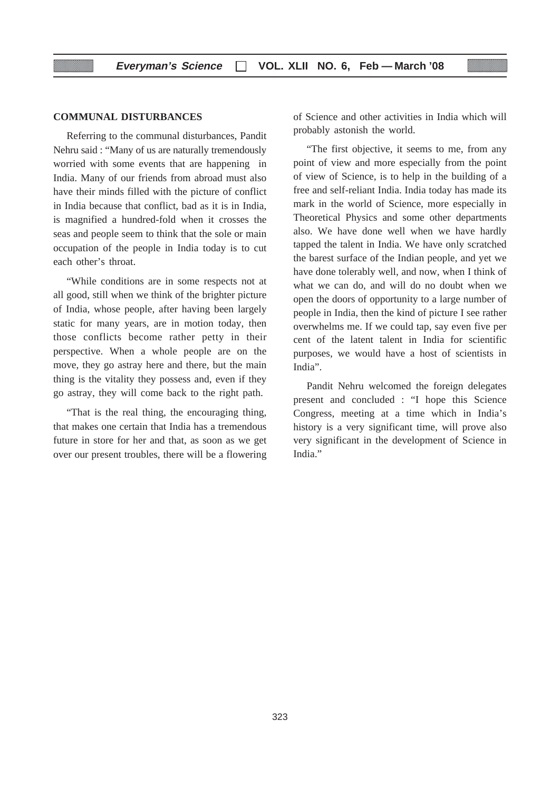#### **COMMUNAL DISTURBANCES**

Referring to the communal disturbances, Pandit Nehru said : "Many of us are naturally tremendously worried with some events that are happening in India. Many of our friends from abroad must also have their minds filled with the picture of conflict in India because that conflict, bad as it is in India, is magnified a hundred-fold when it crosses the seas and people seem to think that the sole or main occupation of the people in India today is to cut each other's throat.

"While conditions are in some respects not at all good, still when we think of the brighter picture of India, whose people, after having been largely static for many years, are in motion today, then those conflicts become rather petty in their perspective. When a whole people are on the move, they go astray here and there, but the main thing is the vitality they possess and, even if they go astray, they will come back to the right path.

"That is the real thing, the encouraging thing, that makes one certain that India has a tremendous future in store for her and that, as soon as we get over our present troubles, there will be a flowering

of Science and other activities in India which will probably astonish the world.

"The first objective, it seems to me, from any point of view and more especially from the point of view of Science, is to help in the building of a free and self-reliant India. India today has made its mark in the world of Science, more especially in Theoretical Physics and some other departments also. We have done well when we have hardly tapped the talent in India. We have only scratched the barest surface of the Indian people, and yet we have done tolerably well, and now, when I think of what we can do, and will do no doubt when we open the doors of opportunity to a large number of people in India, then the kind of picture I see rather overwhelms me. If we could tap, say even five per cent of the latent talent in India for scientific purposes, we would have a host of scientists in India".

Pandit Nehru welcomed the foreign delegates present and concluded : "I hope this Science Congress, meeting at a time which in India's history is a very significant time, will prove also very significant in the development of Science in India."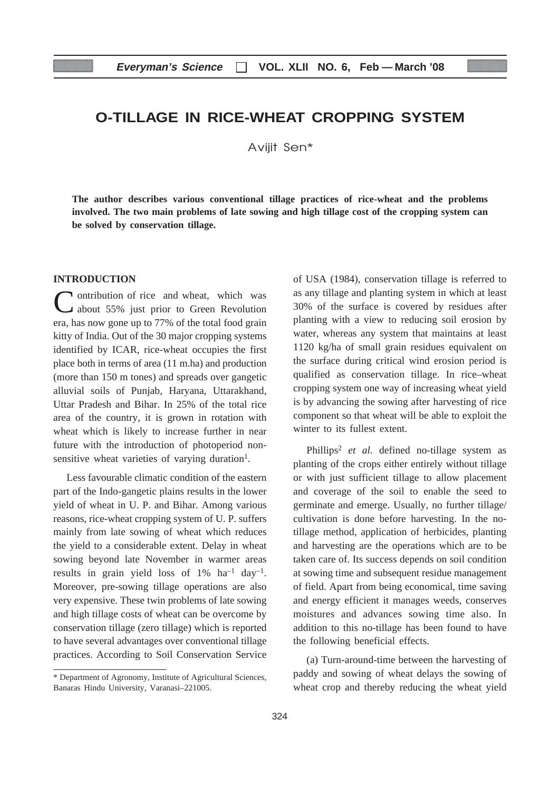# **O-TILLAGE IN RICE-WHEAT CROPPING SYSTEM**

Aviiit Sen\*

**m involved. The two main problems of late sowing and high tillage cost of the cropping system can The author describes various conventional tillage practices of rice-wheat and the problems be solved by conservation tillage.**

#### **INTRODUCTION**

In ontribution of rice and wheat, which was about 55% just prior to Green Revolution era, has now gone up to 77% of the total food grain kitty of India. Out of the 30 major cropping systems identified by ICAR, rice-wheat occupies the first place both in terms of area (11 m.ha) and production (more than 150 m tones) and spreads over gangetic alluvial soils of Punjab, Haryana, Uttarakhand, Uttar Pradesh and Bihar. In 25% of the total rice area of the country, it is grown in rotation with wheat which is likely to increase further in near future with the introduction of photoperiod nonsensitive wheat varieties of varying duration<sup>1</sup>.

Less favourable climatic condition of the eastern part of the Indo-gangetic plains results in the lower yield of wheat in U. P. and Bihar. Among various reasons, rice-wheat cropping system of U. P. suffers mainly from late sowing of wheat which reduces the yield to a considerable extent. Delay in wheat sowing beyond late November in warmer areas results in grain yield loss of  $1\%$  ha<sup>-1</sup> day<sup>-1</sup>. Moreover, pre-sowing tillage operations are also very expensive. These twin problems of late sowing and high tillage costs of wheat can be overcome by conservation tillage (zero tillage) which is reported to have several advantages over conventional tillage practices. According to Soil Conservation Service

of USA (1984), conservation tillage is referred to as any tillage and planting system in which at least 30% of the surface is covered by residues after planting with a view to reducing soil erosion by water, whereas any system that maintains at least 1120 kg/ha of small grain residues equivalent on the surface during critical wind erosion period is qualified as conservation tillage. In rice–wheat cropping system one way of increasing wheat yield is by advancing the sowing after harvesting of rice component so that wheat will be able to exploit the winter to its fullest extent.

Phillips2 *et al*. defined no-tillage system as planting of the crops either entirely without tillage or with just sufficient tillage to allow placement and coverage of the soil to enable the seed to germinate and emerge. Usually, no further tillage/ cultivation is done before harvesting. In the notillage method, application of herbicides, planting and harvesting are the operations which are to be taken care of. Its success depends on soil condition at sowing time and subsequent residue management of field. Apart from being economical, time saving and energy efficient it manages weeds, conserves moistures and advances sowing time also. In addition to this no-tillage has been found to have the following beneficial effects.

(a) Turn-around-time between the harvesting of paddy and sowing of wheat delays the sowing of wheat crop and thereby reducing the wheat yield

<sup>\*</sup> Department of Agronomy, Institute of Agricultural Sciences, Banaras Hindu University, Varanasi–221005.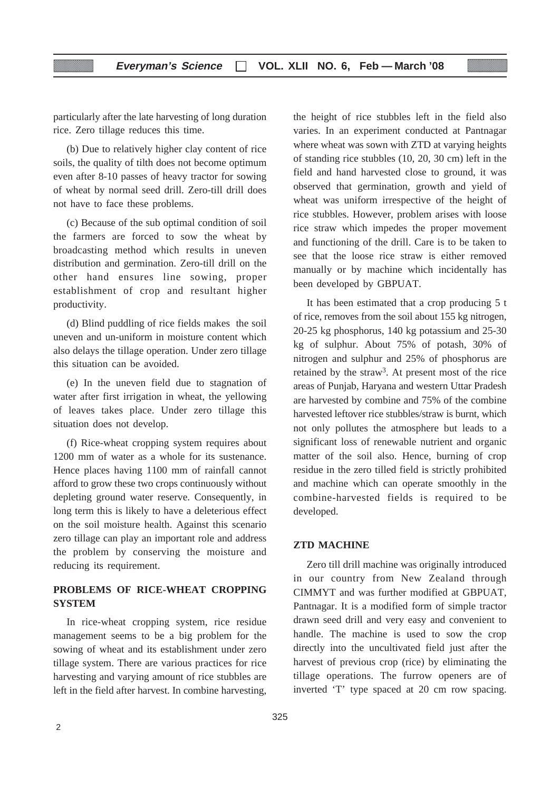particularly after the late harvesting of long duration rice. Zero tillage reduces this time.

(b) Due to relatively higher clay content of rice soils, the quality of tilth does not become optimum even after 8-10 passes of heavy tractor for sowing of wheat by normal seed drill. Zero-till drill does not have to face these problems.

(c) Because of the sub optimal condition of soil the farmers are forced to sow the wheat by broadcasting method which results in uneven distribution and germination. Zero-till drill on the other hand ensures line sowing, proper establishment of crop and resultant higher productivity.

(d) Blind puddling of rice fields makes the soil uneven and un-uniform in moisture content which also delays the tillage operation. Under zero tillage this situation can be avoided.

(e) In the uneven field due to stagnation of water after first irrigation in wheat, the yellowing of leaves takes place. Under zero tillage this situation does not develop.

(f) Rice-wheat cropping system requires about 1200 mm of water as a whole for its sustenance. Hence places having 1100 mm of rainfall cannot afford to grow these two crops continuously without depleting ground water reserve. Consequently, in long term this is likely to have a deleterious effect on the soil moisture health. Against this scenario zero tillage can play an important role and address the problem by conserving the moisture and reducing its requirement.

#### **PROBLEMS OF RICE-WHEAT CROPPING SYSTEM**

In rice-wheat cropping system, rice residue management seems to be a big problem for the sowing of wheat and its establishment under zero tillage system. There are various practices for rice harvesting and varying amount of rice stubbles are left in the field after harvest. In combine harvesting, the height of rice stubbles left in the field also varies. In an experiment conducted at Pantnagar where wheat was sown with ZTD at varying heights of standing rice stubbles (10, 20, 30 cm) left in the field and hand harvested close to ground, it was observed that germination, growth and yield of wheat was uniform irrespective of the height of rice stubbles. However, problem arises with loose rice straw which impedes the proper movement and functioning of the drill. Care is to be taken to see that the loose rice straw is either removed manually or by machine which incidentally has been developed by GBPUAT.

It has been estimated that a crop producing 5 t of rice, removes from the soil about 155 kg nitrogen, 20-25 kg phosphorus, 140 kg potassium and 25-30 kg of sulphur. About 75% of potash, 30% of nitrogen and sulphur and 25% of phosphorus are retained by the straw3. At present most of the rice areas of Punjab, Haryana and western Uttar Pradesh are harvested by combine and 75% of the combine harvested leftover rice stubbles/straw is burnt, which not only pollutes the atmosphere but leads to a significant loss of renewable nutrient and organic matter of the soil also. Hence, burning of crop residue in the zero tilled field is strictly prohibited and machine which can operate smoothly in the combine-harvested fields is required to be developed.

#### **ZTD MACHINE**

Zero till drill machine was originally introduced in our country from New Zealand through CIMMYT and was further modified at GBPUAT, Pantnagar. It is a modified form of simple tractor drawn seed drill and very easy and convenient to handle. The machine is used to sow the crop directly into the uncultivated field just after the harvest of previous crop (rice) by eliminating the tillage operations. The furrow openers are of inverted 'T' type spaced at 20 cm row spacing.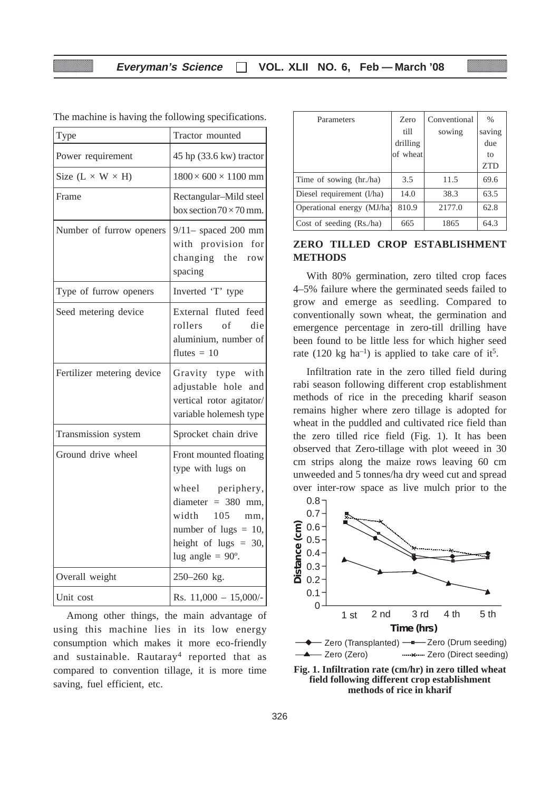| Type                         | Tractor mounted                                                                                                                                   |
|------------------------------|---------------------------------------------------------------------------------------------------------------------------------------------------|
| Power requirement            | $45$ hp $(33.6 \text{ kw})$ tractor                                                                                                               |
| Size $(L \times W \times H)$ | $1800 \times 600 \times 1100$ mm                                                                                                                  |
| Frame                        | Rectangular-Mild steel<br>box section $70 \times 70$ mm.                                                                                          |
| Number of furrow openers     | $9/11$ - spaced 200 mm<br>with provision for<br>changing the row<br>spacing                                                                       |
| Type of furrow openers       | Inverted 'T' type                                                                                                                                 |
| Seed metering device         | External fluted feed<br>of<br>rollers<br>die<br>aluminium, number of<br>flutes $= 10$                                                             |
| Fertilizer metering device   | Gravity type with<br>adjustable hole and<br>vertical rotor agitator/<br>variable holemesh type                                                    |
| Transmission system          | Sprocket chain drive                                                                                                                              |
| Ground drive wheel           | Front mounted floating<br>type with lugs on                                                                                                       |
|                              | wheel periphery,<br>diameter = $380$ mm,<br>width<br>105<br>mm,<br>number of lugs $= 10$ ,<br>height of lugs $= 30$ ,<br>lug angle = $90^\circ$ . |
| Overall weight               | 250-260 kg.                                                                                                                                       |
| Unit cost                    | Rs. $11,000 - 15,000/-$                                                                                                                           |

The machine is having the following specifications.

Among other things, the main advantage of using this machine lies in its low energy consumption which makes it more eco-friendly and sustainable. Rautaray<sup>4</sup> reported that as compared to convention tillage, it is more time saving, fuel efficient, etc.

| Parameters                 | Zero     | Conventional | $\frac{0}{0}$ |
|----------------------------|----------|--------------|---------------|
|                            | till     | sowing       | saving        |
|                            | drilling |              | due           |
|                            | of wheat |              | to            |
|                            |          |              | <b>ZTD</b>    |
| Time of sowing (hr./ha)    | 3.5      | 11.5         | 69.6          |
| Diesel requirement (l/ha)  | 14.0     | 38.3         | 63.5          |
| Operational energy (MJ/ha) | 810.9    | 2177.0       | 62.8          |
| Cost of seeding $(Rs/ha)$  | 665      | 1865         | 64.3          |

#### **ZERO TILLED CROP ESTABLISHMENT METHODS**

With 80% germination, zero tilted crop faces 4–5% failure where the germinated seeds failed to grow and emerge as seedling. Compared to conventionally sown wheat, the germination and emergence percentage in zero-till drilling have been found to be little less for which higher seed rate (120 kg ha<sup>-1</sup>) is applied to take care of it<sup>5</sup>.

Infiltration rate in the zero tilled field during rabi season following different crop establishment methods of rice in the preceding kharif season remains higher where zero tillage is adopted for wheat in the puddled and cultivated rice field than the zero tilled rice field (Fig. 1). It has been observed that Zero-tillage with plot weeed in 30 cm strips along the maize rows leaving 60 cm unweeded and 5 tonnes/ha dry weed cut and spread over inter-row space as live mulch prior to the



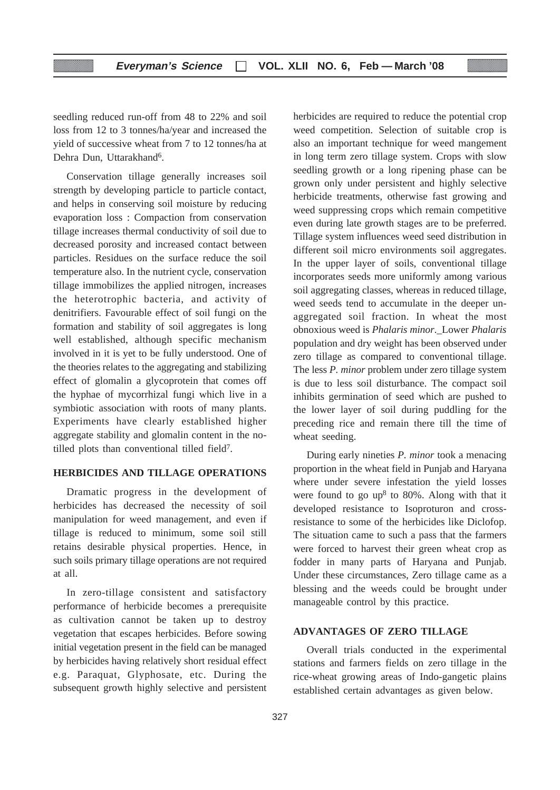seedling reduced run-off from 48 to 22% and soil loss from 12 to 3 tonnes/ha/year and increased the yield of successive wheat from 7 to 12 tonnes/ha at Dehra Dun, Uttarakhand<sup>6</sup>.

Conservation tillage generally increases soil strength by developing particle to particle contact, and helps in conserving soil moisture by reducing evaporation loss : Compaction from conservation tillage increases thermal conductivity of soil due to decreased porosity and increased contact between particles. Residues on the surface reduce the soil temperature also. In the nutrient cycle, conservation tillage immobilizes the applied nitrogen, increases the heterotrophic bacteria, and activity of denitrifiers. Favourable effect of soil fungi on the formation and stability of soil aggregates is long well established, although specific mechanism involved in it is yet to be fully understood. One of the theories relates to the aggregating and stabilizing effect of glomalin a glycoprotein that comes off the hyphae of mycorrhizal fungi which live in a symbiotic association with roots of many plants. Experiments have clearly established higher aggregate stability and glomalin content in the notilled plots than conventional tilled field7.

#### **HERBICIDES AND TILLAGE OPERATIONS**

Dramatic progress in the development of herbicides has decreased the necessity of soil manipulation for weed management, and even if tillage is reduced to minimum, some soil still retains desirable physical properties. Hence, in such soils primary tillage operations are not required at all.

In zero-tillage consistent and satisfactory performance of herbicide becomes a prerequisite as cultivation cannot be taken up to destroy vegetation that escapes herbicides. Before sowing initial vegetation present in the field can be managed by herbicides having relatively short residual effect e.g. Paraquat, Glyphosate, etc. During the subsequent growth highly selective and persistent herbicides are required to reduce the potential crop weed competition. Selection of suitable crop is also an important technique for weed mangement in long term zero tillage system. Crops with slow seedling growth or a long ripening phase can be grown only under persistent and highly selective herbicide treatments, otherwise fast growing and weed suppressing crops which remain competitive even during late growth stages are to be preferred. Tillage system influences weed seed distribution in different soil micro environments soil aggregates. In the upper layer of soils, conventional tillage incorporates seeds more uniformly among various soil aggregating classes, whereas in reduced tillage, weed seeds tend to accumulate in the deeper unaggregated soil fraction. In wheat the most obnoxious weed is *Phalaris minor*.\_Lower *Phalaris* population and dry weight has been observed under zero tillage as compared to conventional tillage. The less *P. minor* problem under zero tillage system is due to less soil disturbance. The compact soil inhibits germination of seed which are pushed to the lower layer of soil during puddling for the preceding rice and remain there till the time of wheat seeding.

During early nineties *P. minor* took a menacing proportion in the wheat field in Punjab and Haryana where under severe infestation the yield losses were found to go  $up^8$  to 80%. Along with that it developed resistance to Isoproturon and crossresistance to some of the herbicides like Diclofop. The situation came to such a pass that the farmers were forced to harvest their green wheat crop as fodder in many parts of Haryana and Punjab. Under these circumstances, Zero tillage came as a blessing and the weeds could be brought under manageable control by this practice.

#### **ADVANTAGES OF ZERO TILLAGE**

Overall trials conducted in the experimental stations and farmers fields on zero tillage in the rice-wheat growing areas of Indo-gangetic plains established certain advantages as given below.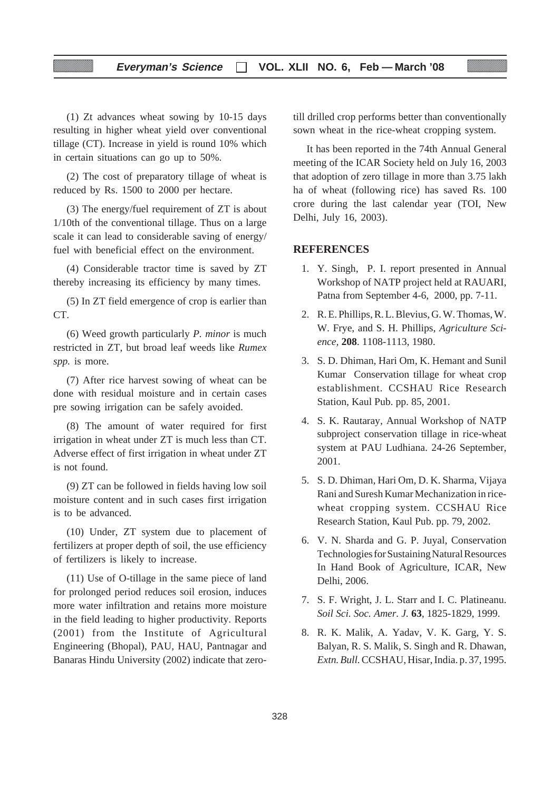(1) Zt advances wheat sowing by 10-15 days resulting in higher wheat yield over conventional tillage (CT). Increase in yield is round 10% which in certain situations can go up to 50%.

(2) The cost of preparatory tillage of wheat is reduced by Rs. 1500 to 2000 per hectare.

(3) The energy/fuel requirement of ZT is about 1/10th of the conventional tillage. Thus on a large scale it can lead to considerable saving of energy/ fuel with beneficial effect on the environment.

(4) Considerable tractor time is saved by ZT thereby increasing its efficiency by many times.

(5) In ZT field emergence of crop is earlier than CT.

(6) Weed growth particularly *P. minor* is much restricted in ZT, but broad leaf weeds like *Rumex spp.* is more.

(7) After rice harvest sowing of wheat can be done with residual moisture and in certain cases pre sowing irrigation can be safely avoided.

(8) The amount of water required for first irrigation in wheat under ZT is much less than CT. Adverse effect of first irrigation in wheat under ZT is not found.

(9) ZT can be followed in fields having low soil moisture content and in such cases first irrigation is to be advanced.

(10) Under, ZT system due to placement of fertilizers at proper depth of soil, the use efficiency of fertilizers is likely to increase.

(11) Use of O-tillage in the same piece of land for prolonged period reduces soil erosion, induces more water infiltration and retains more moisture in the field leading to higher productivity. Reports (2001) from the Institute of Agricultural Engineering (Bhopal), PAU, HAU, Pantnagar and Banaras Hindu University (2002) indicate that zerotill drilled crop performs better than conventionally sown wheat in the rice-wheat cropping system.

It has been reported in the 74th Annual General meeting of the ICAR Society held on July 16, 2003 that adoption of zero tillage in more than 3.75 lakh ha of wheat (following rice) has saved Rs. 100 crore during the last calendar year (TOI, New Delhi, July 16, 2003).

#### **REFERENCES**

- 1. Y. Singh, P. I. report presented in Annual Workshop of NATP project held at RAUARI, Patna from September 4-6, 2000, pp. 7-11.
- 2. R. E. Phillips, R. L. Blevius, G. W. Thomas, W. W. Frye, and S. H. Phillips, *Agriculture Science,* **208**. 1108-1113, 1980.
- 3. S. D. Dhiman, Hari Om, K. Hemant and Sunil Kumar Conservation tillage for wheat crop establishment. CCSHAU Rice Research Station, Kaul Pub. pp. 85, 2001.
- 4. S. K. Rautaray, Annual Workshop of NATP subproject conservation tillage in rice-wheat system at PAU Ludhiana. 24-26 September, 2001.
- 5. S. D. Dhiman, Hari Om, D. K. Sharma, Vijaya Rani and Suresh Kumar Mechanization in ricewheat cropping system. CCSHAU Rice Research Station, Kaul Pub. pp. 79, 2002.
- 6. V. N. Sharda and G. P. Juyal, Conservation Technologies for Sustaining Natural Resources In Hand Book of Agriculture, ICAR, New Delhi, 2006.
- 7. S. F. Wright, J. L. Starr and I. C. Platineanu. *Soil Sci. Soc. Amer. J.* **63**, 1825-1829, 1999.
- 8. R. K. Malik, A. Yadav, V. K. Garg, Y. S. Balyan, R. S. Malik, S. Singh and R. Dhawan, *Extn. Bull.* CCSHAU, Hisar, India. p. 37, 1995.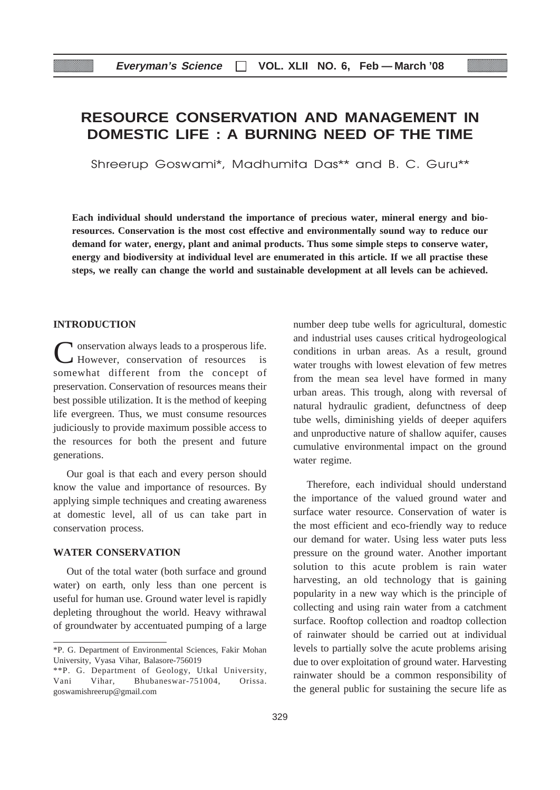# **RESOURCE CONSERVATION AND MANAGEMENT IN DOMESTIC LIFE : A BURNING NEED OF THE TIME**

Shreerup Goswami\*, Madhumita Das\*\* and B. C. Guru\*\*

**Each individual should understand the importance of precious water, mineral energy and bioresources. Conservation is the most cost effective and environmentally sound way to reduce our demand for water, energy, plant and animal products. Thus some simple steps to conserve water, energy and biodiversity at individual level are enumerated in this article. If we all practise these steps, we really can change the world and sustainable development at all levels can be achieved.**

#### **INTRODUCTION**

**T** onservation always leads to a prosperous life.<br>  $\angle$  However, conservation of resources is However, conservation of resources somewhat different from the concept of preservation. Conservation of resources means their best possible utilization. It is the method of keeping life evergreen. Thus, we must consume resources judiciously to provide maximum possible access to the resources for both the present and future generations.

Our goal is that each and every person should know the value and importance of resources. By applying simple techniques and creating awareness at domestic level, all of us can take part in conservation process.

#### **WATER CONSERVATION**

Out of the total water (both surface and ground water) on earth, only less than one percent is useful for human use. Ground water level is rapidly depleting throughout the world. Heavy withrawal of groundwater by accentuated pumping of a large number deep tube wells for agricultural, domestic and industrial uses causes critical hydrogeological conditions in urban areas. As a result, ground water troughs with lowest elevation of few metres from the mean sea level have formed in many urban areas. This trough, along with reversal of natural hydraulic gradient, defunctness of deep tube wells, diminishing yields of deeper aquifers and unproductive nature of shallow aquifer, causes cumulative environmental impact on the ground water regime.

Therefore, each individual should understand the importance of the valued ground water and surface water resource. Conservation of water is the most efficient and eco-friendly way to reduce our demand for water. Using less water puts less pressure on the ground water. Another important solution to this acute problem is rain water harvesting, an old technology that is gaining popularity in a new way which is the principle of collecting and using rain water from a catchment surface. Rooftop collection and roadtop collection of rainwater should be carried out at individual levels to partially solve the acute problems arising due to over exploitation of ground water. Harvesting rainwater should be a common responsibility of the general public for sustaining the secure life as

<sup>\*</sup>P. G. Department of Environmental Sciences, Fakir Mohan University, Vyasa Vihar, Balasore-756019

<sup>\*\*</sup>P. G. Department of Geology, Utkal University, Vani Vihar, Bhubaneswar-751004, Orissa. goswamishreerup@gmail.com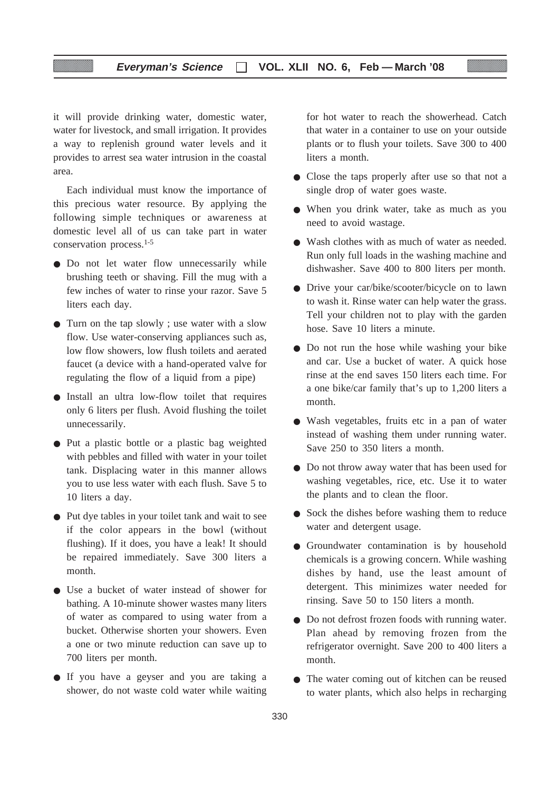#### **Everyman's Science VOL. XLII NO. 6, Feb — March '08**

it will provide drinking water, domestic water, water for livestock, and small irrigation. It provides a way to replenish ground water levels and it provides to arrest sea water intrusion in the coastal area.

Each individual must know the importance of this precious water resource. By applying the following simple techniques or awareness at domestic level all of us can take part in water conservation process.1-5

- Do not let water flow unnecessarily while brushing teeth or shaving. Fill the mug with a few inches of water to rinse your razor. Save 5 liters each day.
- Turn on the tap slowly ; use water with a slow flow. Use water-conserving appliances such as, low flow showers, low flush toilets and aerated faucet (a device with a hand-operated valve for regulating the flow of a liquid from a pipe)
- Install an ultra low-flow toilet that requires only 6 liters per flush. Avoid flushing the toilet unnecessarily.
- Put a plastic bottle or a plastic bag weighted with pebbles and filled with water in your toilet tank. Displacing water in this manner allows you to use less water with each flush. Save 5 to 10 liters a day.
- Put dye tables in your toilet tank and wait to see if the color appears in the bowl (without flushing). If it does, you have a leak! It should be repaired immediately. Save 300 liters a month.
- Use a bucket of water instead of shower for bathing. A 10-minute shower wastes many liters of water as compared to using water from a bucket. Otherwise shorten your showers. Even a one or two minute reduction can save up to 700 liters per month.
- If you have a geyser and you are taking a shower, do not waste cold water while waiting

for hot water to reach the showerhead. Catch that water in a container to use on your outside plants or to flush your toilets. Save 300 to 400 liters a month.

- Close the taps properly after use so that not a single drop of water goes waste.
- When you drink water, take as much as you need to avoid wastage.
- Wash clothes with as much of water as needed. Run only full loads in the washing machine and dishwasher. Save 400 to 800 liters per month.
- Drive your car/bike/scooter/bicycle on to lawn to wash it. Rinse water can help water the grass. Tell your children not to play with the garden hose. Save 10 liters a minute.
- Do not run the hose while washing your bike and car. Use a bucket of water. A quick hose rinse at the end saves 150 liters each time. For a one bike/car family that's up to 1,200 liters a month.
- Wash vegetables, fruits etc in a pan of water instead of washing them under running water. Save 250 to 350 liters a month.
- Do not throw away water that has been used for washing vegetables, rice, etc. Use it to water the plants and to clean the floor.
- Sock the dishes before washing them to reduce water and detergent usage.
- Groundwater contamination is by household chemicals is a growing concern. While washing dishes by hand, use the least amount of detergent. This minimizes water needed for rinsing. Save 50 to 150 liters a month.
- Do not defrost frozen foods with running water. Plan ahead by removing frozen from the refrigerator overnight. Save 200 to 400 liters a month.
- The water coming out of kitchen can be reused to water plants, which also helps in recharging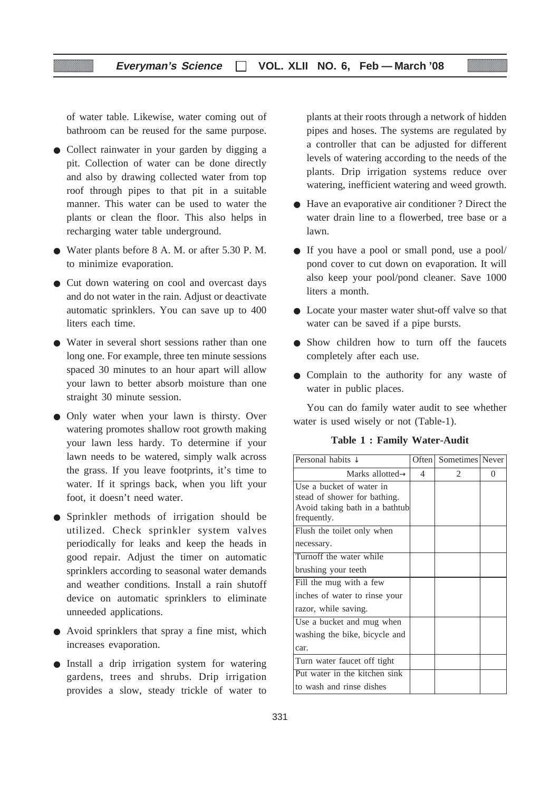of water table. Likewise, water coming out of bathroom can be reused for the same purpose.

- Collect rainwater in your garden by digging a pit. Collection of water can be done directly and also by drawing collected water from top roof through pipes to that pit in a suitable manner. This water can be used to water the plants or clean the floor. This also helps in recharging water table underground.
- Water plants before 8 A. M. or after 5.30 P. M. to minimize evaporation.
- Cut down watering on cool and overcast days and do not water in the rain. Adjust or deactivate automatic sprinklers. You can save up to 400 liters each time.
- Water in several short sessions rather than one long one. For example, three ten minute sessions spaced 30 minutes to an hour apart will allow your lawn to better absorb moisture than one straight 30 minute session.
- Only water when your lawn is thirsty. Over watering promotes shallow root growth making your lawn less hardy. To determine if your lawn needs to be watered, simply walk across the grass. If you leave footprints, it's time to water. If it springs back, when you lift your foot, it doesn't need water.
- Sprinkler methods of irrigation should be utilized. Check sprinkler system valves periodically for leaks and keep the heads in good repair. Adjust the timer on automatic sprinklers according to seasonal water demands and weather conditions. Install a rain shutoff device on automatic sprinklers to eliminate unneeded applications.
- Avoid sprinklers that spray a fine mist, which increases evaporation.
- Install a drip irrigation system for watering gardens, trees and shrubs. Drip irrigation provides a slow, steady trickle of water to

plants at their roots through a network of hidden pipes and hoses. The systems are regulated by a controller that can be adjusted for different levels of watering according to the needs of the plants. Drip irrigation systems reduce over watering, inefficient watering and weed growth.

- Have an evaporative air conditioner ? Direct the water drain line to a flowerbed, tree base or a lawn.
- If you have a pool or small pond, use a pool/ pond cover to cut down on evaporation. It will also keep your pool/pond cleaner. Save 1000 liters a month.
- Locate your master water shut-off valve so that water can be saved if a pipe bursts.
- Show children how to turn off the faucets completely after each use.
- Complain to the authority for any waste of water in public places.

You can do family water audit to see whether water is used wisely or not (Table-1).

**Table 1 : Family Water-Audit**

| Personal habits $\downarrow$   | Often          | Sometimes Never |   |
|--------------------------------|----------------|-----------------|---|
| Marks allotted $\rightarrow$   | $\overline{4}$ | 2               | 0 |
| Use a bucket of water in       |                |                 |   |
| stead of shower for bathing.   |                |                 |   |
| Avoid taking bath in a bathtub |                |                 |   |
| frequently.                    |                |                 |   |
| Flush the toilet only when     |                |                 |   |
| necessary.                     |                |                 |   |
| Turnoff the water while        |                |                 |   |
| brushing your teeth            |                |                 |   |
| Fill the mug with a few        |                |                 |   |
| inches of water to rinse your  |                |                 |   |
| razor, while saving.           |                |                 |   |
| Use a bucket and mug when      |                |                 |   |
| washing the bike, bicycle and  |                |                 |   |
| car.                           |                |                 |   |
| Turn water faucet off tight    |                |                 |   |
| Put water in the kitchen sink  |                |                 |   |
| to wash and rinse dishes       |                |                 |   |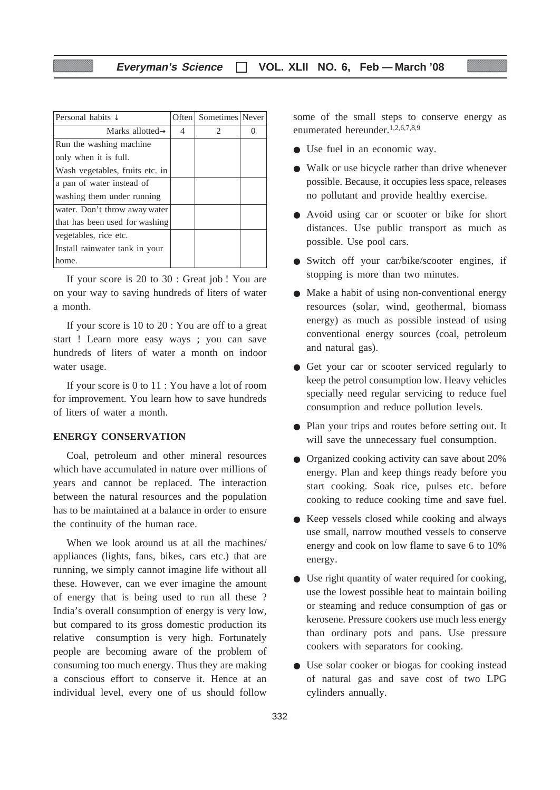| Personal habits $\downarrow$    |   | Often Sometimes Never         |  |
|---------------------------------|---|-------------------------------|--|
| Marks allotted $\rightarrow$    | 4 | $\mathfrak{D}_{\mathfrak{p}}$ |  |
| Run the washing machine.        |   |                               |  |
| only when it is full.           |   |                               |  |
| Wash vegetables, fruits etc. in |   |                               |  |
| a pan of water instead of       |   |                               |  |
| washing them under running      |   |                               |  |
| water. Don't throw away water   |   |                               |  |
| that has been used for washing  |   |                               |  |
| vegetables, rice etc.           |   |                               |  |
| Install rainwater tank in your  |   |                               |  |
| home.                           |   |                               |  |

If your score is 20 to 30 : Great job ! You are on your way to saving hundreds of liters of water a month.

If your score is 10 to 20 : You are off to a great start ! Learn more easy ways ; you can save hundreds of liters of water a month on indoor water usage.

If your score is 0 to 11 : You have a lot of room for improvement. You learn how to save hundreds of liters of water a month.

#### **ENERGY CONSERVATION**

Coal, petroleum and other mineral resources which have accumulated in nature over millions of years and cannot be replaced. The interaction between the natural resources and the population has to be maintained at a balance in order to ensure the continuity of the human race.

When we look around us at all the machines/ appliances (lights, fans, bikes, cars etc.) that are running, we simply cannot imagine life without all these. However, can we ever imagine the amount of energy that is being used to run all these ? India's overall consumption of energy is very low, but compared to its gross domestic production its relative consumption is very high. Fortunately people are becoming aware of the problem of consuming too much energy. Thus they are making a conscious effort to conserve it. Hence at an individual level, every one of us should follow

some of the small steps to conserve energy as enumerated hereunder.1,2,6,7,8,9

- Use fuel in an economic way.
- Walk or use bicycle rather than drive whenever possible. Because, it occupies less space, releases no pollutant and provide healthy exercise.
- Avoid using car or scooter or bike for short distances. Use public transport as much as possible. Use pool cars.
- Switch off your car/bike/scooter engines, if stopping is more than two minutes.
- Make a habit of using non-conventional energy resources (solar, wind, geothermal, biomass energy) as much as possible instead of using conventional energy sources (coal, petroleum and natural gas).
- Get your car or scooter serviced regularly to keep the petrol consumption low. Heavy vehicles specially need regular servicing to reduce fuel consumption and reduce pollution levels.
- Plan your trips and routes before setting out. It will save the unnecessary fuel consumption.
- Organized cooking activity can save about 20% energy. Plan and keep things ready before you start cooking. Soak rice, pulses etc. before cooking to reduce cooking time and save fuel.
- Keep vessels closed while cooking and always use small, narrow mouthed vessels to conserve energy and cook on low flame to save 6 to 10% energy.
- Use right quantity of water required for cooking, use the lowest possible heat to maintain boiling or steaming and reduce consumption of gas or kerosene. Pressure cookers use much less energy than ordinary pots and pans. Use pressure cookers with separators for cooking.
- Use solar cooker or biogas for cooking instead of natural gas and save cost of two LPG cylinders annually.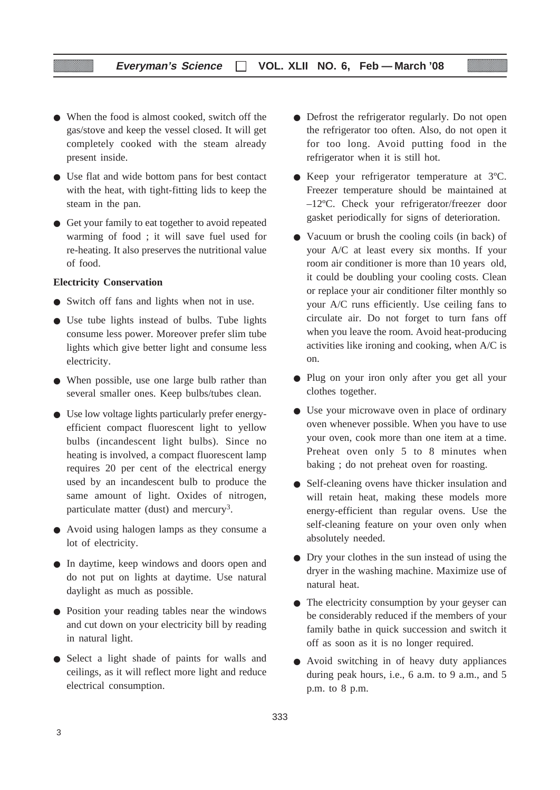### **Everyman's Science VOL. XLII NO. 6, Feb — March '08**

- When the food is almost cooked, switch off the gas/stove and keep the vessel closed. It will get completely cooked with the steam already present inside.
- Use flat and wide bottom pans for best contact with the heat, with tight-fitting lids to keep the steam in the pan.
- Get your family to eat together to avoid repeated warming of food ; it will save fuel used for re-heating. It also preserves the nutritional value of food.

#### **Electricity Conservation**

- Switch off fans and lights when not in use.
- Use tube lights instead of bulbs. Tube lights consume less power. Moreover prefer slim tube lights which give better light and consume less electricity.
- When possible, use one large bulb rather than several smaller ones. Keep bulbs/tubes clean.
- Use low voltage lights particularly prefer energyefficient compact fluorescent light to yellow bulbs (incandescent light bulbs). Since no heating is involved, a compact fluorescent lamp requires 20 per cent of the electrical energy used by an incandescent bulb to produce the same amount of light. Oxides of nitrogen, particulate matter (dust) and mercury<sup>3</sup>.
- Avoid using halogen lamps as they consume a lot of electricity.
- In daytime, keep windows and doors open and do not put on lights at daytime. Use natural daylight as much as possible.
- Position your reading tables near the windows and cut down on your electricity bill by reading in natural light.
- Select a light shade of paints for walls and ceilings, as it will reflect more light and reduce electrical consumption.
- Defrost the refrigerator regularly. Do not open the refrigerator too often. Also, do not open it for too long. Avoid putting food in the refrigerator when it is still hot.
- Keep your refrigerator temperature at 3ºC. Freezer temperature should be maintained at –12ºC. Check your refrigerator/freezer door gasket periodically for signs of deterioration.
- Vacuum or brush the cooling coils (in back) of your A/C at least every six months. If your room air conditioner is more than 10 years old, it could be doubling your cooling costs. Clean or replace your air conditioner filter monthly so your A/C runs efficiently. Use ceiling fans to circulate air. Do not forget to turn fans off when you leave the room. Avoid heat-producing activities like ironing and cooking, when A/C is on.
- Plug on your iron only after you get all your clothes together.
- Use your microwave oven in place of ordinary oven whenever possible. When you have to use your oven, cook more than one item at a time. Preheat oven only 5 to 8 minutes when baking ; do not preheat oven for roasting.
- Self-cleaning ovens have thicker insulation and will retain heat, making these models more energy-efficient than regular ovens. Use the self-cleaning feature on your oven only when absolutely needed.
- Dry your clothes in the sun instead of using the dryer in the washing machine. Maximize use of natural heat.
- The electricity consumption by your geyser can be considerably reduced if the members of your family bathe in quick succession and switch it off as soon as it is no longer required.
- Avoid switching in of heavy duty appliances during peak hours, i.e., 6 a.m. to 9 a.m., and 5 p.m. to 8 p.m.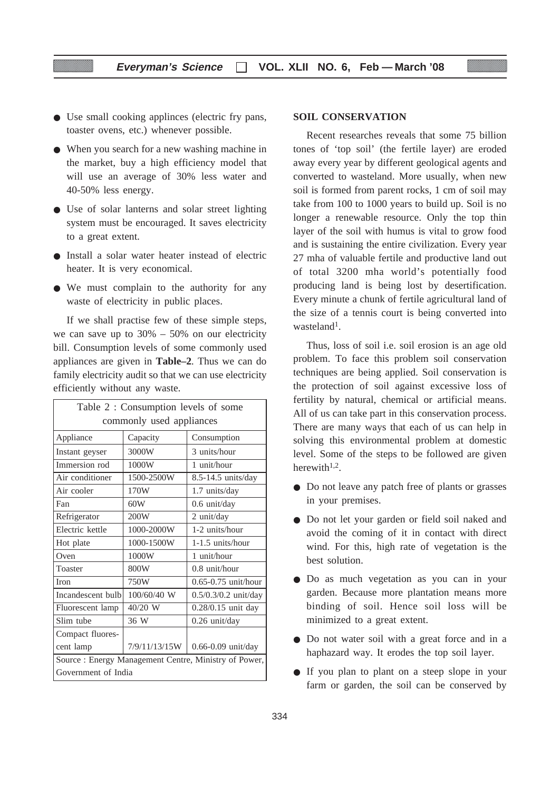- Use small cooking applinces (electric fry pans, toaster ovens, etc.) whenever possible.
- When you search for a new washing machine in the market, buy a high efficiency model that will use an average of 30% less water and 40-50% less energy.
- Use of solar lanterns and solar street lighting system must be encouraged. It saves electricity to a great extent.
- Install a solar water heater instead of electric heater. It is very economical.
- We must complain to the authority for any waste of electricity in public places.

If we shall practise few of these simple steps, we can save up to  $30\% - 50\%$  on our electricity bill. Consumption levels of some commonly used appliances are given in **Table–2**. Thus we can do family electricity audit so that we can use electricity efficiently without any waste.

| Table 2: Consumption levels of some                   |                                         |                      |  |
|-------------------------------------------------------|-----------------------------------------|----------------------|--|
| commonly used appliances                              |                                         |                      |  |
| Appliance                                             | Capacity                                | Consumption          |  |
| Instant geyser                                        | 3000W                                   | 3 units/hour         |  |
| Immersion rod                                         | 1000W                                   | 1 unit/hour          |  |
| Air conditioner                                       | 1500-2500W                              | 8.5-14.5 units/day   |  |
| Air cooler                                            | 170W                                    | 1.7 units/day        |  |
| Fan                                                   | 60W                                     | 0.6 unit/day         |  |
| Refrigerator                                          | 200W                                    | 2 unit/day           |  |
| Electric kettle                                       | 1000-2000W                              | 1-2 units/hour       |  |
| Hot plate                                             | 1000-1500W                              | $1-1.5$ units/hour   |  |
| Oven                                                  | 1000W                                   | 1 unit/hour          |  |
| Toaster                                               | 800W                                    | $0.8$ unit/hour      |  |
| <b>Iron</b>                                           | 750W                                    | 0.65-0.75 unit/hour  |  |
| Incandescent bulb                                     | 100/60/40 W                             | 0.5/0.3/0.2 unit/day |  |
| Fluorescent lamp                                      | 40/20 W                                 | 0.28/0.15 unit day   |  |
| Slim tube                                             | 36 W<br>0.26 unit/day                   |                      |  |
| Compact fluores-                                      |                                         |                      |  |
| cent lamp                                             | 7/9/11/13/15W<br>$0.66 - 0.09$ unit/day |                      |  |
| Source : Energy Management Centre, Ministry of Power, |                                         |                      |  |
| Government of India                                   |                                         |                      |  |

#### **SOIL CONSERVATION**

Recent researches reveals that some 75 billion tones of 'top soil' (the fertile layer) are eroded away every year by different geological agents and converted to wasteland. More usually, when new soil is formed from parent rocks, 1 cm of soil may take from 100 to 1000 years to build up. Soil is no longer a renewable resource. Only the top thin layer of the soil with humus is vital to grow food and is sustaining the entire civilization. Every year 27 mha of valuable fertile and productive land out of total 3200 mha world's potentially food producing land is being lost by desertification. Every minute a chunk of fertile agricultural land of the size of a tennis court is being converted into wasteland<sup>1</sup>.

Thus, loss of soil i.e. soil erosion is an age old problem. To face this problem soil conservation techniques are being applied. Soil conservation is the protection of soil against excessive loss of fertility by natural, chemical or artificial means. All of us can take part in this conservation process. There are many ways that each of us can help in solving this environmental problem at domestic level. Some of the steps to be followed are given herewith $1,2$ .

- Do not leave any patch free of plants or grasses in your premises.
- Do not let your garden or field soil naked and avoid the coming of it in contact with direct wind. For this, high rate of vegetation is the best solution.
- Do as much vegetation as you can in your garden. Because more plantation means more binding of soil. Hence soil loss will be minimized to a great extent.
- Do not water soil with a great force and in a haphazard way. It erodes the top soil layer.
- If you plan to plant on a steep slope in your farm or garden, the soil can be conserved by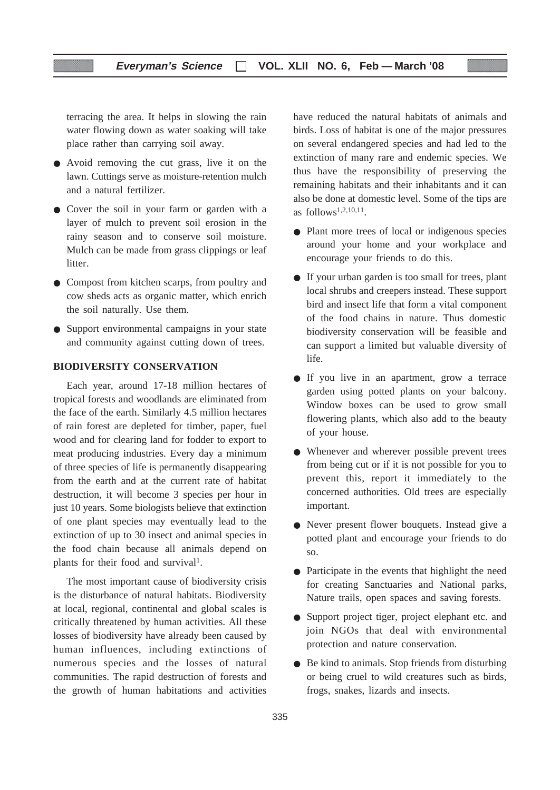terracing the area. It helps in slowing the rain water flowing down as water soaking will take place rather than carrying soil away.

- Avoid removing the cut grass, live it on the lawn. Cuttings serve as moisture-retention mulch and a natural fertilizer.
- Cover the soil in your farm or garden with a layer of mulch to prevent soil erosion in the rainy season and to conserve soil moisture. Mulch can be made from grass clippings or leaf litter.
- Compost from kitchen scarps, from poultry and cow sheds acts as organic matter, which enrich the soil naturally. Use them.
- Support environmental campaigns in your state and community against cutting down of trees.

#### **BIODIVERSITY CONSERVATION**

Each year, around 17-18 million hectares of tropical forests and woodlands are eliminated from the face of the earth. Similarly 4.5 million hectares of rain forest are depleted for timber, paper, fuel wood and for clearing land for fodder to export to meat producing industries. Every day a minimum of three species of life is permanently disappearing from the earth and at the current rate of habitat destruction, it will become 3 species per hour in just 10 years. Some biologists believe that extinction of one plant species may eventually lead to the extinction of up to 30 insect and animal species in the food chain because all animals depend on plants for their food and survival<sup>1</sup>.

The most important cause of biodiversity crisis is the disturbance of natural habitats. Biodiversity at local, regional, continental and global scales is critically threatened by human activities. All these losses of biodiversity have already been caused by human influences, including extinctions of numerous species and the losses of natural communities. The rapid destruction of forests and the growth of human habitations and activities

have reduced the natural habitats of animals and birds. Loss of habitat is one of the major pressures on several endangered species and had led to the extinction of many rare and endemic species. We thus have the responsibility of preserving the remaining habitats and their inhabitants and it can also be done at domestic level. Some of the tips are as follows<sup> $1,2,10,11$ </sup>.

- Plant more trees of local or indigenous species around your home and your workplace and encourage your friends to do this.
- If your urban garden is too small for trees, plant local shrubs and creepers instead. These support bird and insect life that form a vital component of the food chains in nature. Thus domestic biodiversity conservation will be feasible and can support a limited but valuable diversity of life.
- If you live in an apartment, grow a terrace garden using potted plants on your balcony. Window boxes can be used to grow small flowering plants, which also add to the beauty of your house.
- Whenever and wherever possible prevent trees from being cut or if it is not possible for you to prevent this, report it immediately to the concerned authorities. Old trees are especially important.
- Never present flower bouquets. Instead give a potted plant and encourage your friends to do so.
- Participate in the events that highlight the need for creating Sanctuaries and National parks, Nature trails, open spaces and saving forests.
- Support project tiger, project elephant etc. and join NGOs that deal with environmental protection and nature conservation.
- Be kind to animals. Stop friends from disturbing or being cruel to wild creatures such as birds, frogs, snakes, lizards and insects.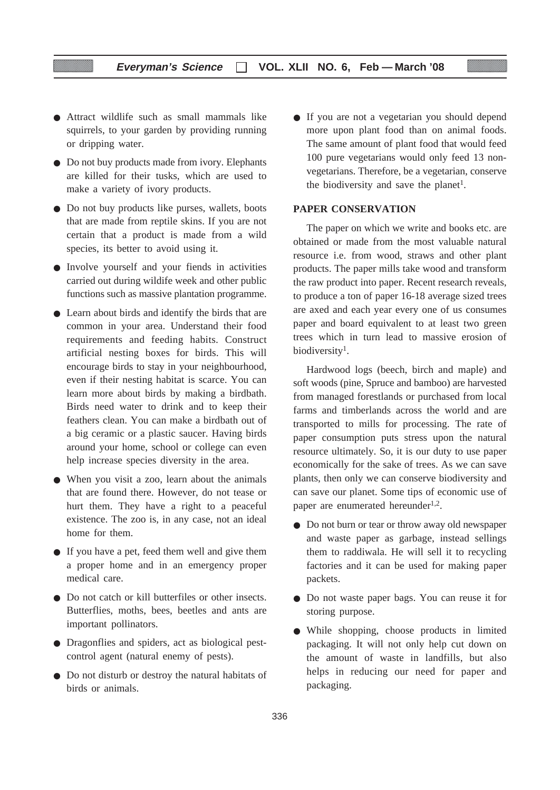- Attract wildlife such as small mammals like squirrels, to your garden by providing running or dripping water.
- Do not buy products made from ivory. Elephants are killed for their tusks, which are used to make a variety of ivory products.
- Do not buy products like purses, wallets, boots that are made from reptile skins. If you are not certain that a product is made from a wild species, its better to avoid using it.
- Involve yourself and your fiends in activities carried out during wildife week and other public functions such as massive plantation programme.
- Learn about birds and identify the birds that are common in your area. Understand their food requirements and feeding habits. Construct artificial nesting boxes for birds. This will encourage birds to stay in your neighbourhood, even if their nesting habitat is scarce. You can learn more about birds by making a birdbath. Birds need water to drink and to keep their feathers clean. You can make a birdbath out of a big ceramic or a plastic saucer. Having birds around your home, school or college can even help increase species diversity in the area.
- When you visit a zoo, learn about the animals that are found there. However, do not tease or hurt them. They have a right to a peaceful existence. The zoo is, in any case, not an ideal home for them.
- If you have a pet, feed them well and give them a proper home and in an emergency proper medical care.
- Do not catch or kill butterfiles or other insects. Butterflies, moths, bees, beetles and ants are important pollinators.
- Dragonflies and spiders, act as biological pestcontrol agent (natural enemy of pests).
- Do not disturb or destroy the natural habitats of birds or animals.

● If you are not a vegetarian you should depend more upon plant food than on animal foods. The same amount of plant food that would feed 100 pure vegetarians would only feed 13 nonvegetarians. Therefore, be a vegetarian, conserve the biodiversity and save the planet<sup>1</sup>.

#### **PAPER CONSERVATION**

The paper on which we write and books etc. are obtained or made from the most valuable natural resource i.e. from wood, straws and other plant products. The paper mills take wood and transform the raw product into paper. Recent research reveals, to produce a ton of paper 16-18 average sized trees are axed and each year every one of us consumes paper and board equivalent to at least two green trees which in turn lead to massive erosion of biodiversity<sup>1</sup>.

Hardwood logs (beech, birch and maple) and soft woods (pine, Spruce and bamboo) are harvested from managed forestlands or purchased from local farms and timberlands across the world and are transported to mills for processing. The rate of paper consumption puts stress upon the natural resource ultimately. So, it is our duty to use paper economically for the sake of trees. As we can save plants, then only we can conserve biodiversity and can save our planet. Some tips of economic use of paper are enumerated hereunder<sup>1,2</sup>.

- Do not burn or tear or throw away old newspaper and waste paper as garbage, instead sellings them to raddiwala. He will sell it to recycling factories and it can be used for making paper packets.
- Do not waste paper bags. You can reuse it for storing purpose.
- While shopping, choose products in limited packaging. It will not only help cut down on the amount of waste in landfills, but also helps in reducing our need for paper and packaging.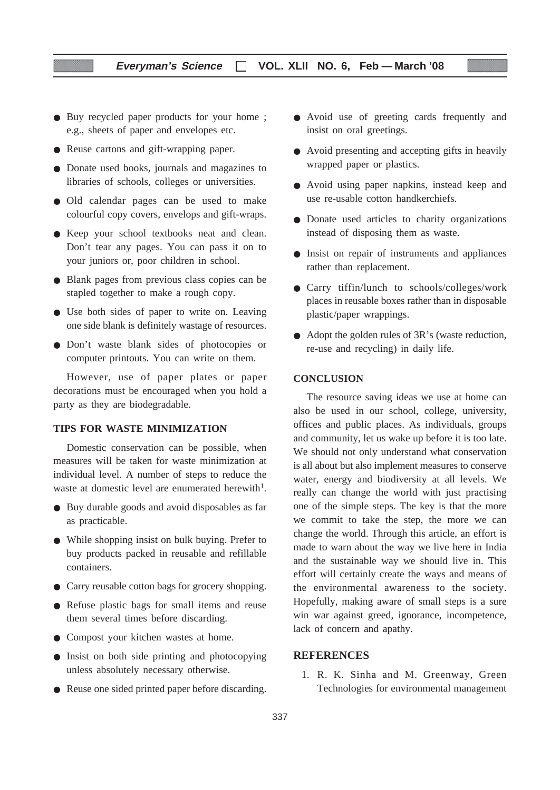#### **Everyman's Science VOL. XLII NO. 6, Feb — March '08**

- Buy recycled paper products for your home ; e.g., sheets of paper and envelopes etc.
- Reuse cartons and gift-wrapping paper.
- Donate used books, journals and magazines to libraries of schools, colleges or universities.
- Old calendar pages can be used to make colourful copy covers, envelops and gift-wraps.
- Keep your school textbooks neat and clean. Don't tear any pages. You can pass it on to your juniors or, poor children in school.
- Blank pages from previous class copies can be stapled together to make a rough copy.
- Use both sides of paper to write on. Leaving one side blank is definitely wastage of resources.
- Don't waste blank sides of photocopies or computer printouts. You can write on them.

However, use of paper plates or paper decorations must be encouraged when you hold a party as they are biodegradable.

#### **TIPS FOR WASTE MINIMIZATION**

Domestic conservation can be possible, when measures will be taken for waste minimization at individual level. A number of steps to reduce the waste at domestic level are enumerated herewith<sup>1</sup>

- Buy durable goods and avoid disposables as far as practicable.
- While shopping insist on bulk buying. Prefer to buy products packed in reusable and refillable containers.
- Carry reusable cotton bags for grocery shopping.
- Refuse plastic bags for small items and reuse them several times before discarding.
- Compost your kitchen wastes at home.
- Insist on both side printing and photocopying unless absolutely necessary otherwise.
- Reuse one sided printed paper before discarding.
- Avoid use of greeting cards frequently and insist on oral greetings.
- Avoid presenting and accepting gifts in heavily wrapped paper or plastics.
- Avoid using paper napkins, instead keep and use re-usable cotton handkerchiefs.
- Donate used articles to charity organizations instead of disposing them as waste.
- Insist on repair of instruments and appliances rather than replacement.
- Carry tiffin/lunch to schools/colleges/work places in reusable boxes rather than in disposable plastic/paper wrappings.
- Adopt the golden rules of 3R's (waste reduction, re-use and recycling) in daily life.

#### **CONCLUSION**

The resource saving ideas we use at home can also be used in our school, college, university, offices and public places. As individuals, groups and community, let us wake up before it is too late. We should not only understand what conservation is all about but also implement measures to conserve water, energy and biodiversity at all levels. We really can change the world with just practising one of the simple steps. The key is that the more we commit to take the step, the more we can change the world. Through this article, an effort is made to warn about the way we live here in India and the sustainable way we should live in. This effort will certainly create the ways and means of the environmental awareness to the society. Hopefully, making aware of small steps is a sure win war against greed, ignorance, incompetence, lack of concern and apathy.

#### **REFERENCES**

1. R. K. Sinha and M. Greenway, Green Technologies for environmental management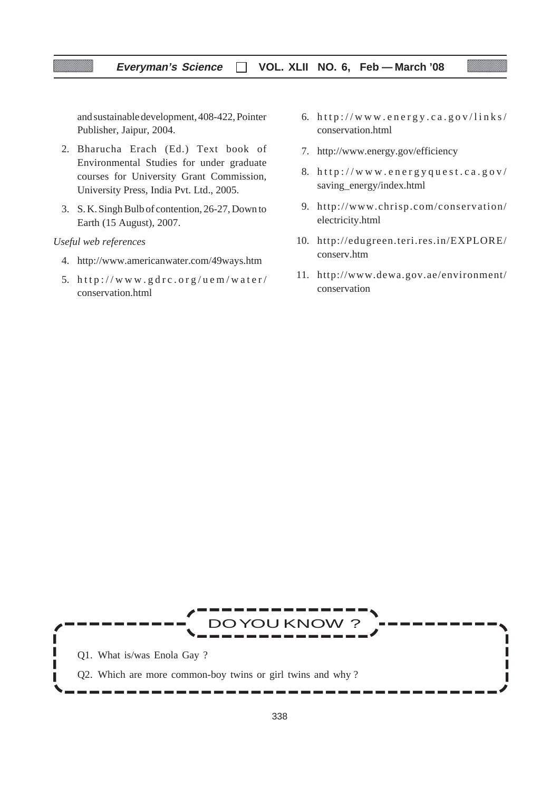and sustainable development, 408-422, Pointer Publisher, Jaipur, 2004.

- 2. Bharucha Erach (Ed.) Text book of Environmental Studies for under graduate courses for University Grant Commission, University Press, India Pvt. Ltd., 2005.
- 3. S. K. Singh Bulb of contention, 26-27, Down to Earth (15 August), 2007.

#### *Useful web references*

- 4. http://www.americanwater.com/49ways.htm
- 5.  $http://www.gdrc.org/uem/water/$ conservation.html
- 6.  $http://www.energy.ca.gov/links/$ conservation.html
- 7. http://www.energy.gov/efficiency
- 8. http://www.energyquest.ca.gov/ saving\_energy/index.html
- 9. http://www.chrisp.com/conservation/ electricity.html
- 10. http://edugreen.teri.res.in/EXPLORE/ conserv.htm
- 11. http://www.dewa.gov.ae/environment/ conservation

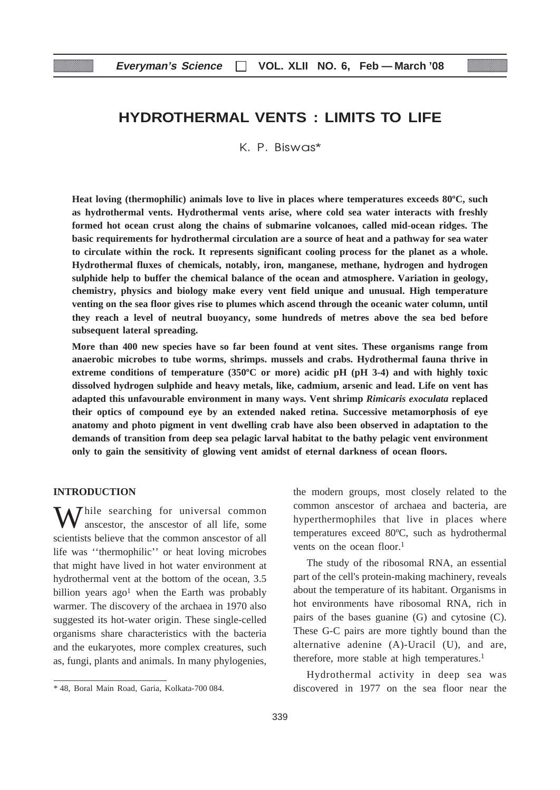# **HYDROTHERMAL VENTS : LIMITS TO LIFE**

K. P. Biswas\*

**Heat loving (thermophilic) animals love to live in places where temperatures exceeds 80ºC, such as hydrothermal vents. Hydrothermal vents arise, where cold sea water interacts with freshly formed hot ocean crust along the chains of submarine volcanoes, called mid-ocean ridges. The basic requirements for hydrothermal circulation are a source of heat and a pathway for sea water to circulate within the rock. It represents significant cooling process for the planet as a whole. Hydrothermal fluxes of chemicals, notably, iron, manganese, methane, hydrogen and hydrogen sulphide help to buffer the chemical balance of the ocean and atmosphere. Variation in geology, chemistry, physics and biology make every vent field unique and unusual. High temperature venting on the sea floor gives rise to plumes which ascend through the oceanic water column, until they reach a level of neutral buoyancy, some hundreds of metres above the sea bed before subsequent lateral spreading.**

**More than 400 new species have so far been found at vent sites. These organisms range from anaerobic microbes to tube worms, shrimps. mussels and crabs. Hydrothermal fauna thrive in extreme conditions of temperature (350ºC or more) acidic pH (pH 3-4) and with highly toxic dissolved hydrogen sulphide and heavy metals, like, cadmium, arsenic and lead. Life on vent has adapted this unfavourable environment in many ways. Vent shrimp** *Rimicaris exoculata* **replaced their optics of compound eye by an extended naked retina. Successive metamorphosis of eye anatomy and photo pigment in vent dwelling crab have also been observed in adaptation to the demands of transition from deep sea pelagic larval habitat to the bathy pelagic vent environment only to gain the sensitivity of glowing vent amidst of eternal darkness of ocean floors.**

#### **INTRODUCTION**

 $\sum$  hile searching for universal common anscestor, the anscestor of all life, some scientists believe that the common anscestor of all life was ''thermophilic'' or heat loving microbes that might have lived in hot water environment at hydrothermal vent at the bottom of the ocean, 3.5 billion years  $ago<sup>1</sup>$  when the Earth was probably warmer. The discovery of the archaea in 1970 also suggested its hot-water origin. These single-celled organisms share characteristics with the bacteria and the eukaryotes, more complex creatures, such as, fungi, plants and animals. In many phylogenies,

the modern groups, most closely related to the common anscestor of archaea and bacteria, are hyperthermophiles that live in places where temperatures exceed 80ºC, such as hydrothermal vents on the ocean floor.<sup>1</sup>

The study of the ribosomal RNA, an essential part of the cell's protein-making machinery, reveals about the temperature of its habitant. Organisms in hot environments have ribosomal RNA, rich in pairs of the bases guanine (G) and cytosine (C). These G-C pairs are more tightly bound than the alternative adenine (A)-Uracil (U), and are, therefore, more stable at high temperatures.<sup>1</sup>

Hydrothermal activity in deep sea was discovered in 1977 on the sea floor near the

<sup>\* 48,</sup> Boral Main Road, Garia, Kolkata-700 084.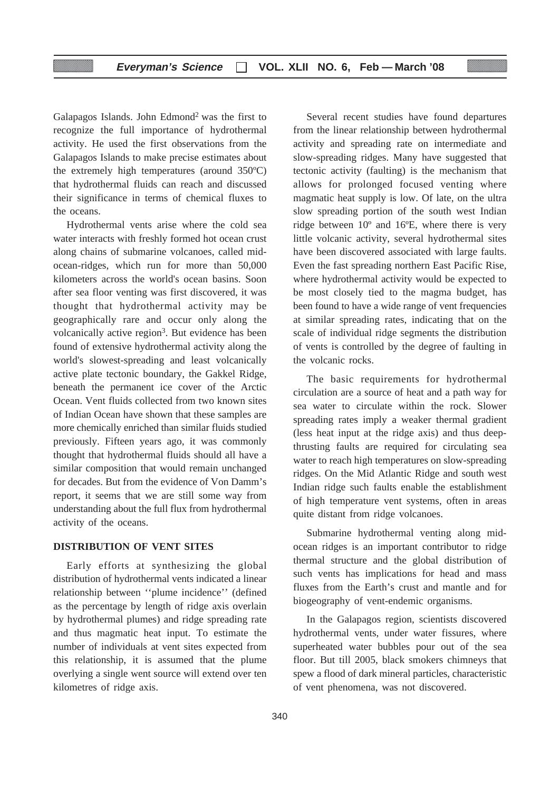Galapagos Islands. John Edmond2 was the first to recognize the full importance of hydrothermal activity. He used the first observations from the Galapagos Islands to make precise estimates about the extremely high temperatures (around 350ºC) that hydrothermal fluids can reach and discussed their significance in terms of chemical fluxes to the oceans.

Hydrothermal vents arise where the cold sea water interacts with freshly formed hot ocean crust along chains of submarine volcanoes, called midocean-ridges, which run for more than 50,000 kilometers across the world's ocean basins. Soon after sea floor venting was first discovered, it was thought that hydrothermal activity may be geographically rare and occur only along the volcanically active region<sup>3</sup>. But evidence has been found of extensive hydrothermal activity along the world's slowest-spreading and least volcanically active plate tectonic boundary, the Gakkel Ridge, beneath the permanent ice cover of the Arctic Ocean. Vent fluids collected from two known sites of Indian Ocean have shown that these samples are more chemically enriched than similar fluids studied previously. Fifteen years ago, it was commonly thought that hydrothermal fluids should all have a similar composition that would remain unchanged for decades. But from the evidence of Von Damm's report, it seems that we are still some way from understanding about the full flux from hydrothermal activity of the oceans.

#### **DISTRIBUTION OF VENT SITES**

Early efforts at synthesizing the global distribution of hydrothermal vents indicated a linear relationship between ''plume incidence'' (defined as the percentage by length of ridge axis overlain by hydrothermal plumes) and ridge spreading rate and thus magmatic heat input. To estimate the number of individuals at vent sites expected from this relationship, it is assumed that the plume overlying a single went source will extend over ten kilometres of ridge axis.

Several recent studies have found departures from the linear relationship between hydrothermal activity and spreading rate on intermediate and slow-spreading ridges. Many have suggested that tectonic activity (faulting) is the mechanism that allows for prolonged focused venting where magmatic heat supply is low. Of late, on the ultra slow spreading portion of the south west Indian ridge between 10º and 16ºE, where there is very little volcanic activity, several hydrothermal sites have been discovered associated with large faults. Even the fast spreading northern East Pacific Rise, where hydrothermal activity would be expected to be most closely tied to the magma budget, has been found to have a wide range of vent frequencies at similar spreading rates, indicating that on the scale of individual ridge segments the distribution of vents is controlled by the degree of faulting in the volcanic rocks.

The basic requirements for hydrothermal circulation are a source of heat and a path way for sea water to circulate within the rock. Slower spreading rates imply a weaker thermal gradient (less heat input at the ridge axis) and thus deepthrusting faults are required for circulating sea water to reach high temperatures on slow-spreading ridges. On the Mid Atlantic Ridge and south west Indian ridge such faults enable the establishment of high temperature vent systems, often in areas quite distant from ridge volcanoes.

Submarine hydrothermal venting along midocean ridges is an important contributor to ridge thermal structure and the global distribution of such vents has implications for head and mass fluxes from the Earth's crust and mantle and for biogeography of vent-endemic organisms.

In the Galapagos region, scientists discovered hydrothermal vents, under water fissures, where superheated water bubbles pour out of the sea floor. But till 2005, black smokers chimneys that spew a flood of dark mineral particles, characteristic of vent phenomena, was not discovered.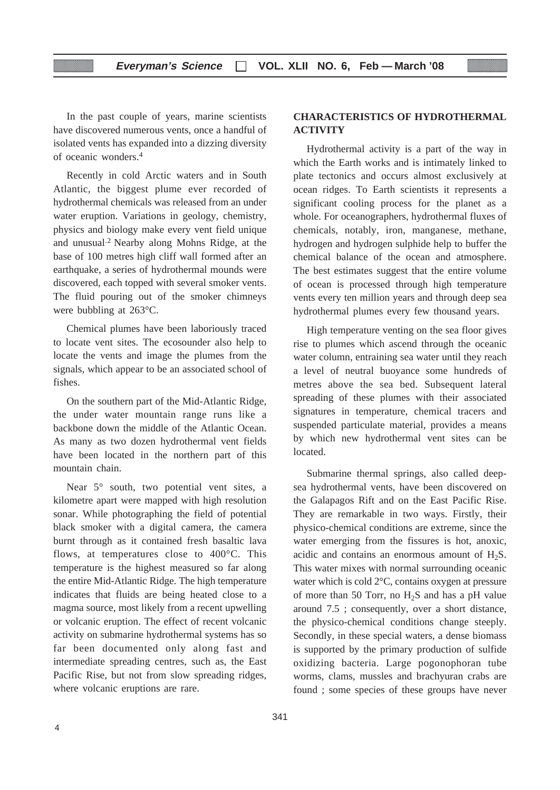In the past couple of years, marine scientists have discovered numerous vents, once a handful of isolated vents has expanded into a dizzing diversity of oceanic wonders.4

Recently in cold Arctic waters and in South Atlantic, the biggest plume ever recorded of hydrothermal chemicals was released from an under water eruption. Variations in geology, chemistry, physics and biology make every vent field unique and unusual.2 Nearby along Mohns Ridge, at the base of 100 metres high cliff wall formed after an earthquake, a series of hydrothermal mounds were discovered, each topped with several smoker vents. The fluid pouring out of the smoker chimneys were bubbling at 263°C.

Chemical plumes have been laboriously traced to locate vent sites. The ecosounder also help to locate the vents and image the plumes from the signals, which appear to be an associated school of fishes.

On the southern part of the Mid-Atlantic Ridge, the under water mountain range runs like a backbone down the middle of the Atlantic Ocean. As many as two dozen hydrothermal vent fields have been located in the northern part of this mountain chain.

Near  $5^\circ$  south, two potential vent sites, a kilometre apart were mapped with high resolution sonar. While photographing the field of potential black smoker with a digital camera, the camera burnt through as it contained fresh basaltic lava flows, at temperatures close to 400°C. This temperature is the highest measured so far along the entire Mid-Atlantic Ridge. The high temperature indicates that fluids are being heated close to a magma source, most likely from a recent upwelling or volcanic eruption. The effect of recent volcanic activity on submarine hydrothermal systems has so far been documented only along fast and intermediate spreading centres, such as, the East Pacific Rise, but not from slow spreading ridges, where volcanic eruptions are rare.

#### **CHARACTERISTICS OF HYDROTHERMAL ACTIVITY**

Hydrothermal activity is a part of the way in which the Earth works and is intimately linked to plate tectonics and occurs almost exclusively at ocean ridges. To Earth scientists it represents a significant cooling process for the planet as a whole. For oceanographers, hydrothermal fluxes of chemicals, notably, iron, manganese, methane, hydrogen and hydrogen sulphide help to buffer the chemical balance of the ocean and atmosphere. The best estimates suggest that the entire volume of ocean is processed through high temperature vents every ten million years and through deep sea hydrothermal plumes every few thousand years.

High temperature venting on the sea floor gives rise to plumes which ascend through the oceanic water column, entraining sea water until they reach a level of neutral buoyance some hundreds of metres above the sea bed. Subsequent lateral spreading of these plumes with their associated signatures in temperature, chemical tracers and suspended particulate material, provides a means by which new hydrothermal vent sites can be located.

Submarine thermal springs, also called deepsea hydrothermal vents, have been discovered on the Galapagos Rift and on the East Pacific Rise. They are remarkable in two ways. Firstly, their physico-chemical conditions are extreme, since the water emerging from the fissures is hot, anoxic, acidic and contains an enormous amount of  $H_2S$ . This water mixes with normal surrounding oceanic water which is cold 2°C, contains oxygen at pressure of more than 50 Torr, no  $H_2S$  and has a pH value around 7.5 ; consequently, over a short distance, the physico-chemical conditions change steeply. Secondly, in these special waters, a dense biomass is supported by the primary production of sulfide oxidizing bacteria. Large pogonophoran tube worms, clams, mussles and brachyuran crabs are found ; some species of these groups have never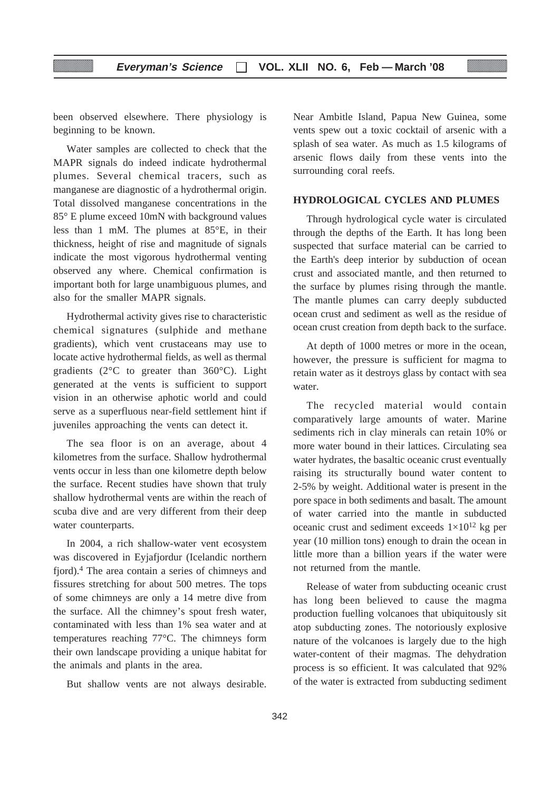been observed elsewhere. There physiology is beginning to be known.

Water samples are collected to check that the MAPR signals do indeed indicate hydrothermal plumes. Several chemical tracers, such as manganese are diagnostic of a hydrothermal origin. Total dissolved manganese concentrations in the 85° E plume exceed 10mN with background values less than 1 mM. The plumes at 85°E, in their thickness, height of rise and magnitude of signals indicate the most vigorous hydrothermal venting observed any where. Chemical confirmation is important both for large unambiguous plumes, and also for the smaller MAPR signals.

Hydrothermal activity gives rise to characteristic chemical signatures (sulphide and methane gradients), which vent crustaceans may use to locate active hydrothermal fields, as well as thermal gradients (2°C to greater than 360°C). Light generated at the vents is sufficient to support vision in an otherwise aphotic world and could serve as a superfluous near-field settlement hint if juveniles approaching the vents can detect it.

The sea floor is on an average, about 4 kilometres from the surface. Shallow hydrothermal vents occur in less than one kilometre depth below the surface. Recent studies have shown that truly shallow hydrothermal vents are within the reach of scuba dive and are very different from their deep water counterparts.

In 2004, a rich shallow-water vent ecosystem was discovered in Eyjafjordur (Icelandic northern fjord).4 The area contain a series of chimneys and fissures stretching for about 500 metres. The tops of some chimneys are only a 14 metre dive from the surface. All the chimney's spout fresh water, contaminated with less than 1% sea water and at temperatures reaching 77°C. The chimneys form their own landscape providing a unique habitat for the animals and plants in the area.

But shallow vents are not always desirable.

Near Ambitle Island, Papua New Guinea, some vents spew out a toxic cocktail of arsenic with a splash of sea water. As much as 1.5 kilograms of arsenic flows daily from these vents into the surrounding coral reefs.

#### **HYDROLOGICAL CYCLES AND PLUMES**

Through hydrological cycle water is circulated through the depths of the Earth. It has long been suspected that surface material can be carried to the Earth's deep interior by subduction of ocean crust and associated mantle, and then returned to the surface by plumes rising through the mantle. The mantle plumes can carry deeply subducted ocean crust and sediment as well as the residue of ocean crust creation from depth back to the surface.

At depth of 1000 metres or more in the ocean, however, the pressure is sufficient for magma to retain water as it destroys glass by contact with sea water.

The recycled material would contain comparatively large amounts of water. Marine sediments rich in clay minerals can retain 10% or more water bound in their lattices. Circulating sea water hydrates, the basaltic oceanic crust eventually raising its structurally bound water content to 2-5% by weight. Additional water is present in the pore space in both sediments and basalt. The amount of water carried into the mantle in subducted oceanic crust and sediment exceeds  $1\times10^{12}$  kg per year (10 million tons) enough to drain the ocean in little more than a billion years if the water were not returned from the mantle.

Release of water from subducting oceanic crust has long been believed to cause the magma production fuelling volcanoes that ubiquitously sit atop subducting zones. The notoriously explosive nature of the volcanoes is largely due to the high water-content of their magmas. The dehydration process is so efficient. It was calculated that 92% of the water is extracted from subducting sediment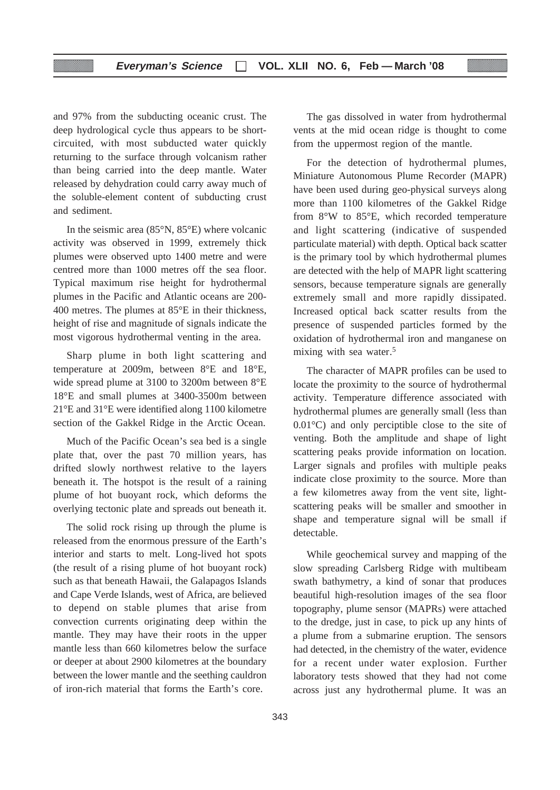and 97% from the subducting oceanic crust. The deep hydrological cycle thus appears to be shortcircuited, with most subducted water quickly returning to the surface through volcanism rather than being carried into the deep mantle. Water released by dehydration could carry away much of the soluble-element content of subducting crust and sediment.

In the seismic area (85°N, 85°E) where volcanic activity was observed in 1999, extremely thick plumes were observed upto 1400 metre and were centred more than 1000 metres off the sea floor. Typical maximum rise height for hydrothermal plumes in the Pacific and Atlantic oceans are 200- 400 metres. The plumes at 85°E in their thickness, height of rise and magnitude of signals indicate the most vigorous hydrothermal venting in the area.

Sharp plume in both light scattering and temperature at 2009m, between 8°E and 18°E, wide spread plume at 3100 to 3200m between 8°E 18°E and small plumes at 3400-3500m between 21°E and 31°E were identified along 1100 kilometre section of the Gakkel Ridge in the Arctic Ocean.

Much of the Pacific Ocean's sea bed is a single plate that, over the past 70 million years, has drifted slowly northwest relative to the layers beneath it. The hotspot is the result of a raining plume of hot buoyant rock, which deforms the overlying tectonic plate and spreads out beneath it.

The solid rock rising up through the plume is released from the enormous pressure of the Earth's interior and starts to melt. Long-lived hot spots (the result of a rising plume of hot buoyant rock) such as that beneath Hawaii, the Galapagos Islands and Cape Verde Islands, west of Africa, are believed to depend on stable plumes that arise from convection currents originating deep within the mantle. They may have their roots in the upper mantle less than 660 kilometres below the surface or deeper at about 2900 kilometres at the boundary between the lower mantle and the seething cauldron of iron-rich material that forms the Earth's core.

The gas dissolved in water from hydrothermal vents at the mid ocean ridge is thought to come from the uppermost region of the mantle.

For the detection of hydrothermal plumes, Miniature Autonomous Plume Recorder (MAPR) have been used during geo-physical surveys along more than 1100 kilometres of the Gakkel Ridge from 8°W to 85°E, which recorded temperature and light scattering (indicative of suspended particulate material) with depth. Optical back scatter is the primary tool by which hydrothermal plumes are detected with the help of MAPR light scattering sensors, because temperature signals are generally extremely small and more rapidly dissipated. Increased optical back scatter results from the presence of suspended particles formed by the oxidation of hydrothermal iron and manganese on mixing with sea water.5

The character of MAPR profiles can be used to locate the proximity to the source of hydrothermal activity. Temperature difference associated with hydrothermal plumes are generally small (less than 0.01°C) and only perciptible close to the site of venting. Both the amplitude and shape of light scattering peaks provide information on location. Larger signals and profiles with multiple peaks indicate close proximity to the source. More than a few kilometres away from the vent site, lightscattering peaks will be smaller and smoother in shape and temperature signal will be small if detectable.

While geochemical survey and mapping of the slow spreading Carlsberg Ridge with multibeam swath bathymetry, a kind of sonar that produces beautiful high-resolution images of the sea floor topography, plume sensor (MAPRs) were attached to the dredge, just in case, to pick up any hints of a plume from a submarine eruption. The sensors had detected, in the chemistry of the water, evidence for a recent under water explosion. Further laboratory tests showed that they had not come across just any hydrothermal plume. It was an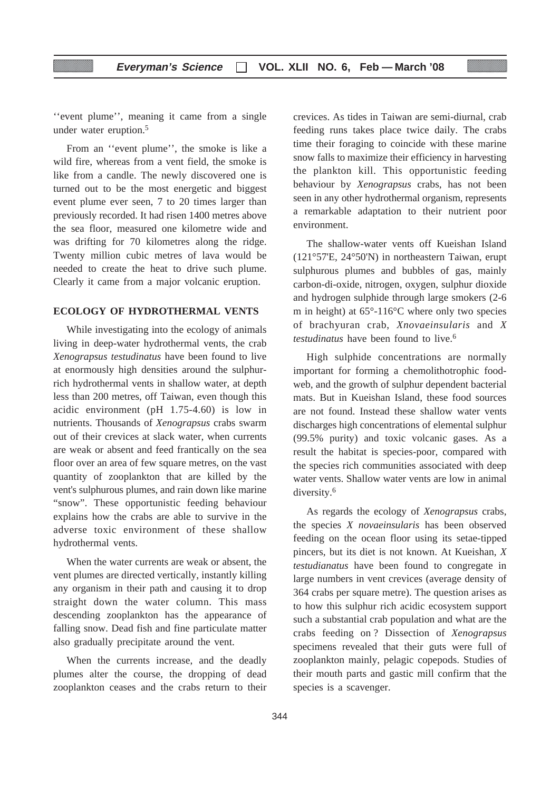''event plume'', meaning it came from a single under water eruption.5

From an ''event plume'', the smoke is like a wild fire, whereas from a vent field, the smoke is like from a candle. The newly discovered one is turned out to be the most energetic and biggest event plume ever seen, 7 to 20 times larger than previously recorded. It had risen 1400 metres above the sea floor, measured one kilometre wide and was drifting for 70 kilometres along the ridge. Twenty million cubic metres of lava would be needed to create the heat to drive such plume. Clearly it came from a major volcanic eruption.

#### **ECOLOGY OF HYDROTHERMAL VENTS**

While investigating into the ecology of animals living in deep-water hydrothermal vents, the crab *Xenograpsus testudinatus* have been found to live at enormously high densities around the sulphurrich hydrothermal vents in shallow water, at depth less than 200 metres, off Taiwan, even though this acidic environment (pH 1.75-4.60) is low in nutrients. Thousands of *Xenograpsus* crabs swarm out of their crevices at slack water, when currents are weak or absent and feed frantically on the sea floor over an area of few square metres, on the vast quantity of zooplankton that are killed by the vent's sulphurous plumes, and rain down like marine "snow". These opportunistic feeding behaviour explains how the crabs are able to survive in the adverse toxic environment of these shallow hydrothermal vents.

When the water currents are weak or absent, the vent plumes are directed vertically, instantly killing any organism in their path and causing it to drop straight down the water column. This mass descending zooplankton has the appearance of falling snow. Dead fish and fine particulate matter also gradually precipitate around the vent.

When the currents increase, and the deadly plumes alter the course, the dropping of dead zooplankton ceases and the crabs return to their crevices. As tides in Taiwan are semi-diurnal, crab feeding runs takes place twice daily. The crabs time their foraging to coincide with these marine snow falls to maximize their efficiency in harvesting the plankton kill. This opportunistic feeding behaviour by *Xenograpsus* crabs, has not been seen in any other hydrothermal organism, represents a remarkable adaptation to their nutrient poor environment.

The shallow-water vents off Kueishan Island (121°57'E, 24°50'N) in northeastern Taiwan, erupt sulphurous plumes and bubbles of gas, mainly carbon-di-oxide, nitrogen, oxygen, sulphur dioxide and hydrogen sulphide through large smokers (2-6 m in height) at 65°-116°C where only two species of brachyuran crab, *Xnovaeinsularis* and *X testudinatus* have been found to live.6

High sulphide concentrations are normally important for forming a chemolithotrophic foodweb, and the growth of sulphur dependent bacterial mats. But in Kueishan Island, these food sources are not found. Instead these shallow water vents discharges high concentrations of elemental sulphur (99.5% purity) and toxic volcanic gases. As a result the habitat is species-poor, compared with the species rich communities associated with deep water vents. Shallow water vents are low in animal diversity.6

As regards the ecology of *Xenograpsus* crabs, the species *X novaeinsularis* has been observed feeding on the ocean floor using its setae-tipped pincers, but its diet is not known. At Kueishan, *X testudianatus* have been found to congregate in large numbers in vent crevices (average density of 364 crabs per square metre). The question arises as to how this sulphur rich acidic ecosystem support such a substantial crab population and what are the crabs feeding on ? Dissection of *Xenograpsus* specimens revealed that their guts were full of zooplankton mainly, pelagic copepods. Studies of their mouth parts and gastic mill confirm that the species is a scavenger.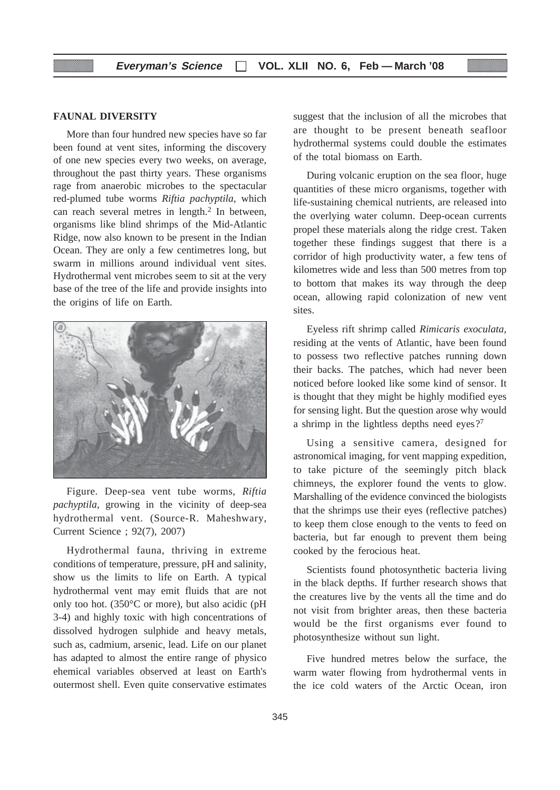#### **FAUNAL DIVERSITY**

More than four hundred new species have so far been found at vent sites, informing the discovery of one new species every two weeks, on average, throughout the past thirty years. These organisms rage from anaerobic microbes to the spectacular red-plumed tube worms *Riftia pachyptila,* which can reach several metres in length.2 In between, organisms like blind shrimps of the Mid-Atlantic Ridge, now also known to be present in the Indian Ocean. They are only a few centimetres long, but swarm in millions around individual vent sites. Hydrothermal vent microbes seem to sit at the very base of the tree of the life and provide insights into the origins of life on Earth.



Figure. Deep-sea vent tube worms, *Riftia pachyptila,* growing in the vicinity of deep-sea hydrothermal vent. (Source-R. Maheshwary, Current Science ; 92(7), 2007)

Hydrothermal fauna, thriving in extreme conditions of temperature, pressure, pH and salinity, show us the limits to life on Earth. A typical hydrothermal vent may emit fluids that are not only too hot. (350°C or more), but also acidic (pH 3-4) and highly toxic with high concentrations of dissolved hydrogen sulphide and heavy metals, such as, cadmium, arsenic, lead. Life on our planet has adapted to almost the entire range of physico ehemical variables observed at least on Earth's outermost shell. Even quite conservative estimates

suggest that the inclusion of all the microbes that are thought to be present beneath seafloor hydrothermal systems could double the estimates of the total biomass on Earth.

During volcanic eruption on the sea floor, huge quantities of these micro organisms, together with life-sustaining chemical nutrients, are released into the overlying water column. Deep-ocean currents propel these materials along the ridge crest. Taken together these findings suggest that there is a corridor of high productivity water, a few tens of kilometres wide and less than 500 metres from top to bottom that makes its way through the deep ocean, allowing rapid colonization of new vent sites.

Eyeless rift shrimp called *Rimicaris exoculata,* residing at the vents of Atlantic, have been found to possess two reflective patches running down their backs. The patches, which had never been noticed before looked like some kind of sensor. It is thought that they might be highly modified eyes for sensing light. But the question arose why would a shrimp in the lightless depths need eyes?7

Using a sensitive camera, designed for astronomical imaging, for vent mapping expedition, to take picture of the seemingly pitch black chimneys, the explorer found the vents to glow. Marshalling of the evidence convinced the biologists that the shrimps use their eyes (reflective patches) to keep them close enough to the vents to feed on bacteria, but far enough to prevent them being cooked by the ferocious heat.

Scientists found photosynthetic bacteria living in the black depths. If further research shows that the creatures live by the vents all the time and do not visit from brighter areas, then these bacteria would be the first organisms ever found to photosynthesize without sun light.

Five hundred metres below the surface, the warm water flowing from hydrothermal vents in the ice cold waters of the Arctic Ocean, iron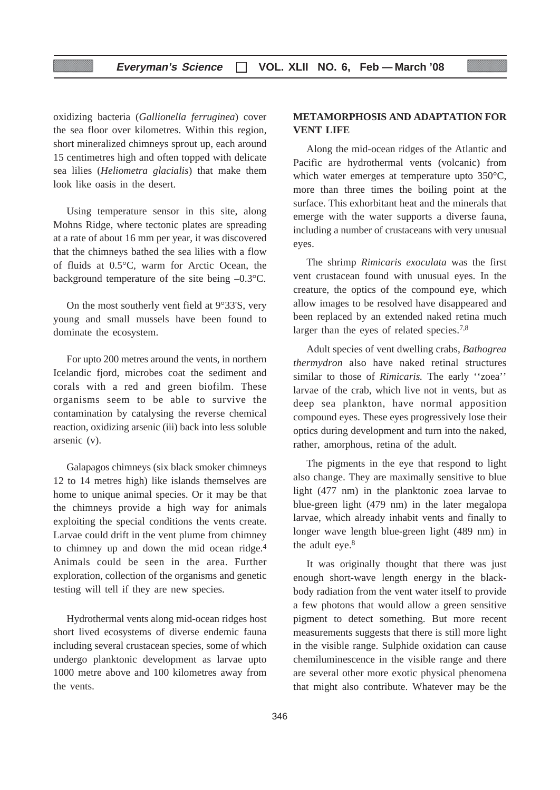oxidizing bacteria (*Gallionella ferruginea*) cover the sea floor over kilometres. Within this region, short mineralized chimneys sprout up, each around 15 centimetres high and often topped with delicate sea lilies (*Heliometra glacialis*) that make them look like oasis in the desert.

Using temperature sensor in this site, along Mohns Ridge, where tectonic plates are spreading at a rate of about 16 mm per year, it was discovered that the chimneys bathed the sea lilies with a flow of fluids at 0.5°C, warm for Arctic Ocean, the background temperature of the site being –0.3°C.

On the most southerly vent field at 9°33'S, very young and small mussels have been found to dominate the ecosystem.

For upto 200 metres around the vents, in northern Icelandic fjord, microbes coat the sediment and corals with a red and green biofilm. These organisms seem to be able to survive the contamination by catalysing the reverse chemical reaction, oxidizing arsenic (iii) back into less soluble arsenic (v).

Galapagos chimneys (six black smoker chimneys 12 to 14 metres high) like islands themselves are home to unique animal species. Or it may be that the chimneys provide a high way for animals exploiting the special conditions the vents create. Larvae could drift in the vent plume from chimney to chimney up and down the mid ocean ridge.4 Animals could be seen in the area. Further exploration, collection of the organisms and genetic testing will tell if they are new species.

Hydrothermal vents along mid-ocean ridges host short lived ecosystems of diverse endemic fauna including several crustacean species, some of which undergo planktonic development as larvae upto 1000 metre above and 100 kilometres away from the vents.

#### **METAMORPHOSIS AND ADAPTATION FOR VENT LIFE**

Along the mid-ocean ridges of the Atlantic and Pacific are hydrothermal vents (volcanic) from which water emerges at temperature upto 350°C, more than three times the boiling point at the surface. This exhorbitant heat and the minerals that emerge with the water supports a diverse fauna, including a number of crustaceans with very unusual eyes.

The shrimp *Rimicaris exoculata* was the first vent crustacean found with unusual eyes. In the creature, the optics of the compound eye, which allow images to be resolved have disappeared and been replaced by an extended naked retina much larger than the eyes of related species.7,8

Adult species of vent dwelling crabs, *Bathogrea thermydron* also have naked retinal structures similar to those of *Rimicaris.* The early ''zoea'' larvae of the crab, which live not in vents, but as deep sea plankton, have normal apposition compound eyes. These eyes progressively lose their optics during development and turn into the naked, rather, amorphous, retina of the adult.

The pigments in the eye that respond to light also change. They are maximally sensitive to blue light (477 nm) in the planktonic zoea larvae to blue-green light (479 nm) in the later megalopa larvae, which already inhabit vents and finally to longer wave length blue-green light (489 nm) in the adult eye.<sup>8</sup>

It was originally thought that there was just enough short-wave length energy in the blackbody radiation from the vent water itself to provide a few photons that would allow a green sensitive pigment to detect something. But more recent measurements suggests that there is still more light in the visible range. Sulphide oxidation can cause chemiluminescence in the visible range and there are several other more exotic physical phenomena that might also contribute. Whatever may be the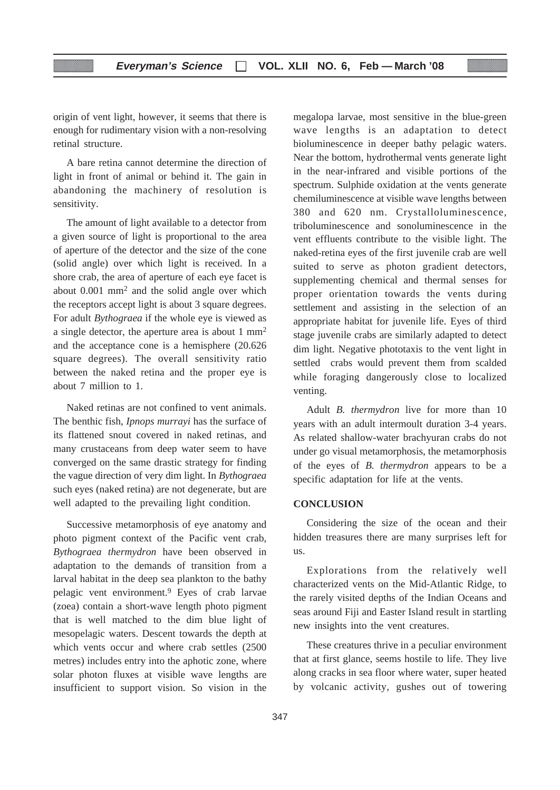origin of vent light, however, it seems that there is enough for rudimentary vision with a non-resolving retinal structure.

A bare retina cannot determine the direction of light in front of animal or behind it. The gain in abandoning the machinery of resolution is sensitivity.

The amount of light available to a detector from a given source of light is proportional to the area of aperture of the detector and the size of the cone (solid angle) over which light is received. In a shore crab, the area of aperture of each eye facet is about 0.001 mm2 and the solid angle over which the receptors accept light is about 3 square degrees. For adult *Bythograea* if the whole eye is viewed as a single detector, the aperture area is about 1 mm2 and the acceptance cone is a hemisphere (20.626 square degrees). The overall sensitivity ratio between the naked retina and the proper eye is about 7 million to 1.

Naked retinas are not confined to vent animals. The benthic fish, *Ipnops murrayi* has the surface of its flattened snout covered in naked retinas, and many crustaceans from deep water seem to have converged on the same drastic strategy for finding the vague direction of very dim light. In *Bythograea* such eyes (naked retina) are not degenerate, but are well adapted to the prevailing light condition.

Successive metamorphosis of eye anatomy and photo pigment context of the Pacific vent crab, *Bythograea thermydron* have been observed in adaptation to the demands of transition from a larval habitat in the deep sea plankton to the bathy pelagic vent environment.9 Eyes of crab larvae (zoea) contain a short-wave length photo pigment that is well matched to the dim blue light of mesopelagic waters. Descent towards the depth at which vents occur and where crab settles (2500 metres) includes entry into the aphotic zone, where solar photon fluxes at visible wave lengths are insufficient to support vision. So vision in the

megalopa larvae, most sensitive in the blue-green wave lengths is an adaptation to detect bioluminescence in deeper bathy pelagic waters. Near the bottom, hydrothermal vents generate light in the near-infrared and visible portions of the spectrum. Sulphide oxidation at the vents generate chemiluminescence at visible wave lengths between 380 and 620 nm. Crystalloluminescence, triboluminescence and sonoluminescence in the vent effluents contribute to the visible light. The naked-retina eyes of the first juvenile crab are well suited to serve as photon gradient detectors, supplementing chemical and thermal senses for proper orientation towards the vents during settlement and assisting in the selection of an appropriate habitat for juvenile life. Eyes of third stage juvenile crabs are similarly adapted to detect dim light. Negative phototaxis to the vent light in settled crabs would prevent them from scalded while foraging dangerously close to localized venting.

Adult *B. thermydron* live for more than 10 years with an adult intermoult duration 3-4 years. As related shallow-water brachyuran crabs do not under go visual metamorphosis, the metamorphosis of the eyes of *B. thermydron* appears to be a specific adaptation for life at the vents.

#### **CONCLUSION**

Considering the size of the ocean and their hidden treasures there are many surprises left for us.

Explorations from the relatively well characterized vents on the Mid-Atlantic Ridge, to the rarely visited depths of the Indian Oceans and seas around Fiji and Easter Island result in startling new insights into the vent creatures.

These creatures thrive in a peculiar environment that at first glance, seems hostile to life. They live along cracks in sea floor where water, super heated by volcanic activity, gushes out of towering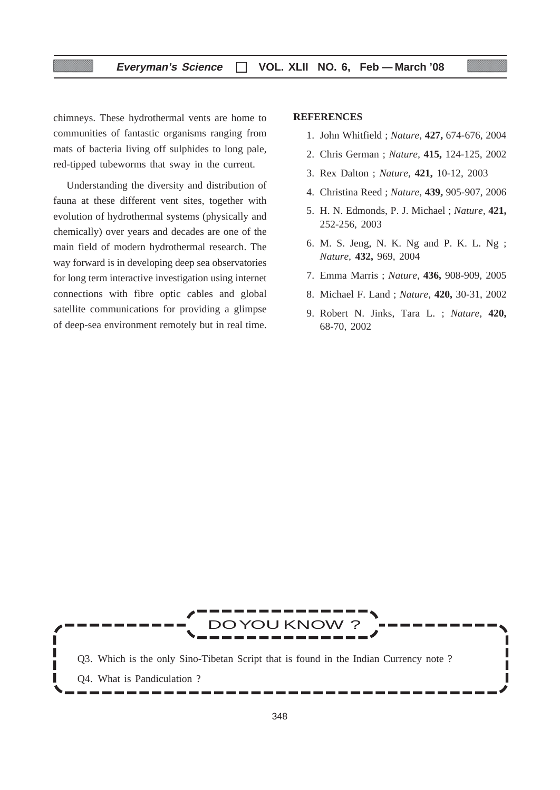#### **Everyman's Science VOL. XLII NO. 6, Feb — March '08**

chimneys. These hydrothermal vents are home to communities of fantastic organisms ranging from mats of bacteria living off sulphides to long pale, red-tipped tubeworms that sway in the current.

Understanding the diversity and distribution of fauna at these different vent sites, together with evolution of hydrothermal systems (physically and chemically) over years and decades are one of the main field of modern hydrothermal research. The way forward is in developing deep sea observatories for long term interactive investigation using internet connections with fibre optic cables and global satellite communications for providing a glimpse of deep-sea environment remotely but in real time.

#### **REFERENCES**

- 1. John Whitfield ; *Nature,* **427,** 674-676, 2004
- 2. Chris German ; *Nature,* **415,** 124-125, 2002
- 3. Rex Dalton ; *Nature,* **421,** 10-12, 2003
- 4. Christina Reed ; *Nature,* **439,** 905-907, 2006
- 5. H. N. Edmonds, P. J. Michael ; *Nature,* **421,** 252-256, 2003
- 6. M. S. Jeng, N. K. Ng and P. K. L. Ng ; *Nature,* **432,** 969, 2004
- 7. Emma Marris ; *Nature,* **436,** 908-909, 2005
- 8. Michael F. Land ; *Nature,* **420,** 30-31, 2002
- 9. Robert N. Jinks, Tara L. ; *Nature,* **420,** 68-70, 2002

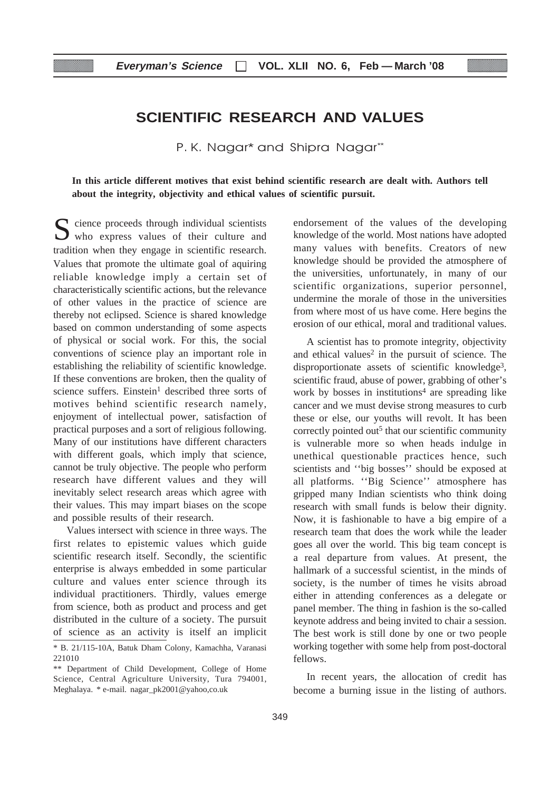#### **Everyman's Science VOL. XLII NO. 6, Feb — March '08**

# **SCIENTIFIC RESEARCH AND VALUES**

P. K. Nagar\* and Shipra Nagar\*\*

**In this article different motives that exist behind scientific research are dealt with. Authors tell about the integrity, objectivity and ethical values of scientific pursuit.**

 $\sum$  cience proceeds through individual scientists who express values of their culture and tradition when they engage in scientific research. Values that promote the ultimate goal of aquiring reliable knowledge imply a certain set of characteristically scientific actions, but the relevance of other values in the practice of science are thereby not eclipsed. Science is shared knowledge based on common understanding of some aspects of physical or social work. For this, the social conventions of science play an important role in establishing the reliability of scientific knowledge. If these conventions are broken, then the quality of science suffers. Einstein<sup>1</sup> described three sorts of motives behind scientific research namely, enjoyment of intellectual power, satisfaction of practical purposes and a sort of religious following. Many of our institutions have different characters with different goals, which imply that science, cannot be truly objective. The people who perform research have different values and they will inevitably select research areas which agree with their values. This may impart biases on the scope and possible results of their research.

Values intersect with science in three ways. The first relates to epistemic values which guide scientific research itself. Secondly, the scientific enterprise is always embedded in some particular culture and values enter science through its individual practitioners. Thirdly, values emerge from science, both as product and process and get distributed in the culture of a society. The pursuit of science as an activity is itself an implicit endorsement of the values of the developing knowledge of the world. Most nations have adopted many values with benefits. Creators of new knowledge should be provided the atmosphere of the universities, unfortunately, in many of our scientific organizations, superior personnel, undermine the morale of those in the universities from where most of us have come. Here begins the erosion of our ethical, moral and traditional values.

A scientist has to promote integrity, objectivity and ethical values<sup>2</sup> in the pursuit of science. The disproportionate assets of scientific knowledge<sup>3</sup>, scientific fraud, abuse of power, grabbing of other's work by bosses in institutions<sup>4</sup> are spreading like cancer and we must devise strong measures to curb these or else, our youths will revolt. It has been correctly pointed out<sup>5</sup> that our scientific community is vulnerable more so when heads indulge in unethical questionable practices hence, such scientists and ''big bosses'' should be exposed at all platforms. ''Big Science'' atmosphere has gripped many Indian scientists who think doing research with small funds is below their dignity. Now, it is fashionable to have a big empire of a research team that does the work while the leader goes all over the world. This big team concept is a real departure from values. At present, the hallmark of a successful scientist, in the minds of society, is the number of times he visits abroad either in attending conferences as a delegate or panel member. The thing in fashion is the so-called keynote address and being invited to chair a session. The best work is still done by one or two people working together with some help from post-doctoral fellows.

In recent years, the allocation of credit has become a burning issue in the listing of authors.

<sup>\*</sup> B. 21/115-10A, Batuk Dham Colony, Kamachha, Varanasi 221010

<sup>\*\*</sup> Department of Child Development, College of Home Science, Central Agriculture University, Tura 794001, Meghalaya. \* e-mail. nagar\_pk2001@yahoo,co.uk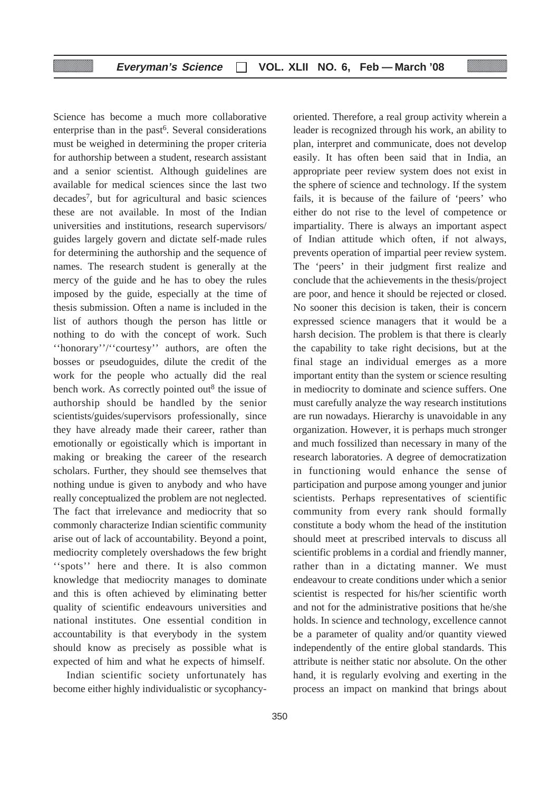Science has become a much more collaborative enterprise than in the past<sup>6</sup>. Several considerations must be weighed in determining the proper criteria for authorship between a student, research assistant and a senior scientist. Although guidelines are available for medical sciences since the last two decades7, but for agricultural and basic sciences these are not available. In most of the Indian universities and institutions, research supervisors/ guides largely govern and dictate self-made rules for determining the authorship and the sequence of names. The research student is generally at the mercy of the guide and he has to obey the rules imposed by the guide, especially at the time of thesis submission. Often a name is included in the list of authors though the person has little or nothing to do with the concept of work. Such ''honorary''/''courtesy'' authors, are often the bosses or pseudoguides, dilute the credit of the work for the people who actually did the real bench work. As correctly pointed out<sup>8</sup> the issue of authorship should be handled by the senior scientists/guides/supervisors professionally, since they have already made their career, rather than emotionally or egoistically which is important in making or breaking the career of the research scholars. Further, they should see themselves that nothing undue is given to anybody and who have really conceptualized the problem are not neglected. The fact that irrelevance and mediocrity that so commonly characterize Indian scientific community arise out of lack of accountability. Beyond a point, mediocrity completely overshadows the few bright "spots" here and there. It is also common knowledge that mediocrity manages to dominate and this is often achieved by eliminating better quality of scientific endeavours universities and national institutes. One essential condition in accountability is that everybody in the system should know as precisely as possible what is expected of him and what he expects of himself.

Indian scientific society unfortunately has become either highly individualistic or sycophancyoriented. Therefore, a real group activity wherein a leader is recognized through his work, an ability to plan, interpret and communicate, does not develop easily. It has often been said that in India, an appropriate peer review system does not exist in the sphere of science and technology. If the system fails, it is because of the failure of 'peers' who either do not rise to the level of competence or impartiality. There is always an important aspect of Indian attitude which often, if not always, prevents operation of impartial peer review system. The 'peers' in their judgment first realize and conclude that the achievements in the thesis/project are poor, and hence it should be rejected or closed. No sooner this decision is taken, their is concern expressed science managers that it would be a harsh decision. The problem is that there is clearly the capability to take right decisions, but at the final stage an individual emerges as a more important entity than the system or science resulting in mediocrity to dominate and science suffers. One must carefully analyze the way research institutions are run nowadays. Hierarchy is unavoidable in any organization. However, it is perhaps much stronger and much fossilized than necessary in many of the research laboratories. A degree of democratization in functioning would enhance the sense of participation and purpose among younger and junior scientists. Perhaps representatives of scientific community from every rank should formally constitute a body whom the head of the institution should meet at prescribed intervals to discuss all scientific problems in a cordial and friendly manner, rather than in a dictating manner. We must endeavour to create conditions under which a senior scientist is respected for his/her scientific worth and not for the administrative positions that he/she holds. In science and technology, excellence cannot be a parameter of quality and/or quantity viewed independently of the entire global standards. This attribute is neither static nor absolute. On the other hand, it is regularly evolving and exerting in the process an impact on mankind that brings about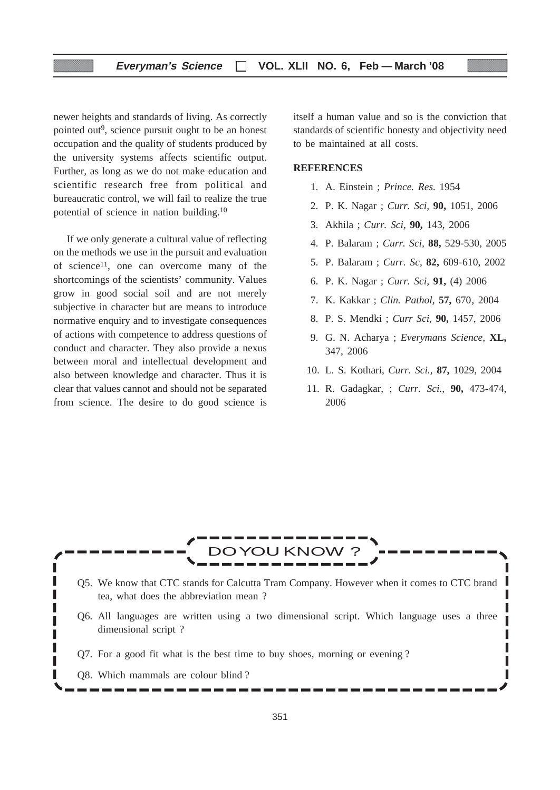newer heights and standards of living. As correctly pointed out<sup>9</sup>, science pursuit ought to be an honest occupation and the quality of students produced by the university systems affects scientific output. Further, as long as we do not make education and scientific research free from political and bureaucratic control, we will fail to realize the true potential of science in nation building.10

If we only generate a cultural value of reflecting on the methods we use in the pursuit and evaluation of science<sup>11</sup>, one can overcome many of the shortcomings of the scientists' community. Values grow in good social soil and are not merely subjective in character but are means to introduce normative enquiry and to investigate consequences of actions with competence to address questions of conduct and character. They also provide a nexus between moral and intellectual development and also between knowledge and character. Thus it is clear that values cannot and should not be separated from science. The desire to do good science is itself a human value and so is the conviction that standards of scientific honesty and objectivity need to be maintained at all costs.

#### **REFERENCES**

- 1. A. Einstein ; *Prince. Res.* 1954
- 2. P. K. Nagar ; *Curr. Sci,* **90,** 1051, 2006
- 3. Akhila ; *Curr. Sci,* **90,** 143, 2006
- 4. P. Balaram ; *Curr. Sci,* **88,** 529-530, 2005
- 5. P. Balaram ; *Curr. Sc,* **82,** 609-610, 2002
- 6. P. K. Nagar ; *Curr. Sci,* **91,** (4) 2006
- 7. K. Kakkar ; *Clin. Pathol,* **57,** 670, 2004
- 8. P. S. Mendki ; *Curr Sci,* **90,** 1457, 2006
- 9. G. N. Acharya ; *Everymans Science,* **XL,** 347, 2006
- 10. L. S. Kothari, *Curr. Sci.,* **87,** 1029, 2004
- 11. R. Gadagkar, ; *Curr. Sci.,* **90,** 473-474, 2006

Ī Γ I Г

# DOYOU KNOW ?

- Q5. We know that CTC stands for Calcutta Tram Company. However when it comes to CTC brand tea, what does the abbreviation mean ?
- Q6. All languages are written using a two dimensional script. Which language uses a three dimensional script ?
- Q7. For a good fit what is the best time to buy shoes, morning or evening ?
- Q8. Which mammals are colour blind ?

ı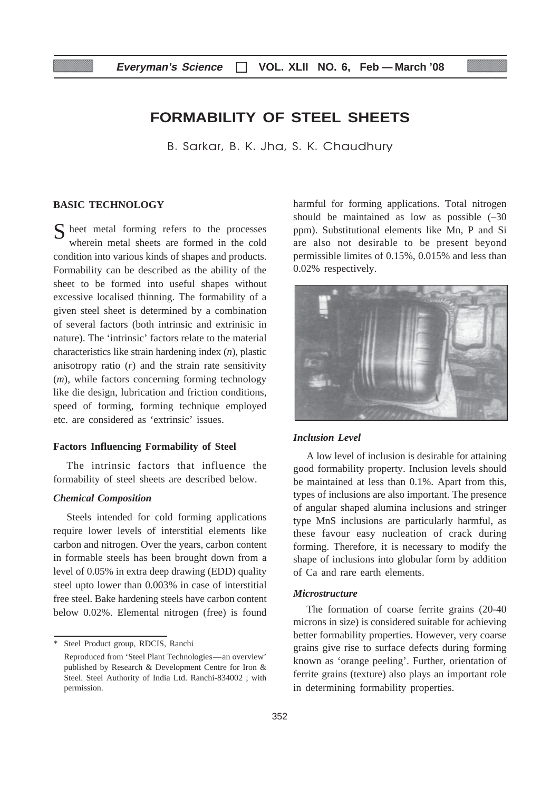#### **Everyman's Science VOL. XLII NO. 6, Feb — March '08**

# **FORMABILITY OF STEEL SHEETS**

B. Sarkar, B. K. Jha, S. K. Chaudhury

#### **BASIC TECHNOLOGY**

S heet metal forming refers to the processes wherein metal sheets are formed in the cold condition into various kinds of shapes and products. Formability can be described as the ability of the sheet to be formed into useful shapes without excessive localised thinning. The formability of a given steel sheet is determined by a combination of several factors (both intrinsic and extrinisic in nature). The 'intrinsic' factors relate to the material characteristics like strain hardening index (*n*), plastic anisotropy ratio (*r*) and the strain rate sensitivity (*m*), while factors concerning forming technology like die design, lubrication and friction conditions, speed of forming, forming technique employed etc. are considered as 'extrinsic' issues.

#### **Factors Influencing Formability of Steel**

The intrinsic factors that influence the formability of steel sheets are described below.

#### *Chemical Composition*

Steels intended for cold forming applications require lower levels of interstitial elements like carbon and nitrogen. Over the years, carbon content in formable steels has been brought down from a level of 0.05% in extra deep drawing (EDD) quality steel upto lower than 0.003% in case of interstitial free steel. Bake hardening steels have carbon content below 0.02%. Elemental nitrogen (free) is found

\* Steel Product group, RDCIS, Ranchi Reproduced from 'Steel Plant Technologies—an overview' published by Research & Development Centre for Iron & Steel. Steel Authority of India Ltd. Ranchi-834002 ; with permission.

harmful for forming applications. Total nitrogen should be maintained as low as possible (–30 ppm). Substitutional elements like Mn, P and Si are also not desirable to be present beyond permissible limites of 0.15%, 0.015% and less than 0.02% respectively.



#### *Inclusion Level*

A low level of inclusion is desirable for attaining good formability property. Inclusion levels should be maintained at less than 0.1%. Apart from this, types of inclusions are also important. The presence of angular shaped alumina inclusions and stringer type MnS inclusions are particularly harmful, as these favour easy nucleation of crack during forming. Therefore, it is necessary to modify the shape of inclusions into globular form by addition of Ca and rare earth elements.

#### *Microstructure*

The formation of coarse ferrite grains (20-40 microns in size) is considered suitable for achieving better formability properties. However, very coarse grains give rise to surface defects during forming known as 'orange peeling'. Further, orientation of ferrite grains (texture) also plays an important role in determining formability properties.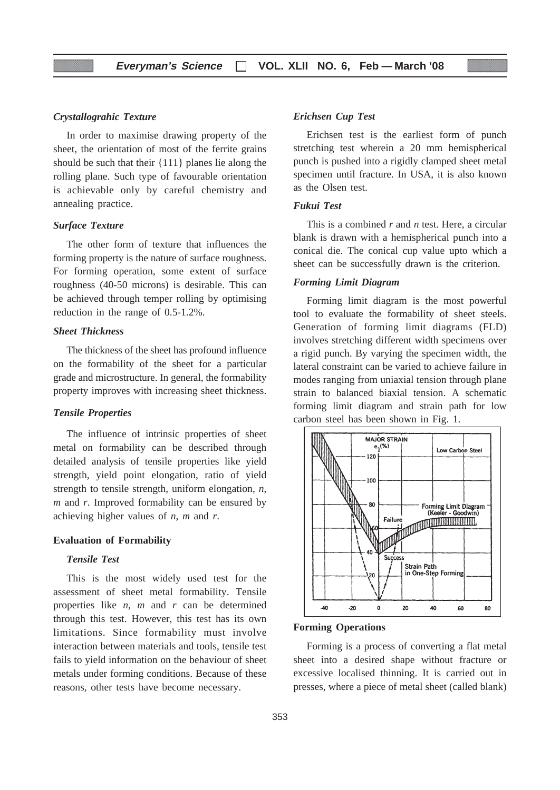#### *Crystallograhic Texture*

In order to maximise drawing property of the sheet, the orientation of most of the ferrite grains should be such that their {111} planes lie along the rolling plane. Such type of favourable orientation is achievable only by careful chemistry and annealing practice.

#### *Surface Texture*

The other form of texture that influences the forming property is the nature of surface roughness. For forming operation, some extent of surface roughness (40-50 microns) is desirable. This can be achieved through temper rolling by optimising reduction in the range of 0.5-1.2%.

#### *Sheet Thickness*

The thickness of the sheet has profound influence on the formability of the sheet for a particular grade and microstructure. In general, the formability property improves with increasing sheet thickness.

#### *Tensile Properties*

The influence of intrinsic properties of sheet metal on formability can be described through detailed analysis of tensile properties like yield strength, yield point elongation, ratio of yield strength to tensile strength, uniform elongation, *n*, *m* and *r*. Improved formability can be ensured by achieving higher values of *n*, *m* and *r*.

#### **Evaluation of Formability**

#### *Tensile Test*

This is the most widely used test for the assessment of sheet metal formability. Tensile properties like *n*, *m* and *r* can be determined through this test. However, this test has its own limitations. Since formability must involve interaction between materials and tools, tensile test fails to yield information on the behaviour of sheet metals under forming conditions. Because of these reasons, other tests have become necessary.

#### *Erichsen Cup Test*

Erichsen test is the earliest form of punch stretching test wherein a 20 mm hemispherical punch is pushed into a rigidly clamped sheet metal specimen until fracture. In USA, it is also known as the Olsen test.

#### *Fukui Test*

This is a combined *r* and *n* test. Here, a circular blank is drawn with a hemispherical punch into a conical die. The conical cup value upto which a sheet can be successfully drawn is the criterion.

#### *Forming Limit Diagram*

Forming limit diagram is the most powerful tool to evaluate the formability of sheet steels. Generation of forming limit diagrams (FLD) involves stretching different width specimens over a rigid punch. By varying the specimen width, the lateral constraint can be varied to achieve failure in modes ranging from uniaxial tension through plane strain to balanced biaxial tension. A schematic forming limit diagram and strain path for low carbon steel has been shown in Fig. 1.



#### **Forming Operations**

Forming is a process of converting a flat metal sheet into a desired shape without fracture or excessive localised thinning. It is carried out in presses, where a piece of metal sheet (called blank)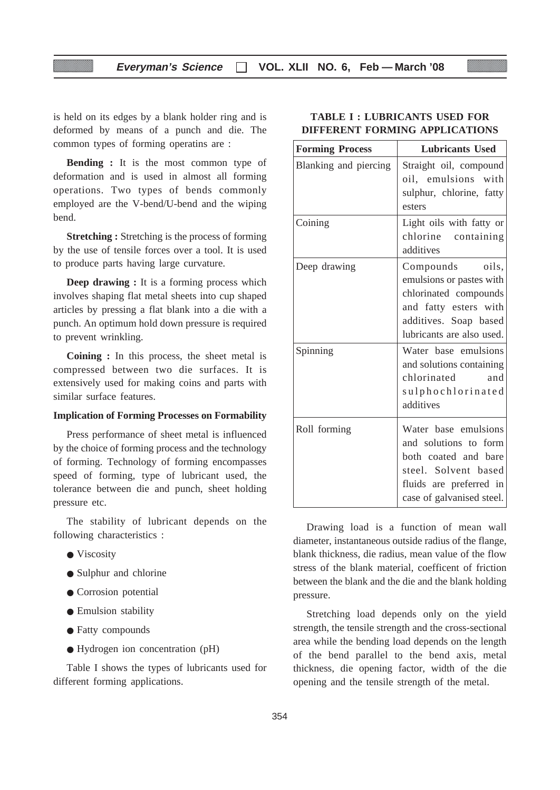#### **Everyman's Science VOL. XLII NO. 6, Feb — March '08**

is held on its edges by a blank holder ring and is deformed by means of a punch and die. The common types of forming operatins are :

**Bending :** It is the most common type of deformation and is used in almost all forming operations. Two types of bends commonly employed are the V-bend/U-bend and the wiping bend.

**Stretching :** Stretching is the process of forming by the use of tensile forces over a tool. It is used to produce parts having large curvature.

**Deep drawing :** It is a forming process which involves shaping flat metal sheets into cup shaped articles by pressing a flat blank into a die with a punch. An optimum hold down pressure is required to prevent wrinkling.

**Coining :** In this process, the sheet metal is compressed between two die surfaces. It is extensively used for making coins and parts with similar surface features.

#### **Implication of Forming Processes on Formability**

Press performance of sheet metal is influenced by the choice of forming process and the technology of forming. Technology of forming encompasses speed of forming, type of lubricant used, the tolerance between die and punch, sheet holding pressure etc.

The stability of lubricant depends on the following characteristics :

- Viscosity
- Sulphur and chlorine
- Corrosion potential
- Emulsion stability
- Fatty compounds
- Hydrogen ion concentration (pH)

Table I shows the types of lubricants used for different forming applications.

#### **TABLE I : LUBRICANTS USED FOR DIFFERENT FORMING APPLICATIONS**

| <b>Forming Process</b> | <b>Lubricants Used</b>                                                                                                                                |
|------------------------|-------------------------------------------------------------------------------------------------------------------------------------------------------|
| Blanking and piercing  | Straight oil, compound<br>oil, emulsions with<br>sulphur, chlorine, fatty<br>esters                                                                   |
| Coining                | Light oils with fatty or<br>chlorine containing<br>additives                                                                                          |
| Deep drawing           | Compounds oils,<br>emulsions or pastes with<br>chlorinated compounds<br>and fatty esters with<br>additives. Soap based<br>lubricants are also used.   |
| Spinning               | Water base emulsions<br>and solutions containing<br>chlorinated<br>and<br>sulphochlorinated<br>additives                                              |
| Roll forming           | Water base emulsions<br>and solutions to form<br>both coated and bare<br>steel. Solvent based<br>fluids are preferred in<br>case of galvanised steel. |

Drawing load is a function of mean wall diameter, instantaneous outside radius of the flange, blank thickness, die radius, mean value of the flow stress of the blank material, coefficent of friction between the blank and the die and the blank holding pressure.

Stretching load depends only on the yield strength, the tensile strength and the cross-sectional area while the bending load depends on the length of the bend parallel to the bend axis, metal thickness, die opening factor, width of the die opening and the tensile strength of the metal.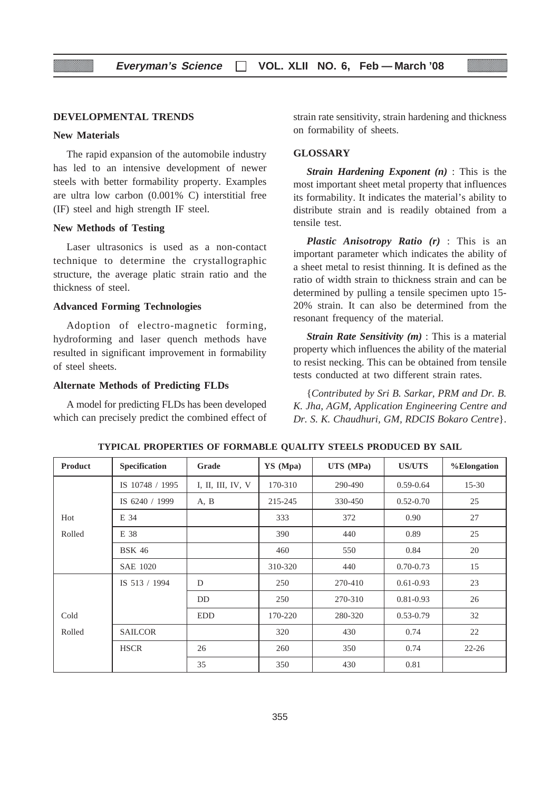#### **DEVELOPMENTAL TRENDS**

#### **New Materials**

The rapid expansion of the automobile industry has led to an intensive development of newer steels with better formability property. Examples are ultra low carbon (0.001% C) interstitial free (IF) steel and high strength IF steel.

#### **New Methods of Testing**

Laser ultrasonics is used as a non-contact technique to determine the crystallographic structure, the average platic strain ratio and the thickness of steel.

#### **Advanced Forming Technologies**

Adoption of electro-magnetic forming, hydroforming and laser quench methods have resulted in significant improvement in formability of steel sheets.

#### **Alternate Methods of Predicting FLDs**

A model for predicting FLDs has been developed which can precisely predict the combined effect of strain rate sensitivity, strain hardening and thickness on formability of sheets.

#### **GLOSSARY**

*Strain Hardening Exponent (n)* : This is the most important sheet metal property that influences its formability. It indicates the material's ability to distribute strain and is readily obtained from a tensile test.

*Plastic Anisotropy Ratio (r)* : This is an important parameter which indicates the ability of a sheet metal to resist thinning. It is defined as the ratio of width strain to thickness strain and can be determined by pulling a tensile specimen upto 15- 20% strain. It can also be determined from the resonant frequency of the material.

*Strain Rate Sensitivity (m)* : This is a material property which influences the ability of the material to resist necking. This can be obtained from tensile tests conducted at two different strain rates.

{*Contributed by Sri B. Sarkar, PRM and Dr. B. K. Jha, AGM, Application Engineering Centre and Dr. S. K. Chaudhuri, GM, RDCIS Bokaro Centre*}.

| Product | <b>Specification</b> | Grade             | YS (Mpa) | UTS (MPa) | <b>US/UTS</b> | %Elongation |
|---------|----------------------|-------------------|----------|-----------|---------------|-------------|
|         | IS 10748 / 1995      | I, II, III, IV, V | 170-310  | 290-490   | $0.59 - 0.64$ | $15 - 30$   |
|         | IS 6240 / 1999       | A, B              | 215-245  | 330-450   | $0.52 - 0.70$ | 25          |
| Hot     | E 34                 |                   | 333      | 372       | 0.90          | 27          |
| Rolled  | E 38                 |                   | 390      | 440       | 0.89          | 25          |
|         | <b>BSK 46</b>        |                   | 460      | 550       | 0.84          | 20          |
|         | <b>SAE 1020</b>      |                   | 310-320  | 440       | $0.70 - 0.73$ | 15          |
|         | IS 513 / 1994        | D                 | 250      | 270-410   | $0.61 - 0.93$ | 23          |
|         |                      | DD                | 250      | 270-310   | $0.81 - 0.93$ | 26          |
| Cold    |                      | <b>EDD</b>        | 170-220  | 280-320   | $0.53 - 0.79$ | 32          |
| Rolled  | <b>SAILCOR</b>       |                   | 320      | 430       | 0.74          | 22          |
|         | <b>HSCR</b>          | 26                | 260      | 350       | 0.74          | $22 - 26$   |
|         |                      | 35                | 350      | 430       | 0.81          |             |

**TYPICAL PROPERTIES OF FORMABLE QUALITY STEELS PRODUCED BY SAIL**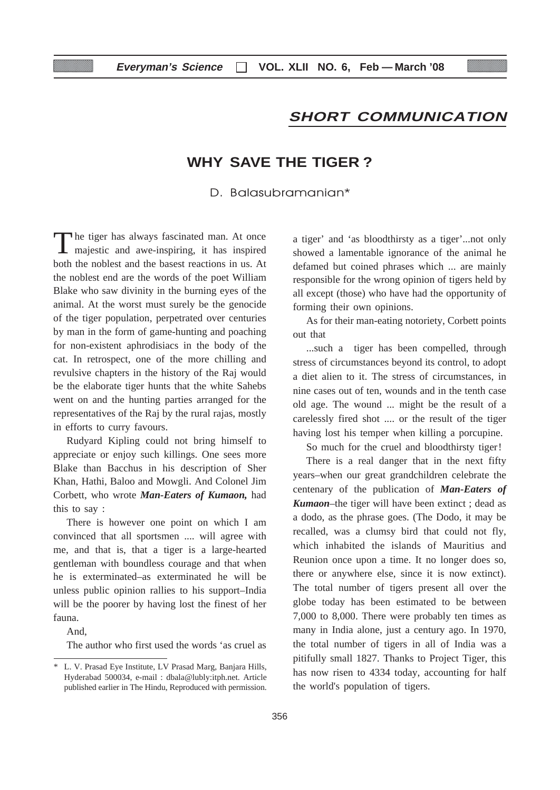# **SHORT COMMUNICATION**

# **WHY SAVE THE TIGER ?**

## D. Balasubramanian\*

The tiger has always fascinated man. At once majestic and awe-inspiring, it has inspired both the noblest and the basest reactions in us. At the noblest end are the words of the poet William Blake who saw divinity in the burning eyes of the animal. At the worst must surely be the genocide of the tiger population, perpetrated over centuries by man in the form of game-hunting and poaching for non-existent aphrodisiacs in the body of the cat. In retrospect, one of the more chilling and revulsive chapters in the history of the Raj would be the elaborate tiger hunts that the white Sahebs went on and the hunting parties arranged for the representatives of the Raj by the rural rajas, mostly in efforts to curry favours.

Rudyard Kipling could not bring himself to appreciate or enjoy such killings. One sees more Blake than Bacchus in his description of Sher Khan, Hathi, Baloo and Mowgli. And Colonel Jim Corbett, who wrote *Man-Eaters of Kumaon,* had this to say :

There is however one point on which I am convinced that all sportsmen .... will agree with me, and that is, that a tiger is a large-hearted gentleman with boundless courage and that when he is exterminated–as exterminated he will be unless public opinion rallies to his support–India will be the poorer by having lost the finest of her fauna.

And,

The author who first used the words 'as cruel as

a tiger' and 'as bloodthirsty as a tiger'...not only showed a lamentable ignorance of the animal he defamed but coined phrases which ... are mainly responsible for the wrong opinion of tigers held by all except (those) who have had the opportunity of forming their own opinions.

As for their man-eating notoriety, Corbett points out that

...such a tiger has been compelled, through stress of circumstances beyond its control, to adopt a diet alien to it. The stress of circumstances, in nine cases out of ten, wounds and in the tenth case old age. The wound ... might be the result of a carelessly fired shot .... or the result of the tiger having lost his temper when killing a porcupine.

So much for the cruel and bloodthirsty tiger!

There is a real danger that in the next fifty years–when our great grandchildren celebrate the centenary of the publication of *Man-Eaters of Kumaon*–the tiger will have been extinct ; dead as a dodo, as the phrase goes. (The Dodo, it may be recalled, was a clumsy bird that could not fly, which inhabited the islands of Mauritius and Reunion once upon a time. It no longer does so, there or anywhere else, since it is now extinct). The total number of tigers present all over the globe today has been estimated to be between 7,000 to 8,000. There were probably ten times as many in India alone, just a century ago. In 1970, the total number of tigers in all of India was a pitifully small 1827. Thanks to Project Tiger, this has now risen to 4334 today, accounting for half the world's population of tigers.

<sup>\*</sup> L. V. Prasad Eye Institute, LV Prasad Marg, Banjara Hills, Hyderabad 500034, e-mail : dbala@lubly:itph.net. Article published earlier in The Hindu, Reproduced with permission.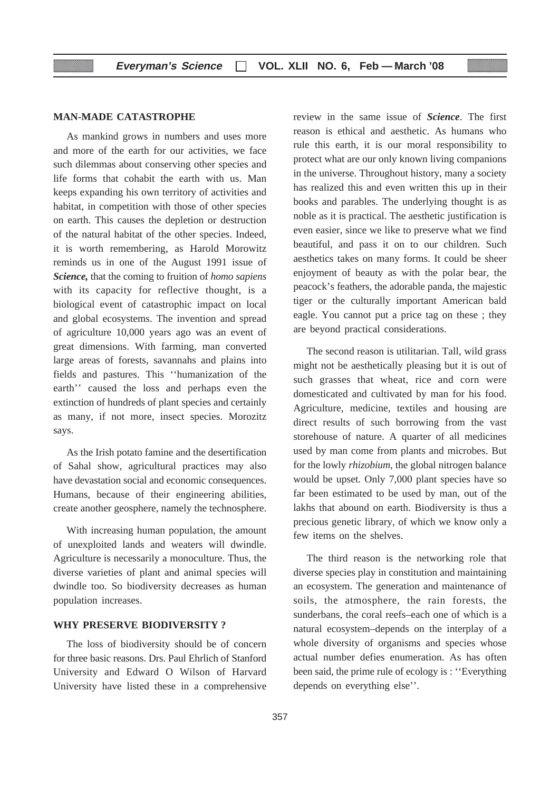#### **MAN-MADE CATASTROPHE**

As mankind grows in numbers and uses more and more of the earth for our activities, we face such dilemmas about conserving other species and life forms that cohabit the earth with us. Man keeps expanding his own territory of activities and habitat, in competition with those of other species on earth. This causes the depletion or destruction of the natural habitat of the other species. Indeed, it is worth remembering, as Harold Morowitz reminds us in one of the August 1991 issue of *Science,* that the coming to fruition of *homo sapiens* with its capacity for reflective thought, is a biological event of catastrophic impact on local and global ecosystems. The invention and spread of agriculture 10,000 years ago was an event of great dimensions. With farming, man converted large areas of forests, savannahs and plains into fields and pastures. This ''humanization of the earth'' caused the loss and perhaps even the extinction of hundreds of plant species and certainly as many, if not more, insect species. Morozitz says.

As the Irish potato famine and the desertification of Sahal show, agricultural practices may also have devastation social and economic consequences. Humans, because of their engineering abilities, create another geosphere, namely the technosphere.

With increasing human population, the amount of unexploited lands and weaters will dwindle. Agriculture is necessarily a monoculture. Thus, the diverse varieties of plant and animal species will dwindle too. So biodiversity decreases as human population increases.

#### **WHY PRESERVE BIODIVERSITY ?**

The loss of biodiversity should be of concern for three basic reasons. Drs. Paul Ehrlich of Stanford University and Edward O Wilson of Harvard University have listed these in a comprehensive

review in the same issue of *Science*. The first reason is ethical and aesthetic. As humans who rule this earth, it is our moral responsibility to protect what are our only known living companions in the universe. Throughout history, many a society has realized this and even written this up in their books and parables. The underlying thought is as noble as it is practical. The aesthetic justification is even easier, since we like to preserve what we find beautiful, and pass it on to our children. Such aesthetics takes on many forms. It could be sheer enjoyment of beauty as with the polar bear, the peacock's feathers, the adorable panda, the majestic tiger or the culturally important American bald eagle. You cannot put a price tag on these ; they are beyond practical considerations.

The second reason is utilitarian. Tall, wild grass might not be aesthetically pleasing but it is out of such grasses that wheat, rice and corn were domesticated and cultivated by man for his food. Agriculture, medicine, textiles and housing are direct results of such borrowing from the vast storehouse of nature. A quarter of all medicines used by man come from plants and microbes. But for the lowly *rhizobium,* the global nitrogen balance would be upset. Only 7,000 plant species have so far been estimated to be used by man, out of the lakhs that abound on earth. Biodiversity is thus a precious genetic library, of which we know only a few items on the shelves.

The third reason is the networking role that diverse species play in constitution and maintaining an ecosystem. The generation and maintenance of soils, the atmosphere, the rain forests, the sunderbans, the coral reefs–each one of which is a natural ecosystem–depends on the interplay of a whole diversity of organisms and species whose actual number defies enumeration. As has often been said, the prime rule of ecology is : ''Everything depends on everything else''.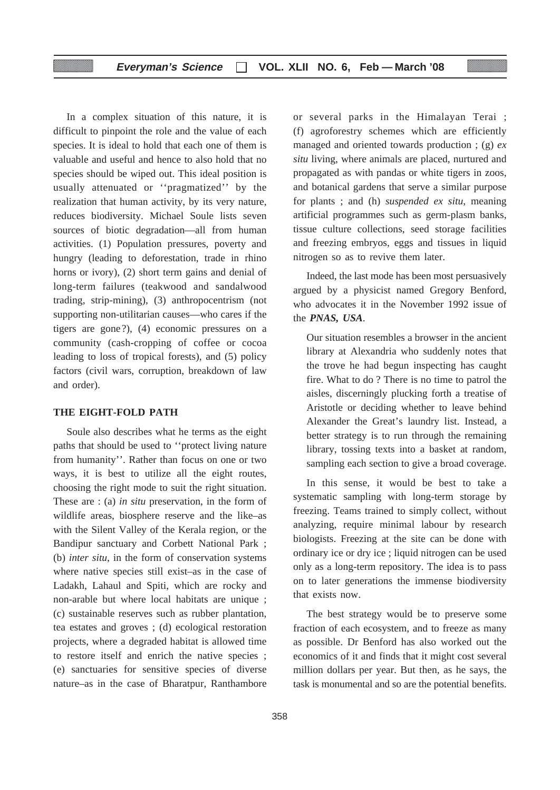In a complex situation of this nature, it is difficult to pinpoint the role and the value of each species. It is ideal to hold that each one of them is valuable and useful and hence to also hold that no species should be wiped out. This ideal position is usually attenuated or ''pragmatized'' by the realization that human activity, by its very nature, reduces biodiversity. Michael Soule lists seven sources of biotic degradation—all from human activities. (1) Population pressures, poverty and hungry (leading to deforestation, trade in rhino horns or ivory), (2) short term gains and denial of long-term failures (teakwood and sandalwood trading, strip-mining), (3) anthropocentrism (not supporting non-utilitarian causes—who cares if the tigers are gone?), (4) economic pressures on a community (cash-cropping of coffee or cocoa leading to loss of tropical forests), and (5) policy factors (civil wars, corruption, breakdown of law and order).

#### **THE EIGHT-FOLD PATH**

Soule also describes what he terms as the eight paths that should be used to ''protect living nature from humanity''. Rather than focus on one or two ways, it is best to utilize all the eight routes, choosing the right mode to suit the right situation. These are : (a) *in situ* preservation, in the form of wildlife areas, biosphere reserve and the like–as with the Silent Valley of the Kerala region, or the Bandipur sanctuary and Corbett National Park ; (b) *inter situ*, in the form of conservation systems where native species still exist–as in the case of Ladakh, Lahaul and Spiti, which are rocky and non-arable but where local habitats are unique ; (c) sustainable reserves such as rubber plantation, tea estates and groves ; (d) ecological restoration projects, where a degraded habitat is allowed time to restore itself and enrich the native species ; (e) sanctuaries for sensitive species of diverse nature–as in the case of Bharatpur, Ranthambore

or several parks in the Himalayan Terai ; (f) agroforestry schemes which are efficiently managed and oriented towards production ; (g) *ex situ* living, where animals are placed, nurtured and propagated as with pandas or white tigers in zoos, and botanical gardens that serve a similar purpose for plants ; and (h) *suspended ex situ*, meaning artificial programmes such as germ-plasm banks, tissue culture collections, seed storage facilities and freezing embryos, eggs and tissues in liquid nitrogen so as to revive them later.

Indeed, the last mode has been most persuasively argued by a physicist named Gregory Benford, who advocates it in the November 1992 issue of the *PNAS, USA*.

Our situation resembles a browser in the ancient library at Alexandria who suddenly notes that the trove he had begun inspecting has caught fire. What to do ? There is no time to patrol the aisles, discerningly plucking forth a treatise of Aristotle or deciding whether to leave behind Alexander the Great's laundry list. Instead, a better strategy is to run through the remaining library, tossing texts into a basket at random, sampling each section to give a broad coverage.

In this sense, it would be best to take a systematic sampling with long-term storage by freezing. Teams trained to simply collect, without analyzing, require minimal labour by research biologists. Freezing at the site can be done with ordinary ice or dry ice ; liquid nitrogen can be used only as a long-term repository. The idea is to pass on to later generations the immense biodiversity that exists now.

The best strategy would be to preserve some fraction of each ecosystem, and to freeze as many as possible. Dr Benford has also worked out the economics of it and finds that it might cost several million dollars per year. But then, as he says, the task is monumental and so are the potential benefits.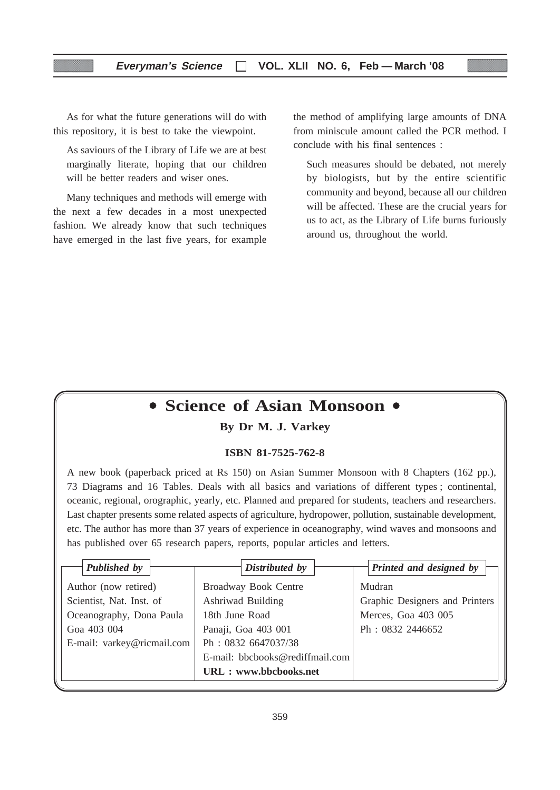As for what the future generations will do with this repository, it is best to take the viewpoint.

As saviours of the Library of Life we are at best marginally literate, hoping that our children will be better readers and wiser ones.

Many techniques and methods will emerge with the next a few decades in a most unexpected fashion. We already know that such techniques have emerged in the last five years, for example the method of amplifying large amounts of DNA from miniscule amount called the PCR method. I conclude with his final sentences :

Such measures should be debated, not merely by biologists, but by the entire scientific community and beyond, because all our children will be affected. These are the crucial years for us to act, as the Library of Life burns furiously around us, throughout the world.

# **• Science of Asian Monsoon •**

#### **By Dr M. J. Varkey**

#### **ISBN 81-7525-762-8**

A new book (paperback priced at Rs 150) on Asian Summer Monsoon with 8 Chapters (162 pp.), 73 Diagrams and 16 Tables. Deals with all basics and variations of different types ; continental, oceanic, regional, orographic, yearly, etc. Planned and prepared for students, teachers and researchers. Last chapter presents some related aspects of agriculture, hydropower, pollution, sustainable development, etc. The author has more than 37 years of experience in oceanography, wind waves and monsoons and has published over 65 research papers, reports, popular articles and letters.

| Published by               | Distributed by                  | Printed and designed by        |
|----------------------------|---------------------------------|--------------------------------|
| Author (now retired)       | Broadway Book Centre            | Mudran                         |
| Scientist, Nat. Inst. of   | Ashriwad Building               | Graphic Designers and Printers |
| Oceanography, Dona Paula   | 18th June Road                  | Merces, Goa 403 005            |
| Goa 403 004                | Panaji, Goa 403 001             | Ph: 0832 2446652               |
| E-mail: varkey@ricmail.com | Ph: 0832 6647037/38             |                                |
|                            | E-mail: bbcbooks@rediffmail.com |                                |
|                            | <b>URL</b> : www.bbcbooks.net   |                                |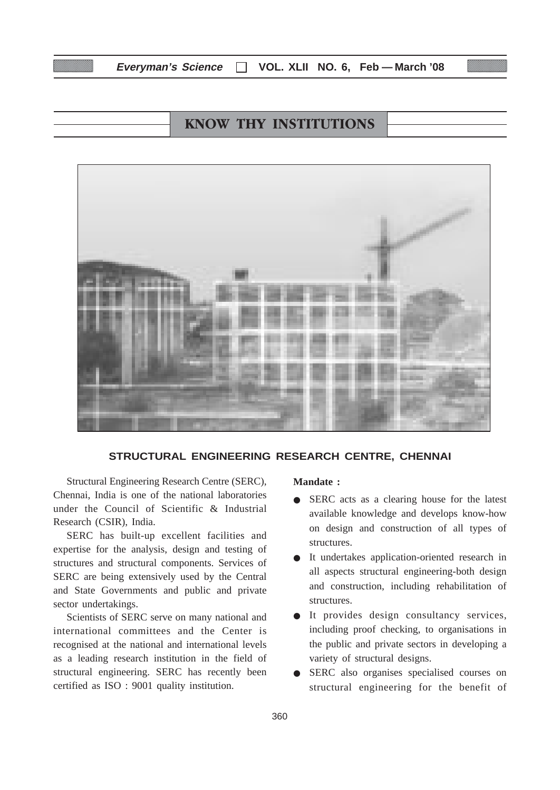# **KNOW THY INSTITUTIONS**



#### **STRUCTURAL ENGINEERING RESEARCH CENTRE, CHENNAI**

Structural Engineering Research Centre (SERC), Chennai, India is one of the national laboratories under the Council of Scientific & Industrial Research (CSIR), India.

SERC has built-up excellent facilities and expertise for the analysis, design and testing of structures and structural components. Services of SERC are being extensively used by the Central and State Governments and public and private sector undertakings.

Scientists of SERC serve on many national and international committees and the Center is recognised at the national and international levels as a leading research institution in the field of structural engineering. SERC has recently been certified as ISO : 9001 quality institution.

#### **Mandate :**

- SERC acts as a clearing house for the latest available knowledge and develops know-how on design and construction of all types of structures.
- It undertakes application-oriented research in all aspects structural engineering-both design and construction, including rehabilitation of structures.
- It provides design consultancy services, including proof checking, to organisations in the public and private sectors in developing a variety of structural designs.
- SERC also organises specialised courses on structural engineering for the benefit of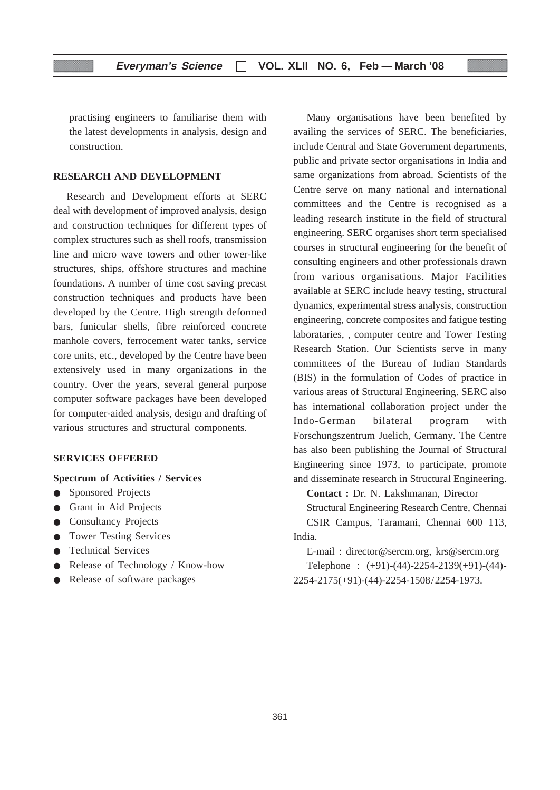practising engineers to familiarise them with the latest developments in analysis, design and construction.

#### **RESEARCH AND DEVELOPMENT**

Research and Development efforts at SERC deal with development of improved analysis, design and construction techniques for different types of complex structures such as shell roofs, transmission line and micro wave towers and other tower-like structures, ships, offshore structures and machine foundations. A number of time cost saving precast construction techniques and products have been developed by the Centre. High strength deformed bars, funicular shells, fibre reinforced concrete manhole covers, ferrocement water tanks, service core units, etc., developed by the Centre have been extensively used in many organizations in the country. Over the years, several general purpose computer software packages have been developed for computer-aided analysis, design and drafting of various structures and structural components.

#### **SERVICES OFFERED**

#### **Spectrum of Activities / Services**

- Sponsored Projects
- Grant in Aid Projects
- Consultancy Projects
- Tower Testing Services
- Technical Services
- Release of Technology / Know-how
- Release of software packages

Many organisations have been benefited by availing the services of SERC. The beneficiaries, include Central and State Government departments, public and private sector organisations in India and same organizations from abroad. Scientists of the Centre serve on many national and international committees and the Centre is recognised as a leading research institute in the field of structural engineering. SERC organises short term specialised courses in structural engineering for the benefit of consulting engineers and other professionals drawn from various organisations. Major Facilities available at SERC include heavy testing, structural dynamics, experimental stress analysis, construction engineering, concrete composites and fatigue testing laborataries, , computer centre and Tower Testing Research Station. Our Scientists serve in many committees of the Bureau of Indian Standards (BIS) in the formulation of Codes of practice in various areas of Structural Engineering. SERC also has international collaboration project under the Indo-German bilateral program with Forschungszentrum Juelich, Germany. The Centre has also been publishing the Journal of Structural Engineering since 1973, to participate, promote and disseminate research in Structural Engineering.

**Contact :** Dr. N. Lakshmanan, Director

Structural Engineering Research Centre, Chennai CSIR Campus, Taramani, Chennai 600 113, India.

E-mail : director@sercm.org, krs@sercm.org Telephone : (+91)-(44)-2254-2139(+91)-(44)- 2254-2175(+91)-(44)-2254-1508/2254-1973.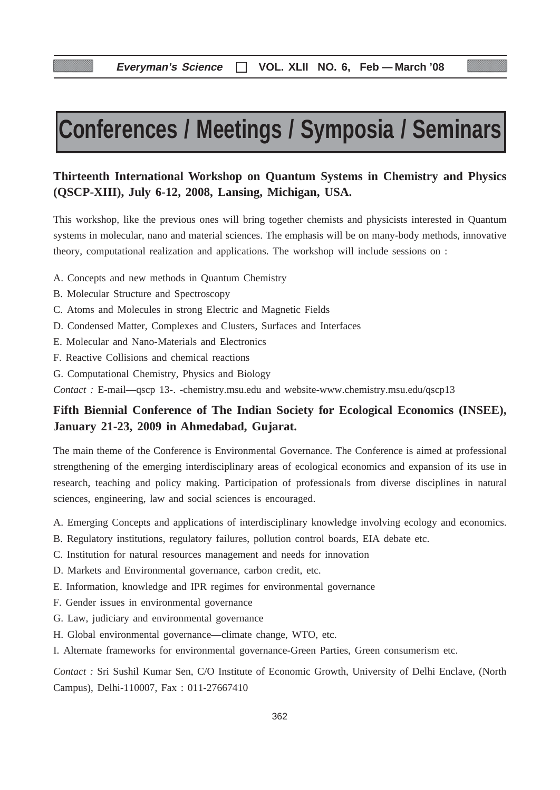# **Conferences / Meetings / Symposia / Seminars**

## **Thirteenth International Workshop on Quantum Systems in Chemistry and Physics (QSCP-XIII), July 6-12, 2008, Lansing, Michigan, USA.**

This workshop, like the previous ones will bring together chemists and physicists interested in Quantum systems in molecular, nano and material sciences. The emphasis will be on many-body methods, innovative theory, computational realization and applications. The workshop will include sessions on :

- A. Concepts and new methods in Quantum Chemistry
- B. Molecular Structure and Spectroscopy
- C. Atoms and Molecules in strong Electric and Magnetic Fields
- D. Condensed Matter, Complexes and Clusters, Surfaces and Interfaces
- E. Molecular and Nano-Materials and Electronics
- F. Reactive Collisions and chemical reactions
- G. Computational Chemistry, Physics and Biology

*Contact :* E-mail—qscp 13-. -chemistry.msu.edu and website-www.chemistry.msu.edu/qscp13

# **Fifth Biennial Conference of The Indian Society for Ecological Economics (INSEE), January 21-23, 2009 in Ahmedabad, Gujarat.**

The main theme of the Conference is Environmental Governance. The Conference is aimed at professional strengthening of the emerging interdisciplinary areas of ecological economics and expansion of its use in research, teaching and policy making. Participation of professionals from diverse disciplines in natural sciences, engineering, law and social sciences is encouraged.

A. Emerging Concepts and applications of interdisciplinary knowledge involving ecology and economics.

- B. Regulatory institutions, regulatory failures, pollution control boards, EIA debate etc.
- C. Institution for natural resources management and needs for innovation
- D. Markets and Environmental governance, carbon credit, etc.
- E. Information, knowledge and IPR regimes for environmental governance
- F. Gender issues in environmental governance
- G. Law, judiciary and environmental governance
- H. Global environmental governance—climate change, WTO, etc.
- I. Alternate frameworks for environmental governance-Green Parties, Green consumerism etc.

*Contact :* Sri Sushil Kumar Sen, C/O Institute of Economic Growth, University of Delhi Enclave, (North Campus), Delhi-110007, Fax : 011-27667410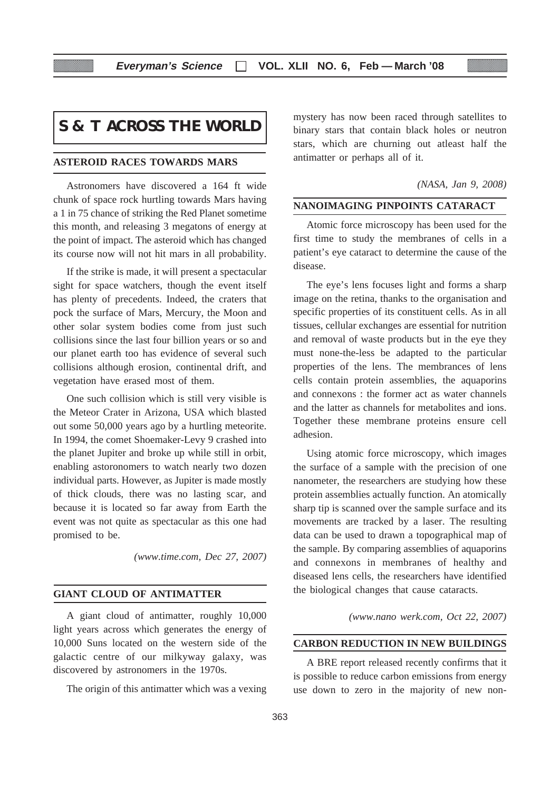# **S & T ACROSS THE WORLD**

#### **ASTEROID RACES TOWARDS MARS**

Astronomers have discovered a 164 ft wide chunk of space rock hurtling towards Mars having a 1 in 75 chance of striking the Red Planet sometime this month, and releasing 3 megatons of energy at the point of impact. The asteroid which has changed its course now will not hit mars in all probability.

If the strike is made, it will present a spectacular sight for space watchers, though the event itself has plenty of precedents. Indeed, the craters that pock the surface of Mars, Mercury, the Moon and other solar system bodies come from just such collisions since the last four billion years or so and our planet earth too has evidence of several such collisions although erosion, continental drift, and vegetation have erased most of them.

One such collision which is still very visible is the Meteor Crater in Arizona, USA which blasted out some 50,000 years ago by a hurtling meteorite. In 1994, the comet Shoemaker-Levy 9 crashed into the planet Jupiter and broke up while still in orbit, enabling astoronomers to watch nearly two dozen individual parts. However, as Jupiter is made mostly of thick clouds, there was no lasting scar, and because it is located so far away from Earth the event was not quite as spectacular as this one had promised to be.

*(www.time.com, Dec 27, 2007)*

#### **GIANT CLOUD OF ANTIMATTER**

A giant cloud of antimatter, roughly 10,000 light years across which generates the energy of 10,000 Suns located on the western side of the galactic centre of our milkyway galaxy, was discovered by astronomers in the 1970s.

The origin of this antimatter which was a vexing

mystery has now been raced through satellites to binary stars that contain black holes or neutron stars, which are churning out atleast half the antimatter or perhaps all of it.

#### *(NASA, Jan 9, 2008)*

#### **NANOIMAGING PINPOINTS CATARACT**

Atomic force microscopy has been used for the first time to study the membranes of cells in a patient's eye cataract to determine the cause of the disease.

The eye's lens focuses light and forms a sharp image on the retina, thanks to the organisation and specific properties of its constituent cells. As in all tissues, cellular exchanges are essential for nutrition and removal of waste products but in the eye they must none-the-less be adapted to the particular properties of the lens. The membrances of lens cells contain protein assemblies, the aquaporins and connexons : the former act as water channels and the latter as channels for metabolites and ions. Together these membrane proteins ensure cell adhesion.

Using atomic force microscopy, which images the surface of a sample with the precision of one nanometer, the researchers are studying how these protein assemblies actually function. An atomically sharp tip is scanned over the sample surface and its movements are tracked by a laser. The resulting data can be used to drawn a topographical map of the sample. By comparing assemblies of aquaporins and connexons in membranes of healthy and diseased lens cells, the researchers have identified the biological changes that cause cataracts.

*(www.nano werk.com, Oct 22, 2007)*

#### **CARBON REDUCTION IN NEW BUILDINGS**

A BRE report released recently confirms that it is possible to reduce carbon emissions from energy use down to zero in the majority of new non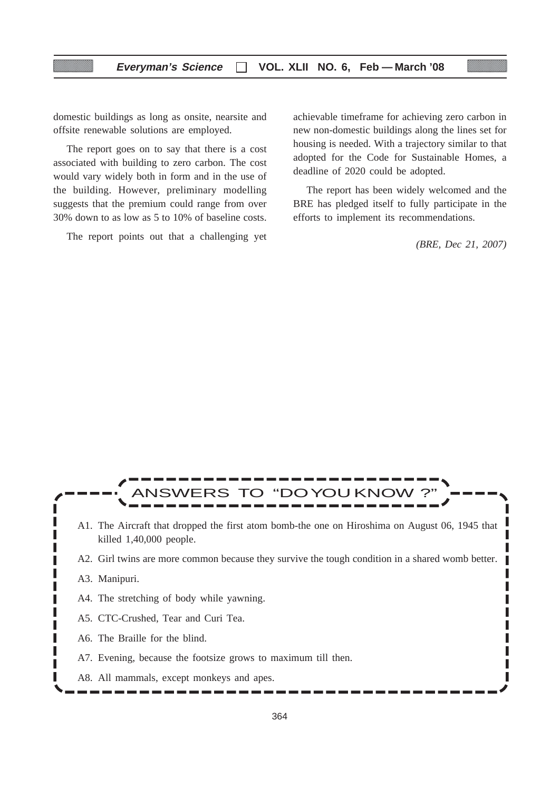domestic buildings as long as onsite, nearsite and offsite renewable solutions are employed.

The report goes on to say that there is a cost associated with building to zero carbon. The cost would vary widely both in form and in the use of the building. However, preliminary modelling suggests that the premium could range from over 30% down to as low as 5 to 10% of baseline costs.

The report points out that a challenging yet

achievable timeframe for achieving zero carbon in new non-domestic buildings along the lines set for housing is needed. With a trajectory similar to that adopted for the Code for Sustainable Homes, a deadline of 2020 could be adopted.

The report has been widely welcomed and the BRE has pledged itself to fully participate in the efforts to implement its recommendations.

*(BRE, Dec 21, 2007)*

ı

# VERS TO "DOYOU KNO A1. The Aircraft that dropped the first atom bomb-the one on Hiroshima on August 06, 1945 that killed 1,40,000 people. A2. Girl twins are more common because they survive the tough condition in a shared womb better. A3. Manipuri. I A4. The stretching of body while yawning. A5. CTC-Crushed, Tear and Curi Tea. A6. The Braille for the blind. A7. Evening, because the footsize grows to maximum till then.

A8. All mammals, except monkeys and apes.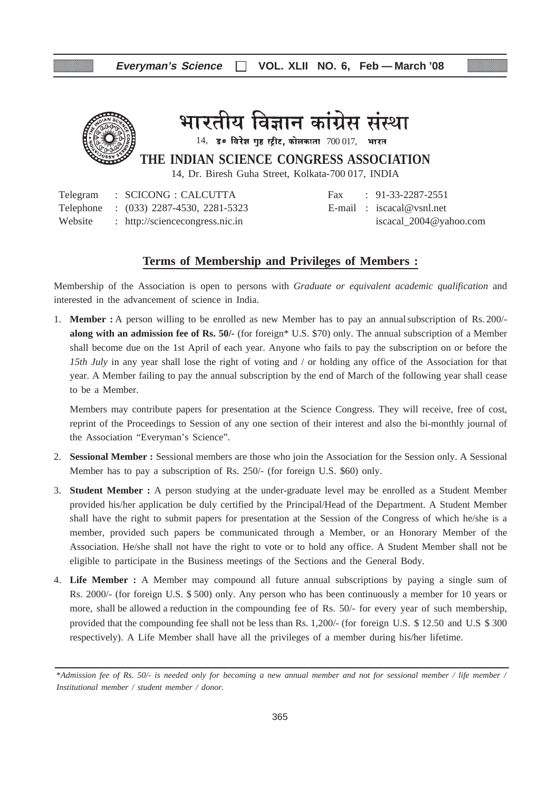

भारतीय विज्ञान कांग्रेस संस्था

 $14$ , उ० विरेश गुष्ठ स्ट्रीट, कोलकाता  $700017$ , भारत

**THE INDIAN SCIENCE CONGRESS ASSOCIATION**

14, Dr. Biresh Guha Street, Kolkata-700 017, INDIA

Telegram : SCICONG : CALCUTTA Fax : 91-33-2287-2551 Telephone : (033) 2287-4530, 2281-5323 E-mail : iscacal@vsnl.net Website : http://sciencecongress.nic.in iscacal\_2004@yahoo.com

#### **Terms of Membership and Privileges of Members :**

Membership of the Association is open to persons with *Graduate or equivalent academic qualification* and interested in the advancement of science in India.

1. **Member :** A person willing to be enrolled as new Member has to pay an annualsubscription of Rs. 200/ **along with an admission fee of Rs. 50/-** (for foreign\* U.S. \$70) only. The annual subscription of a Member shall become due on the 1st April of each year. Anyone who fails to pay the subscription on or before the *15th July* in any year shall lose the right of voting and / or holding any office of the Association for that year. A Member failing to pay the annual subscription by the end of March of the following year shall cease to be a Member.

Members may contribute papers for presentation at the Science Congress. They will receive, free of cost, reprint of the Proceedings to Session of any one section of their interest and also the bi-monthly journal of the Association "Everyman's Science".

- 2. **Sessional Member :** Sessional members are those who join the Association for the Session only. A Sessional Member has to pay a subscription of Rs. 250/- (for foreign U.S. \$60) only.
- 3. **Student Member :** A person studying at the under-graduate level may be enrolled as a Student Member provided his/her application be duly certified by the Principal/Head of the Department. A Student Member shall have the right to submit papers for presentation at the Session of the Congress of which he/she is a member, provided such papers be communicated through a Member, or an Honorary Member of the Association. He/she shall not have the right to vote or to hold any office. A Student Member shall not be eligible to participate in the Business meetings of the Sections and the General Body.
- 4. **Life Member :** A Member may compound all future annual subscriptions by paying a single sum of Rs. 2000/- (for foreign U.S. \$ 500) only. Any person who has been continuously a member for 10 years or more, shall be allowed a reduction in the compounding fee of Rs. 50/- for every year of such membership, provided that the compounding fee shall not be less than Rs. 1,200/- (for foreign U.S. \$ 12.50 and U.S \$ 300 respectively). A Life Member shall have all the privileges of a member during his/her lifetime.

<sup>\*</sup>*Admission fee of Rs. 50/- is needed only for becoming a new annual member and not for sessional member / life member / Institutional member / student member / donor.*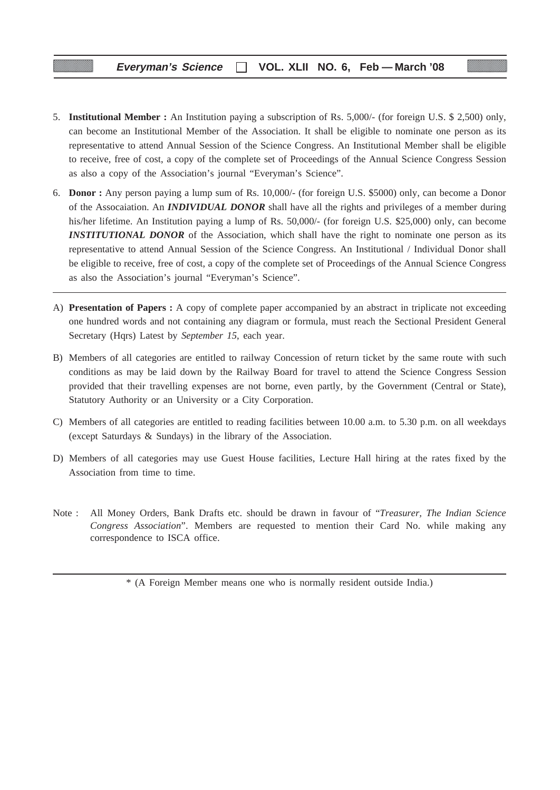- 5. **Institutional Member :** An Institution paying a subscription of Rs. 5,000/- (for foreign U.S. \$ 2,500) only, can become an Institutional Member of the Association. It shall be eligible to nominate one person as its representative to attend Annual Session of the Science Congress. An Institutional Member shall be eligible to receive, free of cost, a copy of the complete set of Proceedings of the Annual Science Congress Session as also a copy of the Association's journal "Everyman's Science".
- 6. **Donor :** Any person paying a lump sum of Rs. 10,000/- (for foreign U.S. \$5000) only, can become a Donor of the Assocaiation. An *INDIVIDUAL DONOR* shall have all the rights and privileges of a member during his/her lifetime. An Institution paying a lump of Rs. 50,000/- (for foreign U.S. \$25,000) only, can become **INSTITUTIONAL DONOR** of the Association, which shall have the right to nominate one person as its representative to attend Annual Session of the Science Congress. An Institutional / Individual Donor shall be eligible to receive, free of cost, a copy of the complete set of Proceedings of the Annual Science Congress as also the Association's journal "Everyman's Science".
- A) **Presentation of Papers :** A copy of complete paper accompanied by an abstract in triplicate not exceeding one hundred words and not containing any diagram or formula, must reach the Sectional President General Secretary (Hqrs) Latest by *September 15*, each year.
- B) Members of all categories are entitled to railway Concession of return ticket by the same route with such conditions as may be laid down by the Railway Board for travel to attend the Science Congress Session provided that their travelling expenses are not borne, even partly, by the Government (Central or State), Statutory Authority or an University or a City Corporation.
- C) Members of all categories are entitled to reading facilities between 10.00 a.m. to 5.30 p.m. on all weekdays (except Saturdays & Sundays) in the library of the Association.
- D) Members of all categories may use Guest House facilities, Lecture Hall hiring at the rates fixed by the Association from time to time.
- Note : All Money Orders, Bank Drafts etc. should be drawn in favour of "*Treasurer, The Indian Science Congress Association*". Members are requested to mention their Card No. while making any correspondence to ISCA office.

\* (A Foreign Member means one who is normally resident outside India.)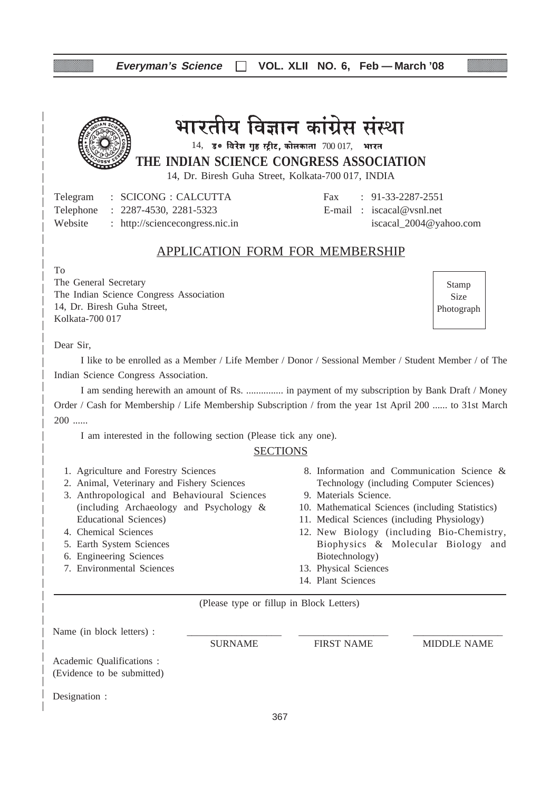| Everyman's Science   VOL. XLII NO. 6, Feb - March '08 |  |  |  |  |
|-------------------------------------------------------|--|--|--|--|
|-------------------------------------------------------|--|--|--|--|



# भारतीय विज्ञान कांग्रेस संस्था

 $14$ , उ० विरेश गुंह स्ट्रीट, कोलकाता  $700017$ , भारत

**THE INDIAN SCIENCE CONGRESS ASSOCIATION**

14, Dr. Biresh Guha Street, Kolkata-700 017, INDIA

Telegram : SCICONG : CALCUTTA Fax : 91-33-2287-2551 Telephone : 2287-4530, 2281-5323 E-mail : iscacal@vsnl.net Website : http://sciencecongress.nic.in iscacal 2004@yahoo.com

# APPLICATION FORM FOR MEMBERSHIP

To

The General Secretary The Indian Science Congress Association 14, Dr. Biresh Guha Street, Kolkata-700 017

Stamp Size Photograph

Dear Sir,

I like to be enrolled as a Member / Life Member / Donor / Sessional Member / Student Member / of The Indian Science Congress Association.

I am sending herewith an amount of Rs. ............... in payment of my subscription by Bank Draft / Money Order / Cash for Membership / Life Membership Subscription / from the year 1st April 200 ...... to 31st March 200 ......

I am interested in the following section (Please tick any one).

#### **SECTIONS**

- 1. Agriculture and Forestry Sciences
- 2. Animal, Veterinary and Fishery Sciences
- 3. Anthropological and Behavioural Sciences (including Archaeology and Psychology & Educational Sciences)
- 4. Chemical Sciences
- 5. Earth System Sciences
- 6. Engineering Sciences
- 7. Environmental Sciences
- 8. Information and Communication Science & Technology (including Computer Sciences)
- 9. Materials Science.
- 10. Mathematical Sciences (including Statistics)
- 11. Medical Sciences (including Physiology)
- 12. New Biology (including Bio-Chemistry, Biophysics & Molecular Biology and Biotechnology)
- 13. Physical Sciences
- 14. Plant Sciences

(Please type or fillup in Block Letters)

| Name (in block letters) :                               |                |                   |                    |
|---------------------------------------------------------|----------------|-------------------|--------------------|
|                                                         | <b>SURNAME</b> | <b>FIRST NAME</b> | <b>MIDDLE NAME</b> |
| Academic Qualifications :<br>(Evidence to be submitted) |                |                   |                    |
| Designation :                                           |                |                   |                    |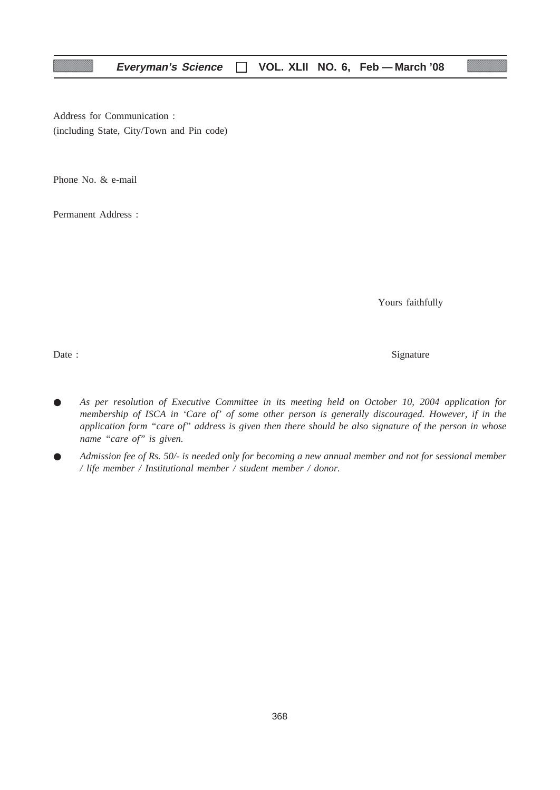Address for Communication : (including State, City/Town and Pin code)

Phone No. & e-mail

Permanent Address :

Yours faithfully

Date : Signature  $\Box$ 

- *As per resolution of Executive Committee in its meeting held on October 10, 2004 application for membership of ISCA in 'Care of' of some other person is generally discouraged. However, if in the application form "care of" address is given then there should be also signature of the person in whose name "care of" is given.*
- *Admission fee of Rs. 50/- is needed only for becoming a new annual member and not for sessional member / life member / Institutional member / student member / donor.*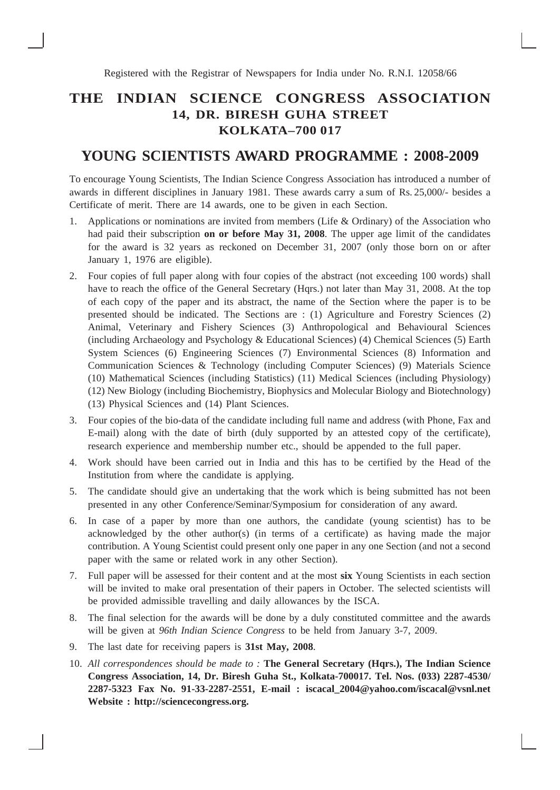**Registered with the Registrar of Newspapers for India under No. R.N.I. 12058/66** 

# **THE INDIAN SCIENCE CONGRESS ASSOCIATION 14, DR. BIRESH GUHA STREET KOLKATA–700 017**

# **YOUNG SCIENTISTS AWARD PROGRAMME : 2008-2009**

To encourage Young Scientists, The Indian Science Congress Association has introduced a number of awards in different disciplines in January 1981. These awards carry a sum of Rs. 25,000/- besides a Certificate of merit. There are 14 awards, one to be given in each Section.

- 1. Applications or nominations are invited from members (Life & Ordinary) of the Association who had paid their subscription **on or before May 31, 2008**. The upper age limit of the candidates for the award is 32 years as reckoned on December 31, 2007 (only those born on or after January 1, 1976 are eligible).
- 2. Four copies of full paper along with four copies of the abstract (not exceeding 100 words) shall have to reach the office of the General Secretary (Hqrs.) not later than May 31, 2008. At the top of each copy of the paper and its abstract, the name of the Section where the paper is to be presented should be indicated. The Sections are : (1) Agriculture and Forestry Sciences (2) Animal, Veterinary and Fishery Sciences (3) Anthropological and Behavioural Sciences (including Archaeology and Psychology & Educational Sciences) (4) Chemical Sciences (5) Earth System Sciences (6) Engineering Sciences (7) Environmental Sciences (8) Information and Communication Sciences & Technology (including Computer Sciences) (9) Materials Science (10) Mathematical Sciences (including Statistics) (11) Medical Sciences (including Physiology) (12) New Biology (including Biochemistry, Biophysics and Molecular Biology and Biotechnology) (13) Physical Sciences and (14) Plant Sciences.
- 3. Four copies of the bio-data of the candidate including full name and address (with Phone, Fax and E-mail) along with the date of birth (duly supported by an attested copy of the certificate), research experience and membership number etc., should be appended to the full paper.
- 4. Work should have been carried out in India and this has to be certified by the Head of the Institution from where the candidate is applying.
- 5. The candidate should give an undertaking that the work which is being submitted has not been presented in any other Conference/Seminar/Symposium for consideration of any award.
- 6. In case of a paper by more than one authors, the candidate (young scientist) has to be acknowledged by the other author(s) (in terms of a certificate) as having made the major contribution. A Young Scientist could present only one paper in any one Section (and not a second paper with the same or related work in any other Section).
- 7. Full paper will be assessed for their content and at the most **six** Young Scientists in each section will be invited to make oral presentation of their papers in October. The selected scientists will be provided admissible travelling and daily allowances by the ISCA.
- 8. The final selection for the awards will be done by a duly constituted committee and the awards will be given at *96th Indian Science Congress* to be held from January 3-7, 2009.
- 9. The last date for receiving papers is **31st May, 2008**.
- 10. *All correspondences should be made to :* **The General Secretary (Hqrs.), The Indian Science Congress Association, 14, Dr. Biresh Guha St., Kolkata-700017. Tel. Nos. (033) 2287-4530/ 2287-5323 Fax No. 91-33-2287-2551, E-mail : iscacal\_2004@yahoo.com/iscacal@vsnl.net Website : http://sciencecongress.org.**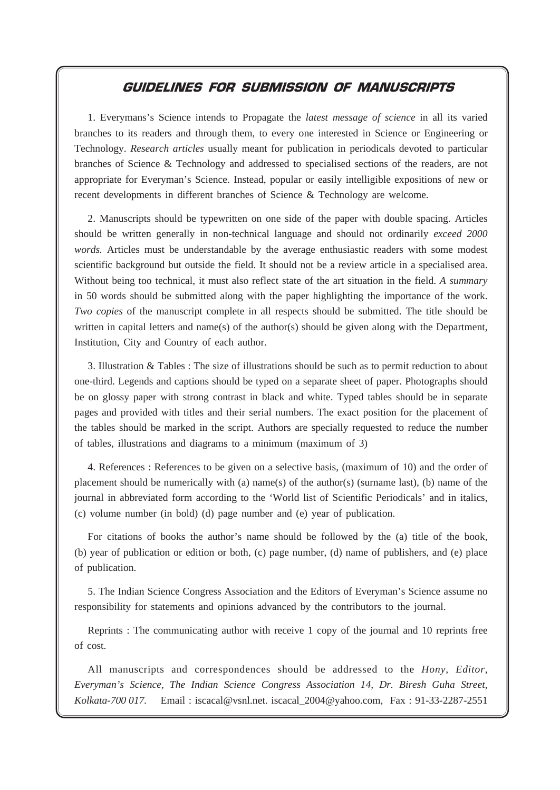# GUIDELINES FOR SUBMISSION OF MANUSCRIPTS

**Everyman's Science VOL. XLII NO. 6, Feb — March '08**

1. Everymans's Science intends to Propagate the *latest message of science* in all its varied branches to its readers and through them, to every one interested in Science or Engineering or Technology. *Research articles* usually meant for publication in periodicals devoted to particular branches of Science & Technology and addressed to specialised sections of the readers, are not appropriate for Everyman's Science. Instead, popular or easily intelligible expositions of new or recent developments in different branches of Science & Technology are welcome.

2. Manuscripts should be typewritten on one side of the paper with double spacing. Articles should be written generally in non-technical language and should not ordinarily *exceed 2000 words.* Articles must be understandable by the average enthusiastic readers with some modest scientific background but outside the field. It should not be a review article in a specialised area. Without being too technical, it must also reflect state of the art situation in the field. *A summary* in 50 words should be submitted along with the paper highlighting the importance of the work. *Two copies* of the manuscript complete in all respects should be submitted. The title should be written in capital letters and name(s) of the author(s) should be given along with the Department, Institution, City and Country of each author.

3. Illustration & Tables : The size of illustrations should be such as to permit reduction to about one-third. Legends and captions should be typed on a separate sheet of paper. Photographs should be on glossy paper with strong contrast in black and white. Typed tables should be in separate pages and provided with titles and their serial numbers. The exact position for the placement of the tables should be marked in the script. Authors are specially requested to reduce the number of tables, illustrations and diagrams to a minimum (maximum of 3)

4. References : References to be given on a selective basis, (maximum of 10) and the order of placement should be numerically with (a) name(s) of the author(s) (surname last), (b) name of the journal in abbreviated form according to the 'World list of Scientific Periodicals' and in italics, (c) volume number (in bold) (d) page number and (e) year of publication.

For citations of books the author's name should be followed by the (a) title of the book, (b) year of publication or edition or both, (c) page number, (d) name of publishers, and (e) place of publication.

5. The Indian Science Congress Association and the Editors of Everyman's Science assume no responsibility for statements and opinions advanced by the contributors to the journal.

Reprints : The communicating author with receive 1 copy of the journal and 10 reprints free of cost.

All manuscripts and correspondences should be addressed to the *Hony, Editor, Everyman's Science, The Indian Science Congress Association 14, Dr. Biresh Guha Street, Kolkata-700 017.* Email : iscacal@vsnl.net. iscacal\_2004@yahoo.com, Fax : 91-33-2287-2551

370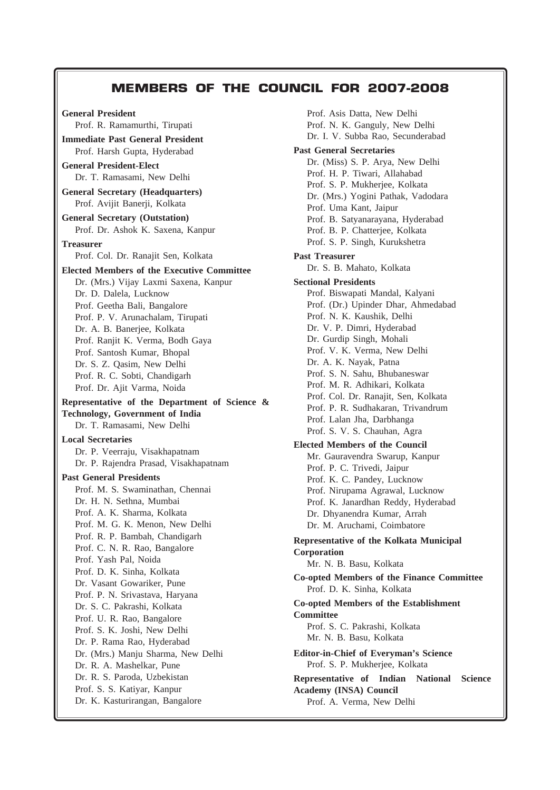# MEMBERS OF THE COUNCIL FOR 2007-2008

**Everyman's Science VOL. XLII NO. 6, Feb — March '08**

371

**General President** Prof. R. Ramamurthi, Tirupati **Immediate Past General President** Prof. Harsh Gupta, Hyderabad **General President-Elect** Dr. T. Ramasami, New Delhi **General Secretary (Headquarters)** Prof. Avijit Banerji, Kolkata **General Secretary (Outstation)** Prof. Dr. Ashok K. Saxena, Kanpur **Treasurer** Prof. Col. Dr. Ranajit Sen, Kolkata **Elected Members of the Executive Committee** Dr. (Mrs.) Vijay Laxmi Saxena, Kanpur Dr. D. Dalela, Lucknow Prof. Geetha Bali, Bangalore Prof. P. V. Arunachalam, Tirupati Dr. A. B. Banerjee, Kolkata Prof. Ranjit K. Verma, Bodh Gaya Prof. Santosh Kumar, Bhopal Dr. S. Z. Qasim, New Delhi Prof. R. C. Sobti, Chandigarh Prof. Dr. Ajit Varma, Noida **Representative of the Department of Science & Technology, Government of India** Dr. T. Ramasami, New Delhi **Local Secretaries** Dr. P. Veerraju, Visakhapatnam Dr. P. Rajendra Prasad, Visakhapatnam **Past General Presidents** Prof. M. S. Swaminathan, Chennai Dr. H. N. Sethna, Mumbai Prof. A. K. Sharma, Kolkata Prof. M. G. K. Menon, New Delhi Prof. R. P. Bambah, Chandigarh Prof. C. N. R. Rao, Bangalore Prof. Yash Pal, Noida Prof. D. K. Sinha, Kolkata Dr. Vasant Gowariker, Pune Prof. P. N. Srivastava, Haryana Dr. S. C. Pakrashi, Kolkata Prof. U. R. Rao, Bangalore Prof. S. K. Joshi, New Delhi Dr. P. Rama Rao, Hyderabad Dr. (Mrs.) Manju Sharma, New Delhi Dr. R. A. Mashelkar, Pune Dr. R. S. Paroda, Uzbekistan Prof. S. S. Katiyar, Kanpur Dr. K. Kasturirangan, Bangalore

Prof. Asis Datta, New Delhi Prof. N. K. Ganguly, New Delhi Dr. I. V. Subba Rao, Secunderabad **Past General Secretaries** Dr. (Miss) S. P. Arya, New Delhi Prof. H. P. Tiwari, Allahabad Prof. S. P. Mukherjee, Kolkata Dr. (Mrs.) Yogini Pathak, Vadodara Prof. Uma Kant, Jaipur Prof. B. Satyanarayana, Hyderabad Prof. B. P. Chatterjee, Kolkata Prof. S. P. Singh, Kurukshetra **Past Treasurer** Dr. S. B. Mahato, Kolkata **Sectional Presidents** Prof. Biswapati Mandal, Kalyani Prof. (Dr.) Upinder Dhar, Ahmedabad Prof. N. K. Kaushik, Delhi Dr. V. P. Dimri, Hyderabad Dr. Gurdip Singh, Mohali Prof. V. K. Verma, New Delhi Dr. A. K. Nayak, Patna Prof. S. N. Sahu, Bhubaneswar Prof. M. R. Adhikari, Kolkata Prof. Col. Dr. Ranajit, Sen, Kolkata Prof. P. R. Sudhakaran, Trivandrum Prof. Lalan Jha, Darbhanga Prof. S. V. S. Chauhan, Agra **Elected Members of the Council** Mr. Gauravendra Swarup, Kanpur Prof. P. C. Trivedi, Jaipur Prof. K. C. Pandey, Lucknow Prof. Nirupama Agrawal, Lucknow Prof. K. Janardhan Reddy, Hyderabad Dr. Dhyanendra Kumar, Arrah Dr. M. Aruchami, Coimbatore **Representative of the Kolkata Municipal Corporation** Mr. N. B. Basu, Kolkata **Co-opted Members of the Finance Committee** Prof. D. K. Sinha, Kolkata **Co-opted Members of the Establishment Committee** Prof. S. C. Pakrashi, Kolkata Mr. N. B. Basu, Kolkata **Editor-in-Chief of Everyman's Science** Prof. S. P. Mukherjee, Kolkata **Representative of Indian National Science Academy (INSA) Council** Prof. A. Verma, New Delhi